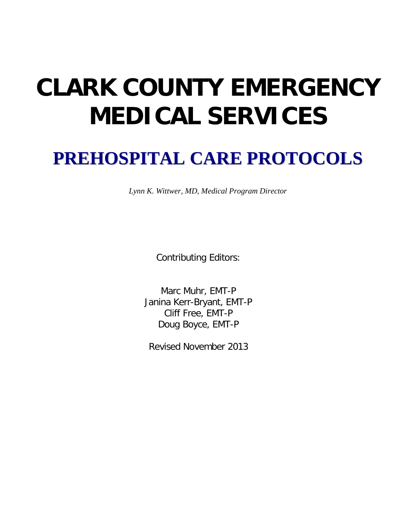# **CLARK COUNTY EMERGENCY MEDICAL SERVICES**

## **PREHOSPITAL CARE PROTOCOLS**

*Lynn K. Wittwer, MD, Medical Program Director*

Contributing Editors:

Marc Muhr, EMT-P Janina Kerr-Bryant, EMT-P Cliff Free, EMT-P Doug Boyce, EMT-P

Revised November 2013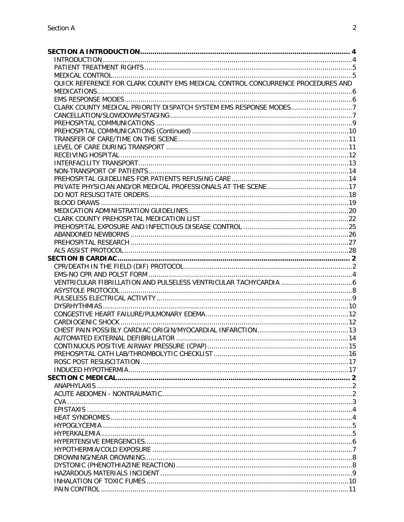| QUICK REFERENCE FOR CLARK COUNTY EMS MEDICAL CONTROL CONCURRENCE PROCEDURES AND |  |
|---------------------------------------------------------------------------------|--|
|                                                                                 |  |
|                                                                                 |  |
|                                                                                 |  |
|                                                                                 |  |
|                                                                                 |  |
|                                                                                 |  |
|                                                                                 |  |
|                                                                                 |  |
|                                                                                 |  |
|                                                                                 |  |
|                                                                                 |  |
|                                                                                 |  |
|                                                                                 |  |
|                                                                                 |  |
|                                                                                 |  |
|                                                                                 |  |
|                                                                                 |  |
|                                                                                 |  |
|                                                                                 |  |
|                                                                                 |  |
|                                                                                 |  |
|                                                                                 |  |
|                                                                                 |  |
|                                                                                 |  |
|                                                                                 |  |
|                                                                                 |  |
|                                                                                 |  |
|                                                                                 |  |
|                                                                                 |  |
|                                                                                 |  |
|                                                                                 |  |
|                                                                                 |  |
|                                                                                 |  |
|                                                                                 |  |
|                                                                                 |  |
|                                                                                 |  |
|                                                                                 |  |
|                                                                                 |  |
|                                                                                 |  |
|                                                                                 |  |
|                                                                                 |  |
|                                                                                 |  |
|                                                                                 |  |
|                                                                                 |  |
|                                                                                 |  |
|                                                                                 |  |
|                                                                                 |  |
|                                                                                 |  |
|                                                                                 |  |
|                                                                                 |  |
|                                                                                 |  |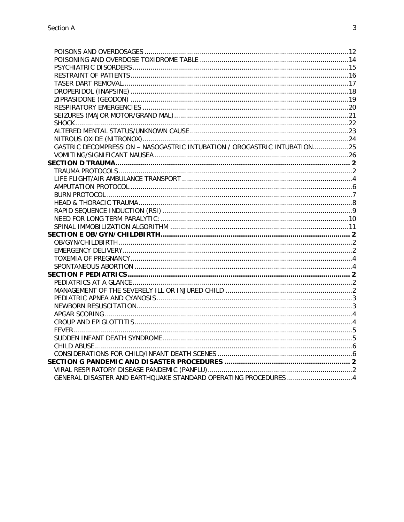| GASTRIC DECOMPRESSION - NASOGASTRIC INTUBATION / OROGASTRIC INTUBATION25 |  |
|--------------------------------------------------------------------------|--|
|                                                                          |  |
|                                                                          |  |
|                                                                          |  |
|                                                                          |  |
|                                                                          |  |
|                                                                          |  |
|                                                                          |  |
|                                                                          |  |
|                                                                          |  |
|                                                                          |  |
|                                                                          |  |
|                                                                          |  |
|                                                                          |  |
|                                                                          |  |
|                                                                          |  |
|                                                                          |  |
|                                                                          |  |
|                                                                          |  |
|                                                                          |  |
|                                                                          |  |
|                                                                          |  |
|                                                                          |  |
|                                                                          |  |
|                                                                          |  |
|                                                                          |  |
|                                                                          |  |
|                                                                          |  |
|                                                                          |  |
| GENERAL DISASTER AND EARTHQUAKE STANDARD OPERATING PROCEDURES 4          |  |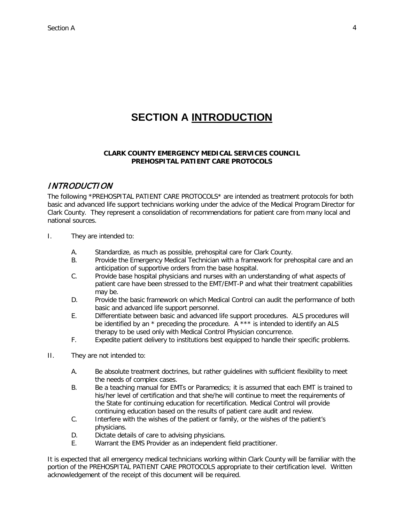## **SECTION A INTRODUCTION**

#### <span id="page-3-0"></span>**CLARK COUNTY EMERGENCY MEDICAL SERVICES COUNCIL PREHOSPITAL PATIENT CARE PROTOCOLS**

#### <span id="page-3-1"></span>INTRODUCTION

The following \*PREHOSPITAL PATIENT CARE PROTOCOLS\* are intended as treatment protocols for both basic and advanced life support technicians working under the advice of the Medical Program Director for Clark County. They represent a consolidation of recommendations for patient care from many local and national sources.

- I. They are intended to:
	- A. Standardize, as much as possible, prehospital care for Clark County.
	- B. Provide the Emergency Medical Technician with a framework for prehospital care and an anticipation of supportive orders from the base hospital.
	- C. Provide base hospital physicians and nurses with an understanding of what aspects of patient care have been stressed to the EMT/EMT-P and what their treatment capabilities may be.
	- D. Provide the basic framework on which Medical Control can audit the performance of both basic and advanced life support personnel.
	- E. Differentiate between basic and advanced life support procedures. ALS procedures will be identified by an  $*$  preceding the procedure. A  $***$  is intended to identify an ALS therapy to be used only with Medical Control Physician concurrence.
	- F. Expedite patient delivery to institutions best equipped to handle their specific problems.
- II. They are not intended to:
	- A. Be absolute treatment doctrines, but rather guidelines with sufficient flexibility to meet the needs of complex cases.
	- B. Be a teaching manual for EMTs or Paramedics; it is assumed that each EMT is trained to his/her level of certification and that she/he will continue to meet the requirements of the State for continuing education for recertification. Medical Control will provide continuing education based on the results of patient care audit and review.
	- C. Interfere with the wishes of the patient or family, or the wishes of the patient's physicians.
	- D. Dictate details of care to advising physicians.
	- E. Warrant the EMS Provider as an independent field practitioner.

It is expected that all emergency medical technicians working within Clark County will be familiar with the portion of the PREHOSPITAL PATIENT CARE PROTOCOLS appropriate to their certification level. Written acknowledgement of the receipt of this document will be required.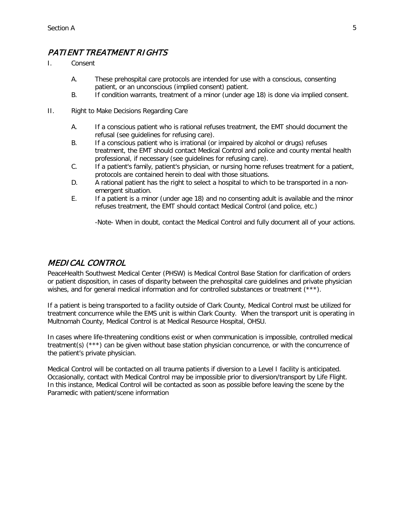## <span id="page-4-0"></span>PATIENT TREATMENT RIGHTS

- I. Consent
	- A. These prehospital care protocols are intended for use with a conscious, consenting patient, or an unconscious (implied consent) patient.
	- B. If condition warrants, treatment of a minor (under age 18) is done via implied consent.
- II. Right to Make Decisions Regarding Care
	- A. If a conscious patient who is rational refuses treatment, the EMT should document the refusal (see guidelines for refusing care).
	- B. If a conscious patient who is irrational (or impaired by alcohol or drugs) refuses treatment, the EMT should contact Medical Control and police and county mental health professional, if necessary (see guidelines for refusing care).
	- C. If a patient's family, patient's physician, or nursing home refuses treatment for a patient, protocols are contained herein to deal with those situations.
	- D. A rational patient has the right to select a hospital to which to be transported in a nonemergent situation.
	- E. If a patient is a minor (under age 18) and no consenting adult is available and the minor refuses treatment, the EMT should contact Medical Control (and police, etc.)

-Note- When in doubt, contact the Medical Control and fully document all of your actions.

#### <span id="page-4-1"></span>MEDICAL CONTROL

PeaceHealth Southwest Medical Center (PHSW) is Medical Control Base Station for clarification of orders or patient disposition, in cases of disparity between the prehospital care guidelines and private physician wishes, and for general medical information and for controlled substances or treatment (\*\*\*).

If a patient is being transported to a facility outside of Clark County, Medical Control must be utilized for treatment concurrence while the EMS unit is within Clark County. When the transport unit is operating in Multnomah County, Medical Control is at Medical Resource Hospital, OHSU.

In cases where life-threatening conditions exist or when communication is impossible, controlled medical treatment(s) (\*\*\*) can be given without base station physician concurrence, or with the concurrence of the patient's private physician.

Medical Control will be contacted on all trauma patients if diversion to a Level I facility is anticipated. Occasionally, contact with Medical Control may be impossible prior to diversion/transport by Life Flight. In this instance, Medical Control will be contacted as soon as possible before leaving the scene by the Paramedic with patient/scene information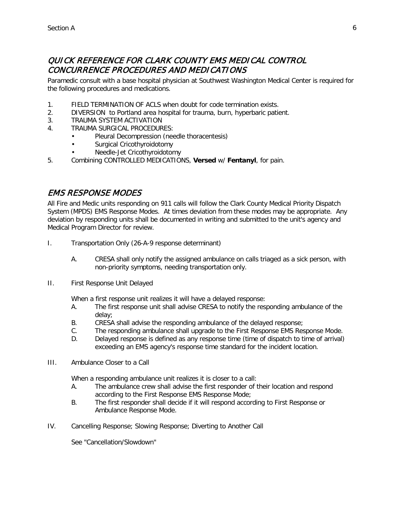## <span id="page-5-0"></span>QUICK REFERENCE FOR CLARK COUNTY EMS MEDICAL CONTROL CONCURRENCE PROCEDURES AND MEDICATIONS

Paramedic consult with a base hospital physician at Southwest Washington Medical Center is required for the following procedures and medications.

- 1. FIELD TERMINATION OF ACLS when doubt for code termination exists.
- 2. DIVERSION to Portland area hospital for trauma, burn, hyperbaric patient.
- 3. TRAUMA SYSTEM ACTIVATION
- 4. TRAUMA SURGICAL PROCEDURES:
	- Pleural Decompression (needle thoracentesis)
	- Surgical Cricothyroidotomy
	- Needle-Jet Cricothyroidotomy
- 5. Combining CONTROLLED MEDICATIONS, **Versed** w/ **Fentanyl**, for pain.

#### <span id="page-5-1"></span>EMS RESPONSE MODES

All Fire and Medic units responding on 911 calls will follow the Clark County Medical Priority Dispatch System (MPDS) EMS Response Modes. At times deviation from these modes may be appropriate. Any deviation by responding units shall be documented in writing and submitted to the unit's agency and Medical Program Director for review.

- I. Transportation Only (26-A-9 response determinant)
	- A. CRESA shall only notify the assigned ambulance on calls triaged as a sick person, with non-priority symptoms, needing transportation only.
- II. First Response Unit Delayed

When a first response unit realizes it will have a delayed response:

- A. The first response unit shall advise CRESA to notify the responding ambulance of the delay;
- B. CRESA shall advise the responding ambulance of the delayed response;
- C. The responding ambulance shall upgrade to the First Response EMS Response Mode.
- D. Delayed response is defined as any response time (time of dispatch to time of arrival) exceeding an EMS agency's response time standard for the incident location.
- III. Ambulance Closer to a Call

When a responding ambulance unit realizes it is closer to a call:

- A. The ambulance crew shall advise the first responder of their location and respond according to the First Response EMS Response Mode;
- B. The first responder shall decide if it will respond according to First Response or Ambulance Response Mode.
- IV. Cancelling Response; Slowing Response; Diverting to Another Call

See "Cancellation/Slowdown"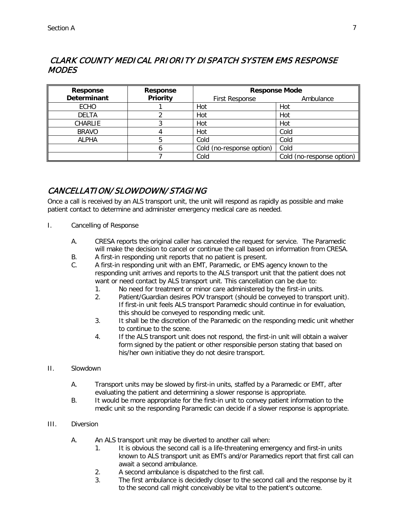## <span id="page-6-0"></span> CLARK COUNTY MEDICAL PRIORITY DISPATCH SYSTEM EMS RESPONSE MODES

| <b>Response</b>    | <b>Response</b> | <b>Response Mode</b>      |                           |
|--------------------|-----------------|---------------------------|---------------------------|
| <b>Determinant</b> | <b>Priority</b> | <b>First Response</b>     | Ambulance                 |
| <b>ECHO</b>        |                 | Hot                       | Hot                       |
| <b>DELTA</b>       |                 | Hot                       | Hot                       |
| CHARLIE            |                 | Hot                       | Hot                       |
| <b>BRAVO</b>       |                 | Hot                       | Cold                      |
| <b>ALPHA</b>       |                 | Cold                      | Cold                      |
|                    |                 | Cold (no-response option) | Cold                      |
|                    |                 | Cold                      | Cold (no-response option) |

## <span id="page-6-1"></span>CANCELLATION/ SLOWDOWN/ STAGING

Once a call is received by an ALS transport unit, the unit will respond as rapidly as possible and make patient contact to determine and administer emergency medical care as needed.

- I. Cancelling of Response
	- A. CRESA reports the original caller has canceled the request for service. The Paramedic will make the decision to cancel or continue the call based on information from CRESA.
	- B. A first-in responding unit reports that no patient is present.
	- C. A first-in responding unit with an EMT, Paramedic, or EMS agency known to the responding unit arrives and reports to the ALS transport unit that the patient does not want or need contact by ALS transport unit. This cancellation can be due to:
		- 1. No need for treatment or minor care administered by the first-in units.
		- 2. Patient/Guardian desires POV transport (should be conveyed to transport unit). If first-in unit feels ALS transport Paramedic should continue in for evaluation, this should be conveyed to responding medic unit.
		- 3. It shall be the discretion of the Paramedic on the responding medic unit whether to continue to the scene.
		- 4. If the ALS transport unit does not respond, the first-in unit will obtain a waiver form signed by the patient or other responsible person stating that based on his/her own initiative they do not desire transport.
- II. Slowdown
	- A. Transport units may be slowed by first-in units, staffed by a Paramedic or EMT, after evaluating the patient and determining a slower response is appropriate.
	- B. It would be more appropriate for the first-in unit to convey patient information to the medic unit so the responding Paramedic can decide if a slower response is appropriate.
- III. Diversion
	- A. An ALS transport unit may be diverted to another call when:
		- 1. It is obvious the second call is a life-threatening emergency and first-in units known to ALS transport unit as EMTs and/or Paramedics report that first call can await a second ambulance.
		- 2. A second ambulance is dispatched to the first call.
		- 3. The first ambulance is decidedly closer to the second call and the response by it to the second call might conceivably be vital to the patient's outcome.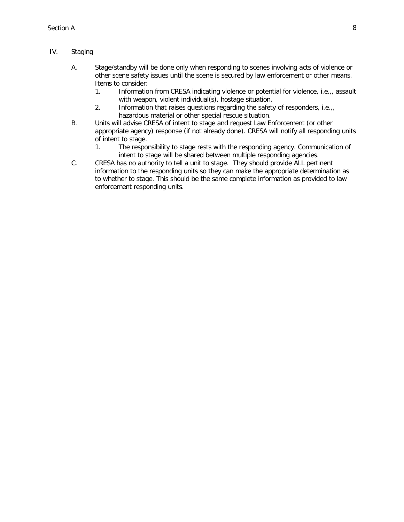#### IV. Staging

- A. Stage/standby will be done only when responding to scenes involving acts of violence or other scene safety issues until the scene is secured by law enforcement or other means. Items to consider:
	- 1. Information from CRESA indicating violence or potential for violence, i.e.,, assault with weapon, violent individual(s), hostage situation.
	- 2. Information that raises questions regarding the safety of responders, i.e.,, hazardous material or other special rescue situation.
- B. Units will advise CRESA of intent to stage and request Law Enforcement (or other appropriate agency) response (if not already done). CRESA will notify all responding units of intent to stage.
	- 1. The responsibility to stage rests with the responding agency. Communication of intent to stage will be shared between multiple responding agencies.
- C. CRESA has no authority to tell a unit to stage. They should provide ALL pertinent information to the responding units so they can make the appropriate determination as to whether to stage. This should be the same complete information as provided to law enforcement responding units.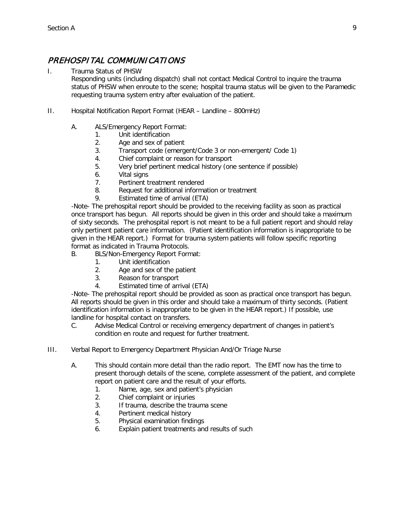## <span id="page-8-0"></span>PREHOSPITAL COMMUNICATIONS

#### I. Trauma Status of PHSW

Responding units (including dispatch) shall not contact Medical Control to inquire the trauma status of PHSW when enroute to the scene; hospital trauma status will be given to the Paramedic requesting trauma system entry after evaluation of the patient.

- II. Hospital Notification Report Format (HEAR Landline 800mHz)
	- A. ALS/Emergency Report Format:
		- 1. Unit identification
			- 2. Age and sex of patient
			- 3. Transport code (emergent/Code 3 or non-emergent/ Code 1)
			- 4. Chief complaint or reason for transport
			- 5. Very brief pertinent medical history (one sentence if possible)
			- 6. Vital signs
			- 7. Pertinent treatment rendered
			- 8. Request for additional information or treatment
			- 9. Estimated time of arrival (ETA)

-Note- The prehospital report should be provided to the receiving facility as soon as practical once transport has begun. All reports should be given in this order and should take a maximum of sixty seconds. The prehospital report is not meant to be a full patient report and should relay only pertinent patient care information. (Patient identification information is inappropriate to be given in the HEAR report.) Format for trauma system patients will follow specific reporting format as indicated in Trauma Protocols.

- B. BLS/Non-Emergency Report Format:
	- 1. Unit identification
	- 2. Age and sex of the patient
	- 3. Reason for transport
	- 4. Estimated time of arrival (ETA)

-Note- The prehospital report should be provided as soon as practical once transport has begun. All reports should be given in this order and should take a maximum of thirty seconds. (Patient identification information is inappropriate to be given in the HEAR report.) If possible, use landline for hospital contact on transfers.

- C. Advise Medical Control or receiving emergency department of changes in patient's condition en route and request for further treatment.
- III. Verbal Report to Emergency Department Physician And/Or Triage Nurse
	- A. This should contain more detail than the radio report. The EMT now has the time to present thorough details of the scene, complete assessment of the patient, and complete report on patient care and the result of your efforts.
		- 1. Name, age, sex and patient's physician
		- 2. Chief complaint or injuries
		- 3. If trauma, describe the trauma scene
		- 4. Pertinent medical history
		- 5. Physical examination findings
		- 6. Explain patient treatments and results of such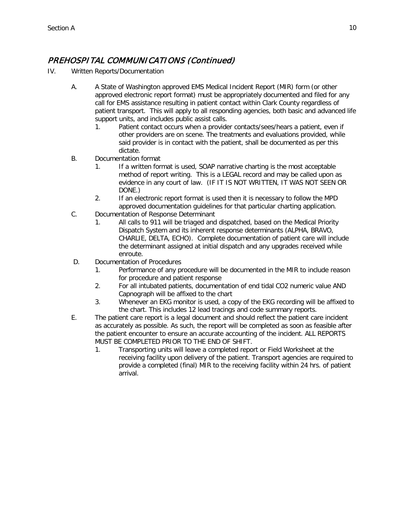## <span id="page-9-0"></span>PREHOSPITAL COMMUNICATIONS (Continued)

- IV. Written Reports/Documentation
	- A. A State of Washington approved EMS Medical Incident Report (MIR) form (or other approved electronic report format) must be appropriately documented and filed for any call for EMS assistance resulting in patient contact within Clark County regardless of patient transport. This will apply to all responding agencies, both basic and advanced life support units, and includes public assist calls.
		- 1. Patient contact occurs when a provider contacts/sees/hears a patient, even if other providers are on scene. The treatments and evaluations provided, while said provider is in contact with the patient, shall be documented as per this dictate.
	- B. Documentation format
		- 1. If a written format is used, SOAP narrative charting is the most acceptable method of report writing. This is a LEGAL record and may be called upon as evidence in any court of law. (IF IT IS NOT WRITTEN, IT WAS NOT SEEN OR DONE.)
		- 2. If an electronic report format is used then it is necessary to follow the MPD approved documentation guidelines for that particular charting application.
	- C. Documentation of Response Determinant
		- 1. All calls to 911 will be triaged and dispatched, based on the Medical Priority Dispatch System and its inherent response determinants (ALPHA, BRAVO, CHARLIE, DELTA, ECHO). Complete documentation of patient care will include the determinant assigned at initial dispatch and any upgrades received while enroute.
	- D. Documentation of Procedures
		- 1. Performance of any procedure will be documented in the MIR to include reason for procedure and patient response
		- 2. For all intubated patients, documentation of end tidal CO2 numeric value AND Capnograph will be affixed to the chart
		- 3. Whenever an EKG monitor is used, a copy of the EKG recording will be affixed to the chart. This includes 12 lead tracings and code summary reports.
	- E. The patient care report is a legal document and should reflect the patient care incident as accurately as possible. As such, the report will be completed as soon as feasible after the patient encounter to ensure an accurate accounting of the incident. ALL REPORTS MUST BE COMPLETED PRIOR TO THE END OF SHIFT.
		- 1. Transporting units will leave a completed report or Field Worksheet at the receiving facility upon delivery of the patient. Transport agencies are required to provide a completed (final) MIR to the receiving facility within 24 hrs. of patient arrival.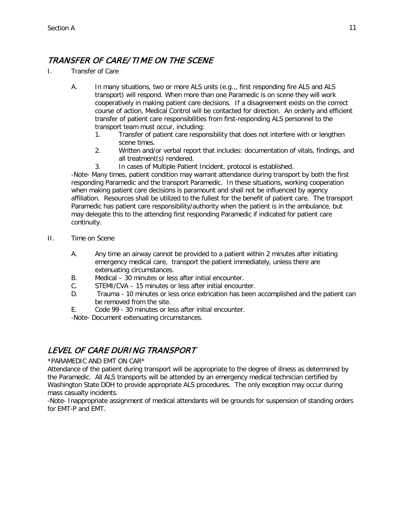## <span id="page-10-0"></span>TRANSFER OF CARE/ TIME ON THE SCENE

- I. Transfer of Care
	- A. In many situations, two or more ALS units (e.g.,, first responding fire ALS and ALS transport) will respond. When more than one Paramedic is on scene they will work cooperatively in making patient care decisions. If a disagreement exists on the correct course of action, Medical Control will be contacted for direction. An orderly and efficient transfer of patient care responsibilities from first-responding ALS personnel to the transport team must occur, including:
		- 1. Transfer of patient care responsibility that does not interfere with or lengthen scene times.
		- 2. Written and/or verbal report that includes: documentation of vitals, findings, and all treatment(s) rendered.
		- 3. In cases of Multiple Patient Incident, protocol is established.

-Note- Many times, patient condition may warrant attendance during transport by both the first responding Paramedic and the transport Paramedic. In these situations, working cooperation when making patient care decisions is paramount and shall not be influenced by agency affiliation. Resources shall be utilized to the fullest for the benefit of patient care. The transport Paramedic has patient care responsibility/authority when the patient is in the ambulance, but may delegate this to the attending first responding Paramedic if indicated for patient care continuity.

- II. Time on Scene
	- A. Any time an airway cannot be provided to a patient within 2 minutes after initiating emergency medical care, transport the patient immediately, unless there are extenuating circumstances.
	- B. Medical 30 minutes or less after initial encounter.
	- C. STEMI/CVA 15 minutes or less after initial encounter.
	- D. Trauma 10 minutes or less once extrication has been accomplished and the patient can be removed from the site.
	- E. Code 99 30 minutes or less after initial encounter.

-Note- Document extenuating circumstances.

## <span id="page-10-1"></span>LEVEL OF CARE DURING TRANSPORT

#### \*PARAMEDIC AND EMT ON CAR\*

Attendance of the patient during transport will be appropriate to the degree of illness as determined by the Paramedic. All ALS transports will be attended by an emergency medical technician certified by Washington State DOH to provide appropriate ALS procedures. The only exception may occur during mass casualty incidents.

-Note- Inappropriate assignment of medical attendants will be grounds for suspension of standing orders for EMT-P and EMT.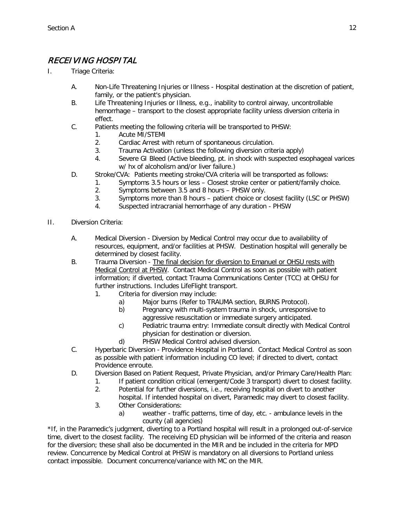## <span id="page-11-0"></span>RECEIVING HOSPITAL

- I. Triage Criteria:
	- A. Non-Life Threatening Injuries or Illness Hospital destination at the discretion of patient, family, or the patient's physician.
	- B. Life Threatening Injuries or Illness, e.g., inability to control airway, uncontrollable hemorrhage – transport to the closest appropriate facility unless diversion criteria in effect.
	- C. Patients meeting the following criteria will be transported to PHSW:
		- 1. Acute MI/STEMI
		- 2. Cardiac Arrest with return of spontaneous circulation.
		- 3. Trauma Activation (unless the following diversion criteria apply)
		- 4. Severe GI Bleed (Active bleeding, pt. in shock with suspected esophageal varices w/ hx of alcoholism and/or liver failure.)
	- D. Stroke/CVA: Patients meeting stroke/CVA criteria will be transported as follows:
		- 1. Symptoms 3.5 hours or less Closest stroke center or patient/family choice.
			- 2. Symptoms between 3.5 and 8 hours PHSW only.
			- 3. Symptoms more than 8 hours patient choice or closest facility (LSC or PHSW)
			- 4. Suspected intracranial hemorrhage of any duration PHSW
- II. Diversion Criteria:
	- A. Medical Diversion Diversion by Medical Control may occur due to availability of resources, equipment, and/or facilities at PHSW. Destination hospital will generally be determined by closest facility.
	- B. Trauma Diversion The final decision for diversion to Emanuel or OHSU rests with Medical Control at PHSW. Contact Medical Control as soon as possible with patient information; if diverted, contact Trauma Communications Center (TCC) at OHSU for further instructions. Includes LifeFlight transport.
		- 1. Criteria for diversion may include:
			- a) Major burns (Refer to TRAUMA section, BURNS Protocol).
			- b) Pregnancy with multi-system trauma in shock, unresponsive to aggressive resuscitation or immediate surgery anticipated.
			- c) Pediatric trauma entry: Immediate consult directly with Medical Control physician for destination or diversion.
			- d) PHSW Medical Control advised diversion.
	- C. Hyperbaric Diversion Providence Hospital in Portland. Contact Medical Control as soon as possible with patient information including CO level; if directed to divert, contact Providence enroute.
	- D. Diversion Based on Patient Request, Private Physician, and/or Primary Care/Health Plan:
		- 1. If patient condition critical (emergent/Code 3 transport) divert to closest facility.
		- 2. Potential for further diversions, i.e., receiving hospital on divert to another hospital. If intended hospital on divert, Paramedic may divert to closest facility.
		- 3. Other Considerations:
			- a) weather traffic patterns, time of day, etc. ambulance levels in the county (all agencies)

\*If, in the Paramedic's judgment, diverting to a Portland hospital will result in a prolonged out-of-service time, divert to the closest facility. The receiving ED physician will be informed of the criteria and reason for the diversion; these shall also be documented in the MIR and be included in the criteria for MPD review. Concurrence by Medical Control at PHSW is mandatory on all diversions to Portland unless contact impossible. Document concurrence/variance with MC on the MIR.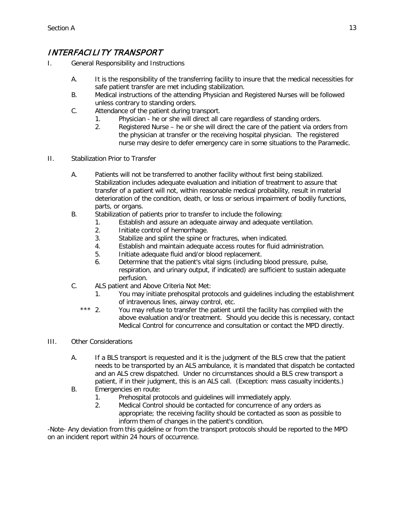## <span id="page-12-0"></span>INTERFACILITY TRANSPORT

- I. General Responsibility and Instructions
	- A. It is the responsibility of the transferring facility to insure that the medical necessities for safe patient transfer are met including stabilization.
	- B. Medical instructions of the attending Physician and Registered Nurses will be followed unless contrary to standing orders.
	- C. Attendance of the patient during transport.
		- 1. Physician he or she will direct all care regardless of standing orders.
		- 2. Registered Nurse he or she will direct the care of the patient via orders from the physician at transfer or the receiving hospital physician. The registered nurse may desire to defer emergency care in some situations to the Paramedic.
- II. Stabilization Prior to Transfer
	- A. Patients will not be transferred to another facility without first being stabilized. Stabilization includes adequate evaluation and initiation of treatment to assure that transfer of a patient will not, within reasonable medical probability, result in material deterioration of the condition, death, or loss or serious impairment of bodily functions, parts, or organs.
	- B. Stabilization of patients prior to transfer to include the following:
		- 1. Establish and assure an adequate airway and adequate ventilation.
		- 2. Initiate control of hemorrhage.
		- 3. Stabilize and splint the spine or fractures, when indicated.
		- 4. Establish and maintain adequate access routes for fluid administration.
		- 5. Initiate adequate fluid and/or blood replacement.
		- 6. Determine that the patient's vital signs (including blood pressure, pulse, respiration, and urinary output, if indicated) are sufficient to sustain adequate perfusion.
	- C. ALS patient and Above Criteria Not Met:
		- 1. You may initiate prehospital protocols and guidelines including the establishment of intravenous lines, airway control, etc.
		- \*\*\* 2. You may refuse to transfer the patient until the facility has complied with the above evaluation and/or treatment. Should you decide this is necessary, contact Medical Control for concurrence and consultation or contact the MPD directly.
- III. Other Considerations
	- A. If a BLS transport is requested and it is the judgment of the BLS crew that the patient needs to be transported by an ALS ambulance, it is mandated that dispatch be contacted and an ALS crew dispatched. Under no circumstances should a BLS crew transport a patient, if in their judgment, this is an ALS call. (Exception: mass casualty incidents.)
	- B. Emergencies en route:
		- 1. Prehospital protocols and guidelines will immediately apply.
		- 2. Medical Control should be contacted for concurrence of any orders as appropriate; the receiving facility should be contacted as soon as possible to inform them of changes in the patient's condition.

-Note- Any deviation from this guideline or from the transport protocols should be reported to the MPD on an incident report within 24 hours of occurrence.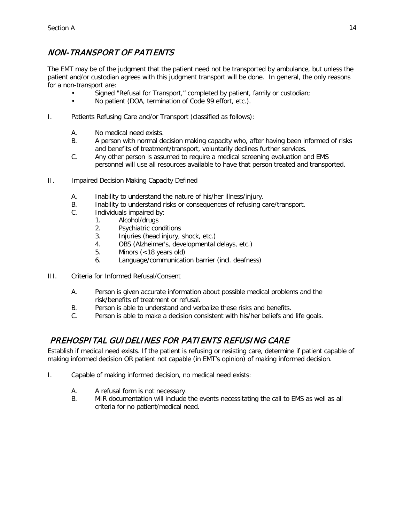## <span id="page-13-0"></span>NON-TRANSPORT OF PATIENTS

The EMT may be of the judgment that the patient need not be transported by ambulance, but unless the patient and/or custodian agrees with this judgment transport will be done. In general, the only reasons for a non-transport are:

- Signed "Refusal for Transport," completed by patient, family or custodian;
- No patient (DOA, termination of Code 99 effort, etc.).
- I. Patients Refusing Care and/or Transport (classified as follows):
	- A. No medical need exists.
	- B. A person with normal decision making capacity who, after having been informed of risks and benefits of treatment/transport, voluntarily declines further services.
	- C. Any other person is assumed to require a medical screening evaluation and EMS personnel will use all resources available to have that person treated and transported.
- II. Impaired Decision Making Capacity Defined
	- A. Inability to understand the nature of his/her illness/injury.
	- B. Inability to understand risks or consequences of refusing care/transport.
	- C. Individuals impaired by:
		- 1. Alcohol/drugs
			- 2. Psychiatric conditions
			- 3. Injuries (head injury, shock, etc.)
			- 4. OBS (Alzheimer's, developmental delays, etc.)
			- 5. Minors (<18 years old)
			- 6. Language/communication barrier (incl. deafness)
- III. Criteria for Informed Refusal/Consent
	- A. Person is given accurate information about possible medical problems and the risk/benefits of treatment or refusal.
	- B. Person is able to understand and verbalize these risks and benefits.
	- C. Person is able to make a decision consistent with his/her beliefs and life goals.

## <span id="page-13-1"></span>PREHOSPITAL GUIDELINES FOR PATIENTS REFUSING CARE

Establish if medical need exists. If the patient is refusing or resisting care, determine if patient capable of making informed decision OR patient not capable (in EMT's opinion) of making informed decision.

- I. Capable of making informed decision, no medical need exists:
	- A. A refusal form is not necessary.
	- B. MIR documentation will include the events necessitating the call to EMS as well as all criteria for no patient/medical need.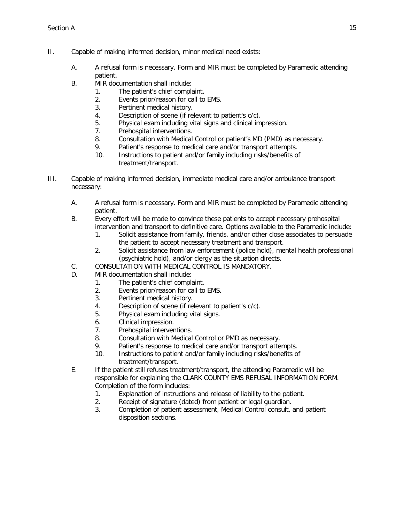- II. Capable of making informed decision, minor medical need exists:
	- A. A refusal form is necessary. Form and MIR must be completed by Paramedic attending patient.
	- B. MIR documentation shall include:
		- 1. The patient's chief complaint.
		- 2. Events prior/reason for call to EMS.
		- 3. Pertinent medical history.
		- 4. Description of scene (if relevant to patient's c/c).
		- 5. Physical exam including vital signs and clinical impression.
		- 7. Prehospital interventions.
		- 8. Consultation with Medical Control or patient's MD (PMD) as necessary.
		- 9. Patient's response to medical care and/or transport attempts.
		- 10. Instructions to patient and/or family including risks/benefits of treatment/transport.
- III. Capable of making informed decision, immediate medical care and/or ambulance transport necessary:
	- A. A refusal form is necessary. Form and MIR must be completed by Paramedic attending patient.
	- B. Every effort will be made to convince these patients to accept necessary prehospital intervention and transport to definitive care. Options available to the Paramedic include:
		- 1. Solicit assistance from family, friends, and/or other close associates to persuade the patient to accept necessary treatment and transport.
		- 2. Solicit assistance from law enforcement (police hold), mental health professional (psychiatric hold), and/or clergy as the situation directs.
	- C. CONSULTATION WITH MEDICAL CONTROL IS MANDATORY.
	- D. MIR documentation shall include:
		- 1. The patient's chief complaint.
		- 2. Events prior/reason for call to EMS.
		- 3. Pertinent medical history.
		- 4. Description of scene (if relevant to patient's c/c).
		- 5. Physical exam including vital signs.
		- 6. Clinical impression.
		- 7. Prehospital interventions.
		- 8. Consultation with Medical Control or PMD as necessary.
		- 9. Patient's response to medical care and/or transport attempts.
		- 10. Instructions to patient and/or family including risks/benefits of treatment/transport.
	- E. If the patient still refuses treatment/transport, the attending Paramedic will be responsible for explaining the CLARK COUNTY EMS REFUSAL INFORMATION FORM. Completion of the form includes:
		- 1. Explanation of instructions and release of liability to the patient.
		- 2. Receipt of signature (dated) from patient or legal guardian.
		- 3. Completion of patient assessment, Medical Control consult, and patient disposition sections.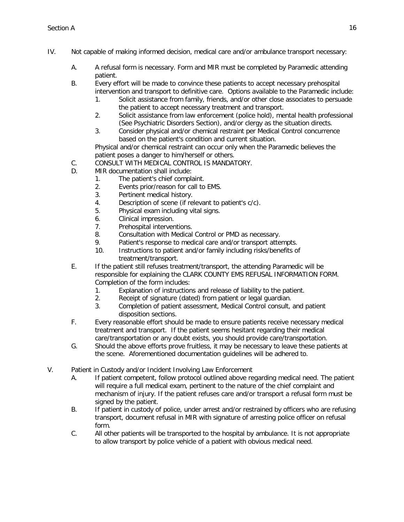- IV. Not capable of making informed decision, medical care and/or ambulance transport necessary:
	- A. A refusal form is necessary. Form and MIR must be completed by Paramedic attending patient.
	- B. Every effort will be made to convince these patients to accept necessary prehospital intervention and transport to definitive care. Options available to the Paramedic include:
		- 1. Solicit assistance from family, friends, and/or other close associates to persuade the patient to accept necessary treatment and transport.
		- 2. Solicit assistance from law enforcement (police hold), mental health professional (See Psychiatric Disorders Section), and/or clergy as the situation directs.
		- 3. Consider physical and/or chemical restraint per Medical Control concurrence based on the patient's condition and current situation.

Physical and/or chemical restraint can occur only when the Paramedic believes the patient poses a danger to him/herself or others.

- C. CONSULT WITH MEDICAL CONTROL IS MANDATORY.
- D. MIR documentation shall include:
	- 1. The patient's chief complaint.
	- 2. Events prior/reason for call to EMS.
	- 3. Pertinent medical history.
	- 4. Description of scene (if relevant to patient's c/c).
	- 5. Physical exam including vital signs.
	- 6. Clinical impression.
	- 7. Prehospital interventions.
	- 8. Consultation with Medical Control or PMD as necessary.
	- 9. Patient's response to medical care and/or transport attempts.
	- 10. Instructions to patient and/or family including risks/benefits of treatment/transport.
- E. If the patient still refuses treatment/transport, the attending Paramedic will be responsible for explaining the CLARK COUNTY EMS REFUSAL INFORMATION FORM. Completion of the form includes:
	- 1. Explanation of instructions and release of liability to the patient.
	- 2. Receipt of signature (dated) from patient or legal guardian.
	- 3. Completion of patient assessment, Medical Control consult, and patient disposition sections.
- F. Every reasonable effort should be made to ensure patients receive necessary medical treatment and transport. If the patient seems hesitant regarding their medical care/transportation or any doubt exists, you should provide care/transportation.
- G. Should the above efforts prove fruitless, it may be necessary to leave these patients at the scene. Aforementioned documentation guidelines will be adhered to.
- V. Patient in Custody and/or Incident Involving Law Enforcement
	- A. If patient competent, follow protocol outlined above regarding medical need. The patient will require a full medical exam, pertinent to the nature of the chief complaint and mechanism of injury. If the patient refuses care and/or transport a refusal form must be signed by the patient.
	- B. If patient in custody of police, under arrest and/or restrained by officers who are refusing transport, document refusal in MIR with signature of arresting police officer on refusal form.
	- C. All other patients will be transported to the hospital by ambulance. It is not appropriate to allow transport by police vehicle of a patient with obvious medical need.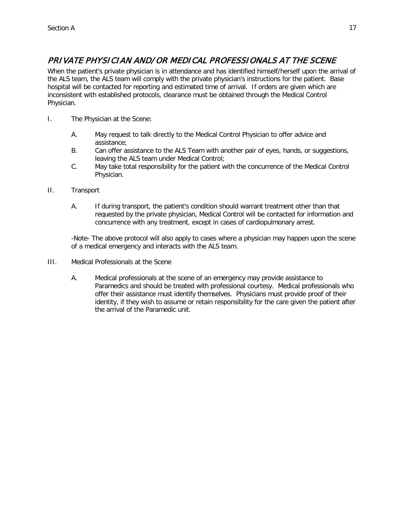## <span id="page-16-0"></span>PRIVATE PHYSICIAN AND/ OR MEDICAL PROFESSIONALS AT THE SCENE

When the patient's private physician is in attendance and has identified himself/herself upon the arrival of the ALS team, the ALS team will comply with the private physician's instructions for the patient. Base hospital will be contacted for reporting and estimated time of arrival. If orders are given which are inconsistent with established protocols, clearance must be obtained through the Medical Control Physician.

- I. The Physician at the Scene:
	- A. May request to talk directly to the Medical Control Physician to offer advice and assistance;
	- B. Can offer assistance to the ALS Team with another pair of eyes, hands, or suggestions, leaving the ALS team under Medical Control;
	- C. May take total responsibility for the patient with the concurrence of the Medical Control Physician.
- II. Transport
	- A. If during transport, the patient's condition should warrant treatment other than that requested by the private physician, Medical Control will be contacted for information and concurrence with any treatment, except in cases of cardiopulmonary arrest.

-Note- The above protocol will also apply to cases where a physician may happen upon the scene of a medical emergency and interacts with the ALS team.

- III. Medical Professionals at the Scene
	- A. Medical professionals at the scene of an emergency may provide assistance to Paramedics and should be treated with professional courtesy. Medical professionals who offer their assistance must identify themselves. Physicians must provide proof of their identity, if they wish to assume or retain responsibility for the care given the patient after the arrival of the Paramedic unit.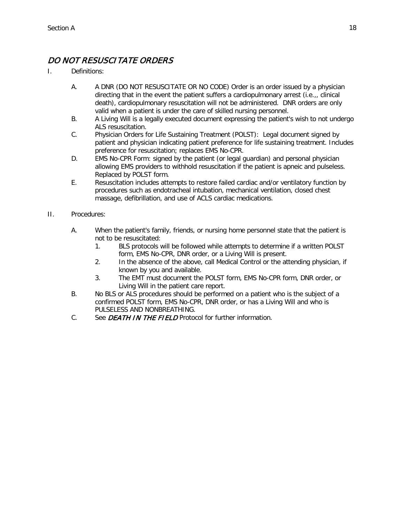## <span id="page-17-0"></span>DO NOT RESUSCITATE ORDERS

- I. Definitions:
	- A. A DNR (DO NOT RESUSCITATE OR NO CODE) Order is an order issued by a physician directing that in the event the patient suffers a cardiopulmonary arrest (i.e.,, clinical death), cardiopulmonary resuscitation will not be administered. DNR orders are only valid when a patient is under the care of skilled nursing personnel.
	- B. A Living Will is a legally executed document expressing the patient's wish to not undergo ALS resuscitation.
	- C. Physician Orders for Life Sustaining Treatment (POLST): Legal document signed by patient and physician indicating patient preference for life sustaining treatment. Includes preference for resuscitation; replaces EMS No-CPR.
	- D. EMS No-CPR Form: signed by the patient (or legal guardian) and personal physician allowing EMS providers to withhold resuscitation if the patient is apneic and pulseless. Replaced by POLST form.
	- E. Resuscitation includes attempts to restore failed cardiac and/or ventilatory function by procedures such as endotracheal intubation, mechanical ventilation, closed chest massage, defibrillation, and use of ACLS cardiac medications.
- II. Procedures:
	- A. When the patient's family, friends, or nursing home personnel state that the patient is not to be resuscitated:
		- 1. BLS protocols will be followed while attempts to determine if a written POLST form, EMS No-CPR, DNR order, or a Living Will is present.
		- 2. In the absence of the above, call Medical Control or the attending physician, if known by you and available.
		- 3. The EMT must document the POLST form, EMS No-CPR form, DNR order, or Living Will in the patient care report.
	- B. No BLS or ALS procedures should be performed on a patient who is the subject of a confirmed POLST form, EMS No-CPR, DNR order, or has a Living Will and who is PULSELESS AND NONBREATHING.
	- C. See *DEATH IN THE FIELD* Protocol for further information.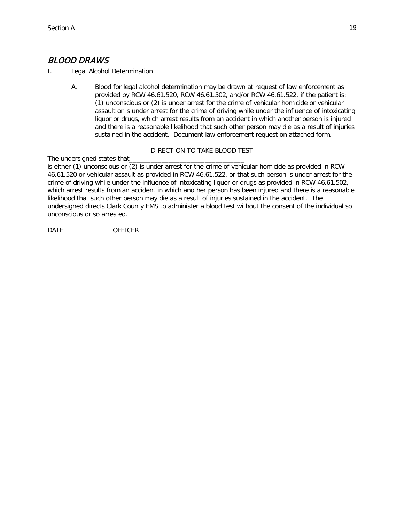## <span id="page-18-0"></span>BLOOD DRAWS

- I. Legal Alcohol Determination
	- A. Blood for legal alcohol determination may be drawn at request of law enforcement as provided by RCW 46.61.520, RCW 46.61.502, and/or RCW 46.61.522, if the patient is: (1) unconscious or (2) is under arrest for the crime of vehicular homicide or vehicular assault or is under arrest for the crime of driving while under the influence of intoxicating liquor or drugs, which arrest results from an accident in which another person is injured and there is a reasonable likelihood that such other person may die as a result of injuries sustained in the accident. Document law enforcement request on attached form.

#### DIRECTION TO TAKE BLOOD TEST

The undersigned states that\_ is either (1) unconscious or (2) is under arrest for the crime of vehicular homicide as provided in RCW 46.61.520 or vehicular assault as provided in RCW 46.61.522, or that such person is under arrest for the crime of driving while under the influence of intoxicating liquor or drugs as provided in RCW 46.61.502, which arrest results from an accident in which another person has been injured and there is a reasonable likelihood that such other person may die as a result of injuries sustained in the accident. The undersigned directs Clark County EMS to administer a blood test without the consent of the individual so unconscious or so arrested.

DATE OFFICER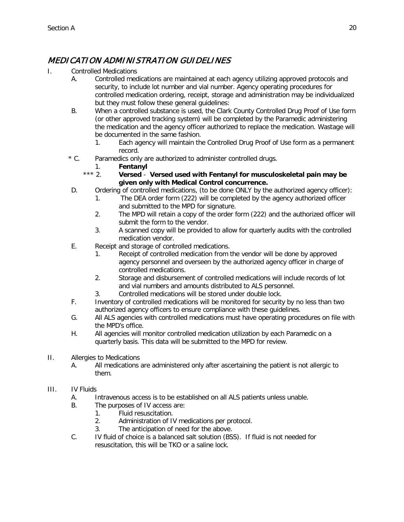## <span id="page-19-0"></span>MEDICATION ADMINISTRATION GUIDELINES

- I. Controlled Medications
	- A. Controlled medications are maintained at each agency utilizing approved protocols and security, to include lot number and vial number. Agency operating procedures for controlled medication ordering, receipt, storage and administration may be individualized but they must follow these general guidelines:
	- B. When a controlled substance is used, the Clark County Controlled Drug Proof of Use form (or other approved tracking system) will be completed by the Paramedic administering the medication and the agency officer authorized to replace the medication. Wastage will be documented in the same fashion.
		- 1. Each agency will maintain the Controlled Drug Proof of Use form as a permanent record.
	- \* C. Paramedics only are authorized to administer controlled drugs.
		-
		- 1. **Fentanyl** \*\*\* 2. **Versed** - **Versed used with Fentanyl for musculoskeletal pain may be given only with Medical Control concurrence.**
	- D. Ordering of controlled medications, (to be done ONLY by the authorized agency officer):
		- 1. The DEA order form (222) will be completed by the agency authorized officer and submitted to the MPD for signature.
		- 2. The MPD will retain a copy of the order form (222) and the authorized officer will submit the form to the vendor.
		- 3. A scanned copy will be provided to allow for quarterly audits with the controlled medication vendor.
	- E. Receipt and storage of controlled medications.
		- 1. Receipt of controlled medication from the vendor will be done by approved agency personnel and overseen by the authorized agency officer in charge of controlled medications.
		- 2. Storage and disbursement of controlled medications will include records of lot and vial numbers and amounts distributed to ALS personnel.
		- 3. Controlled medications will be stored under double lock.
	- F. Inventory of controlled medications will be monitored for security by no less than two authorized agency officers to ensure compliance with these guidelines.
	- G. All ALS agencies with controlled medications must have operating procedures on file with the MPD's office.
	- H. All agencies will monitor controlled medication utilization by each Paramedic on a quarterly basis. This data will be submitted to the MPD for review.
- II. Allergies to Medications
	- A. All medications are administered only after ascertaining the patient is not allergic to them.

#### III. IV Fluids

- A. Intravenous access is to be established on all ALS patients unless unable.
- B. The purposes of IV access are:
	- 1. Fluid resuscitation.
	- 2. Administration of IV medications per protocol.
	- 3. The anticipation of need for the above.
- C. IV fluid of choice is a balanced salt solution (BSS). If fluid is not needed for resuscitation, this will be TKO or a saline lock.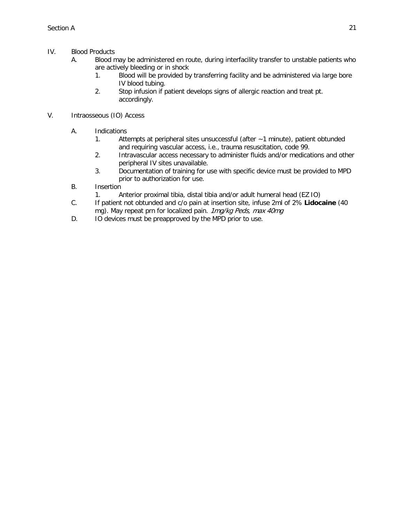- IV. Blood Products
	- A. Blood may be administered en route, during interfacility transfer to unstable patients who are actively bleeding or in shock
		- 1. Blood will be provided by transferring facility and be administered via large bore IV blood tubing.
		- 2. Stop infusion if patient develops signs of allergic reaction and treat pt. accordingly.
- V. Intraosseous (IO) Access
	- A. Indications
		- 1. Attempts at peripheral sites unsuccessful (after ~1 minute), patient obtunded and requiring vascular access, i.e., trauma resuscitation, code 99.
		- 2. Intravascular access necessary to administer fluids and/or medications and other peripheral IV sites unavailable.
		- 3. Documentation of training for use with specific device must be provided to MPD prior to authorization for use.
	- B. Insertion
		- 1. Anterior proximal tibia, distal tibia and/or adult humeral head (EZ IO)
	- C. If patient not obtunded and c/o pain at insertion site, infuse 2ml of 2% **Lidocaine** (40 mg). May repeat prn for localized pain. 1mg/kg Peds, max 40mg
	- D. IO devices must be preapproved by the MPD prior to use.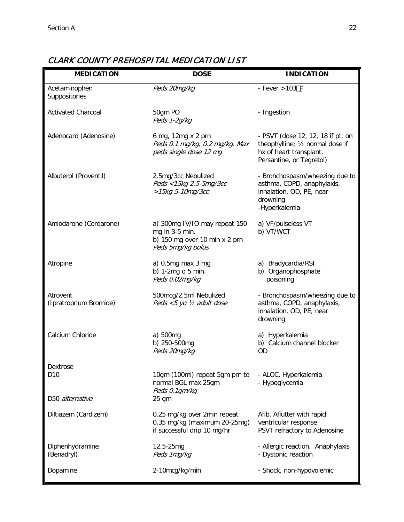#### **MEDICATION DOSE INDICATION** Acetaminophen Suppositories  $Peds$  20mg/kg  $-$  Fever >103 $\Box$ Activated Charcoal 50gm PO Peds 1-2g/kg - Ingestion Adenocard (Adenosine) 6 mg, 12mg x 2 prn Peds 0.1 mg/kg, 0.2 mg/kg. Max peds single dose 12 mg - PSVT (dose 12, 12, 18 if pt. on theophylline; ½ normal dose if hx of heart transplant, Persantine, or Tegretol) Albuterol (Proventil) 2.5mg/3cc Nebulized Peds <15kg 2.5-5mg/3cc >15kg 5-10mg/3cc - Bronchospasm/wheezing due to asthma, COPD, anaphylaxis, inhalation, OD, PE, near drowning -Hyperkalemia Amiodarone (Cordarone) a) 300mg IV/IO may repeat 150 mg in 3-5 min. b) 150 mg over 10 min x 2 prn Peds 5mg/kg bolus a) VF/pulseless VT b) VT/WCT Atropine a) 0.5mg max 3 mg b) 1-2mg q 5 min. Peds 0.02mg/kg a) Bradycardia/RSI b) Organophosphate poisoning Atrovent (Ipratroprium Bromide) 500mcg/2.5ml Nebulized Peds <5 yo ½ adult dose - Bronchospasm/wheezing due to asthma, COPD, anaphylaxis, inhalation, OD, PE, near drowning Calcium Chloride a) 500mg b) 250-500mg Peds 20mg/kg a) Hyperkalemia b) Calcium channel blocker OD Dextrose D10 D50 alternative 10gm (100ml) repeat 5gm prn to normal BGL max 25gm Peds 0.1gm/kg 25 gm - ALOC, Hyperkalemia - Hypoglycemia Diltiazem (Cardizem) 0.25 mg/kg over 2min repeat 0.35 mg/kg (maximum 20-25mg) if successful drip 10 mg/hr Afib, Aflutter with rapid ventricular response PSVT refractory to Adenosine Diphenhydramine (Benadryl) 12.5-25mg Peds 1mg/kg - Allergic reaction, Anaphylaxis - Dystonic reaction Dopamine 2-10mcg/kg/min - Shock, non-hypovolemic

## <span id="page-21-0"></span>CLARK COUNTY PREHOSPITAL MEDICATION LIST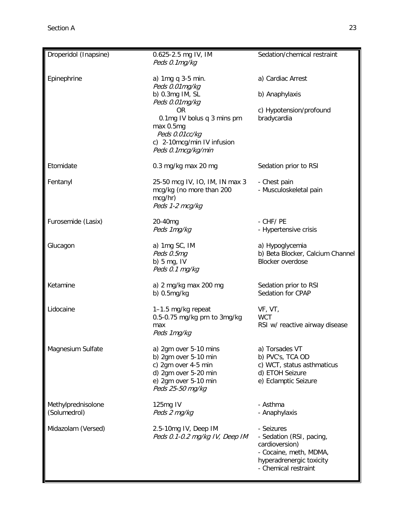| Droperidol (Inapsine)              | 0.625-2.5 mg IV, IM<br>Peds 0.1mg/kg                                                                                                                                                                    | Sedation/chemical restraint                                                                                                            |
|------------------------------------|---------------------------------------------------------------------------------------------------------------------------------------------------------------------------------------------------------|----------------------------------------------------------------------------------------------------------------------------------------|
| Epinephrine                        | a) 1mg q 3-5 min.<br>Peds 0.01mg/kg<br>b) 0.3mg IM, SL<br>Peds 0.01mg/kg<br><b>OR</b><br>0.1mg IV bolus q 3 mins prn<br>max 0.5mg<br>Peds 0.01cc/kg<br>c) 2-10mcg/min IV infusion<br>Peds 0.1mcg/kg/min | a) Cardiac Arrest<br>b) Anaphylaxis<br>c) Hypotension/profound<br>bradycardia                                                          |
| Etomidate                          | 0.3 mg/kg max 20 mg                                                                                                                                                                                     | Sedation prior to RSI                                                                                                                  |
| Fentanyl                           | 25-50 mcg IV, IO, IM, IN max 3<br>mcg/kg (no more than 200<br>mcg/hr)<br>Peds 1-2 mcg/kg                                                                                                                | - Chest pain<br>- Musculoskeletal pain                                                                                                 |
| Furosemide (Lasix)                 | 20-40mg<br>Peds 1mg/kg                                                                                                                                                                                  | - CHF/PE<br>- Hypertensive crisis                                                                                                      |
| Glucagon                           | a) 1mg SC, IM<br>Peds 0.5mg<br>b) $5$ mg, IV<br>Peds 0.1 mg/kg                                                                                                                                          | a) Hypoglycemia<br>b) Beta Blocker, Calcium Channel<br>Blocker overdose                                                                |
| Ketamine                           | a) 2 mg/kg max 200 mg<br>b) $0.5mg/kg$                                                                                                                                                                  | Sedation prior to RSI<br>Sedation for CPAP                                                                                             |
| Lidocaine                          | 1-1.5 mg/kg repeat<br>0.5-0.75 mg/kg prn to 3mg/kg<br>max<br>Peds 1mg/kg                                                                                                                                | VF, VT,<br><b>WCT</b><br>RSI w/ reactive airway disease                                                                                |
| Magnesium Sulfate                  | a) 2gm over 5-10 mins<br>b) $2gm$ over $5-10$ min<br>c) 2gm over 4-5 min<br>d) 2gm over 5-20 min<br>e) 2gm over 5-10 min<br>Peds 25-50 mg/kg                                                            | a) Torsades VT<br>b) PVC's, TCA OD<br>c) WCT, status asthmaticus<br>d) ETOH Seizure<br>e) Eclamptic Seizure                            |
| Methylprednisolone<br>(Solumedrol) | 125mg IV<br>Peds 2 mg/kg                                                                                                                                                                                | - Asthma<br>- Anaphylaxis                                                                                                              |
| Midazolam (Versed)                 | 2.5-10mg IV, Deep IM<br>Peds 0.1-0.2 mg/kg IV, Deep IM                                                                                                                                                  | - Seizures<br>- Sedation (RSI, pacing,<br>cardioversion)<br>- Cocaine, meth, MDMA,<br>hyperadrenergic toxicity<br>- Chemical restraint |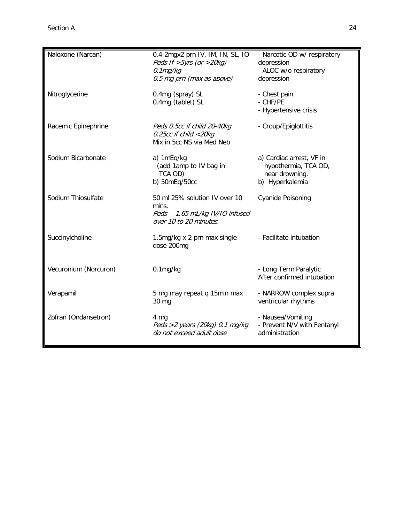| Naloxone (Narcan)     | 0.4-2mgx2 prn IV, IM, IN, SL, IO<br>Peds If $>5yrs$ (or $>20kg$ )<br>$0.1$ mg/kg<br>0.5 mg prn (max as above) | - Narcotic OD w/ respiratory<br>depression<br>- ALOC w/o respiratory<br>depression    |
|-----------------------|---------------------------------------------------------------------------------------------------------------|---------------------------------------------------------------------------------------|
| Nitroglycerine        | 0.4mg (spray) SL<br>0.4mg (tablet) SL                                                                         | - Chest pain<br>- CHF/PE<br>- Hypertensive crisis                                     |
| Racemic Epinephrine   | Peds 0.5cc if child 20-40kg<br>0.25cc if child <20kg<br>Mix in 5cc NS via Med Neb                             | - Croup/Epiglottitis                                                                  |
| Sodium Bicarbonate    | a) 1mEq/kg<br>(add 1amp to IV bag in<br>TCA OD)<br>b) 50mEq/50cc                                              | a) Cardiac arrest, VF in<br>hypothermia, TCA OD,<br>near drowning.<br>b) Hyperkalemia |
| Sodium Thiosulfate    | 50 ml 25% solution IV over 10<br>mins.<br>Peds - 1.65 mL/kg IV/IO infused<br>over 10 to 20 minutes.           | <b>Cyanide Poisoning</b>                                                              |
| Succinylcholine       | 1.5mg/kg x 2 prn max single<br>dose 200mg                                                                     | - Facilitate intubation                                                               |
| Vecuronium (Norcuron) | $0.1$ mg/kg                                                                                                   | - Long Term Paralytic<br>After confirmed intubation                                   |
| Verapamil             | 5 mg may repeat q 15min max<br>30 mg                                                                          | - NARROW complex supra<br>ventricular rhythms                                         |
| Zofran (Ondansetron)  | 4 mg<br>Peds >2 years (20kg) $0.1$ mg/kg<br>do not exceed adult dose                                          | - Nausea/Vomiting<br>- Prevent N/V with Fentanyl<br>administration                    |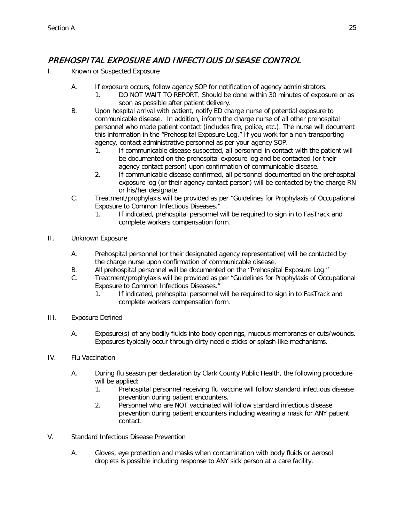## <span id="page-24-0"></span>PREHOSPITAL EXPOSURE AND INFECTIOUS DISEASE CONTROL

- I. Known or Suspected Exposure
	- A. If exposure occurs, follow agency SOP for notification of agency administrators.
		- 1. DO NOT WAIT TO REPORT. Should be done within 30 minutes of exposure or as soon as possible after patient delivery.
	- B. Upon hospital arrival with patient, notify ED charge nurse of potential exposure to communicable disease. In addition, inform the charge nurse of all other prehospital personnel who made patient contact (includes fire, police, etc.). The nurse will document this information in the "Prehospital Exposure Log." If you work for a non-transporting agency, contact administrative personnel as per your agency SOP.
		- 1. If communicable disease suspected, all personnel in contact with the patient will be documented on the prehospital exposure log and be contacted (or their agency contact person) upon confirmation of communicable disease.
		- 2. If communicable disease confirmed, all personnel documented on the prehospital exposure log (or their agency contact person) will be contacted by the charge RN or his/her designate.
	- C. Treatment/prophylaxis will be provided as per "Guidelines for Prophylaxis of Occupational Exposure to Common Infectious Diseases."
		- 1. If indicated, prehospital personnel will be required to sign in to FasTrack and complete workers compensation form.
- II. Unknown Exposure
	- A. Prehospital personnel (or their designated agency representative) will be contacted by the charge nurse upon confirmation of communicable disease.
	- B. All prehospital personnel will be documented on the "Prehospital Exposure Log."
	- C. Treatment/prophylaxis will be provided as per "Guidelines for Prophylaxis of Occupational Exposure to Common Infectious Diseases."
		- 1. If indicated, prehospital personnel will be required to sign in to FasTrack and complete workers compensation form.
- III. Exposure Defined
	- A. Exposure(s) of any bodily fluids into body openings, mucous membranes or cuts/wounds. Exposures typically occur through dirty needle sticks or splash-like mechanisms.
- IV. Flu Vaccination
	- A. During flu season per declaration by Clark County Public Health, the following procedure will be applied:
		- 1. Prehospital personnel receiving flu vaccine will follow standard infectious disease prevention during patient encounters.
		- 2. Personnel who are NOT vaccinated will follow standard infectious disease prevention during patient encounters including wearing a mask for ANY patient contact.
- V. Standard Infectious Disease Prevention
	- A. Gloves, eye protection and masks when contamination with body fluids or aerosol droplets is possible including response to ANY sick person at a care facility.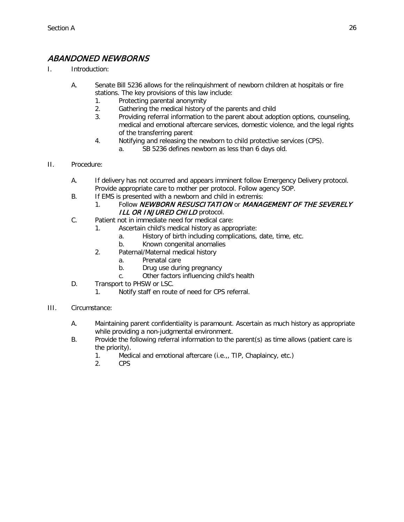## <span id="page-25-0"></span>ABANDONED NEWBORNS

- I. Introduction:
	- A. Senate Bill 5236 allows for the relinquishment of newborn children at hospitals or fire stations. The key provisions of this law include:
		- 1. Protecting parental anonymity
		- 2. Gathering the medical history of the parents and child
		- 3. Providing referral information to the parent about adoption options, counseling, medical and emotional aftercare services, domestic violence, and the legal rights of the transferring parent
		- 4. Notifying and releasing the newborn to child protective services (CPS).
			- a. SB 5236 defines newborn as less than 6 days old.
- II. Procedure:
	- A. If delivery has not occurred and appears imminent follow Emergency Delivery protocol. Provide appropriate care to mother per protocol. Follow agency SOP.
	- B. If EMS is presented with a newborn and child in extremis:
	- 1. Follow NEWBORN RESUSCITATION or MANAGEMENT OF THE SEVERELY ILL OR INJURED CHILD protocol.
	- C. Patient not in immediate need for medical care:
		- 1. Ascertain child's medical history as appropriate:
			- a. History of birth including complications, date, time, etc.
			- b. Known congenital anomalies
		- 2. Paternal/Maternal medical history
			- a. Prenatal care
			- b. Drug use during pregnancy
			- c. Other factors influencing child's health
	- D. Transport to PHSW or LSC.
		- 1. Notify staff en route of need for CPS referral.
- III. Circumstance:
	- A. Maintaining parent confidentiality is paramount. Ascertain as much history as appropriate while providing a non-judgmental environment.
	- B. Provide the following referral information to the parent(s) as time allows (patient care is the priority).
		- 1. Medical and emotional aftercare (i.e.,, TIP, Chaplaincy, etc.)
		- 2. CPS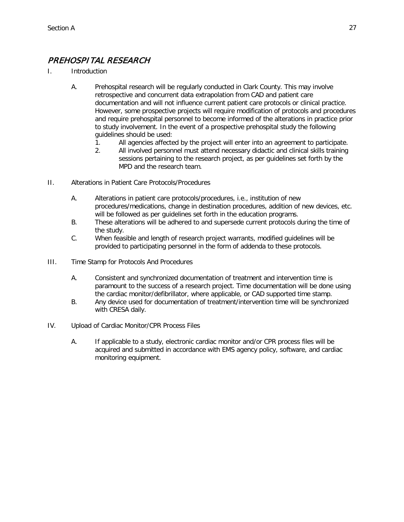## <span id="page-26-0"></span>PREHOSPITAL RESEARCH

- I. Introduction
	- A. Prehospital research will be regularly conducted in Clark County. This may involve retrospective and concurrent data extrapolation from CAD and patient care documentation and will not influence current patient care protocols or clinical practice. However, some prospective projects will require modification of protocols and procedures and require prehospital personnel to become informed of the alterations in practice prior to study involvement. In the event of a prospective prehospital study the following guidelines should be used:
		- 1. All agencies affected by the project will enter into an agreement to participate.
		- 2. All involved personnel must attend necessary didactic and clinical skills training sessions pertaining to the research project, as per guidelines set forth by the MPD and the research team.
- II. Alterations in Patient Care Protocols/Procedures
	- A. Alterations in patient care protocols/procedures, i.e., institution of new procedures/medications, change in destination procedures, addition of new devices, etc. will be followed as per quidelines set forth in the education programs.
	- B. These alterations will be adhered to and supersede current protocols during the time of the study.
	- C. When feasible and length of research project warrants, modified guidelines will be provided to participating personnel in the form of addenda to these protocols.
- III. Time Stamp for Protocols And Procedures
	- A. Consistent and synchronized documentation of treatment and intervention time is paramount to the success of a research project. Time documentation will be done using the cardiac monitor/defibrillator, where applicable, or CAD supported time stamp.
	- B. Any device used for documentation of treatment/intervention time will be synchronized with CRESA daily.
- IV. Upload of Cardiac Monitor/CPR Process Files
	- A. If applicable to a study, electronic cardiac monitor and/or CPR process files will be acquired and submitted in accordance with EMS agency policy, software, and cardiac monitoring equipment.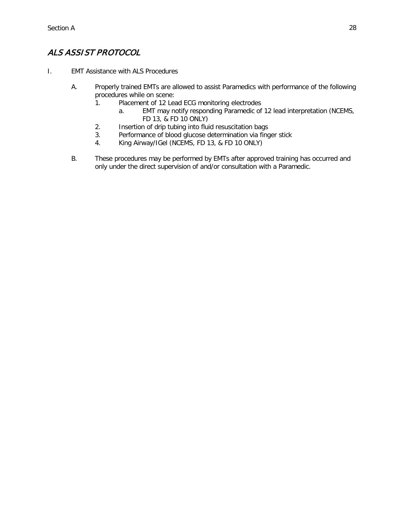## <span id="page-27-0"></span>ALS ASSIST PROTOCOL

- I. EMT Assistance with ALS Procedures
	- A. Properly trained EMTs are allowed to assist Paramedics with performance of the following procedures while on scene:
		- 1. Placement of 12 Lead ECG monitoring electrodes
			- a. EMT may notify responding Paramedic of 12 lead interpretation (NCEMS, FD 13, & FD 10 ONLY)
		- 2. Insertion of drip tubing into fluid resuscitation bags
		- 3. Performance of blood glucose determination via finger stick
		- 4. King Airway/IGel (NCEMS, FD 13, & FD 10 ONLY)
	- B. These procedures may be performed by EMTs after approved training has occurred and only under the direct supervision of and/or consultation with a Paramedic.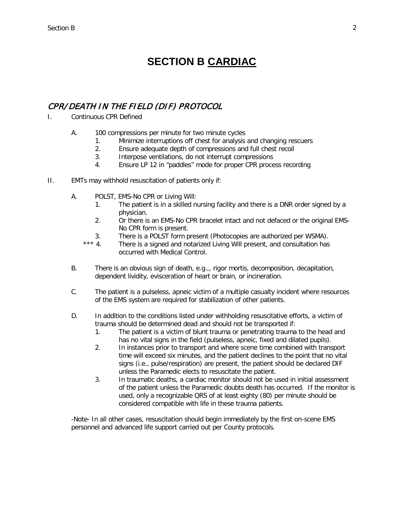## **SECTION B CARDIAC**

## <span id="page-28-1"></span><span id="page-28-0"></span>CPR/ DEATH IN THE FIELD (DIF) PROTOCOL

- I. Continuous CPR Defined
	- A. 100 compressions per minute for two minute cycles
		- 1. Minimize interruptions off chest for analysis and changing rescuers
		- 2. Ensure adequate depth of compressions and full chest recoil
		- 3. Interpose ventilations, do not interrupt compressions
		- 4. Ensure LP 12 in "paddles" mode for proper CPR process recording
- II. EMTs may withhold resuscitation of patients only if:
	- A. POLST, EMS-No CPR or Living Will:
		- 1. The patient is in a skilled nursing facility and there is a DNR order signed by a physician.
		- 2. Or there is an EMS-No CPR bracelet intact and not defaced or the original EMS-No CPR form is present.
		- 3. There is a POLST form present (Photocopies are authorized per WSMA).
		- \*\*\* 4. There is a signed and notarized Living Will present, and consultation has occurred with Medical Control.
	- B. There is an obvious sign of death, e.g.,, rigor mortis, decomposition, decapitation, dependent lividity, evisceration of heart or brain, or incineration.
	- C. The patient is a pulseless, apneic victim of a multiple casualty incident where resources of the EMS system are required for stabilization of other patients.
	- D. In addition to the conditions listed under withholding resuscitative efforts, a victim of trauma should be determined dead and should not be transported if:
		- 1. The patient is a victim of blunt trauma or penetrating trauma to the head and has no vital signs in the field (pulseless, apneic, fixed and dilated pupils).
		- 2. In instances prior to transport and where scene time combined with transport time will exceed six minutes, and the patient declines to the point that no vital signs (i.e., pulse/respiration) are present, the patient should be declared DIF unless the Paramedic elects to resuscitate the patient.
		- 3. In traumatic deaths, a cardiac monitor should not be used in initial assessment of the patient unless the Paramedic doubts death has occurred. If the monitor is used, only a recognizable QRS of at least eighty (80) per minute should be considered compatible with life in these trauma patients.

-Note- In all other cases, resuscitation should begin immediately by the first on-scene EMS personnel and advanced life support carried out per County protocols.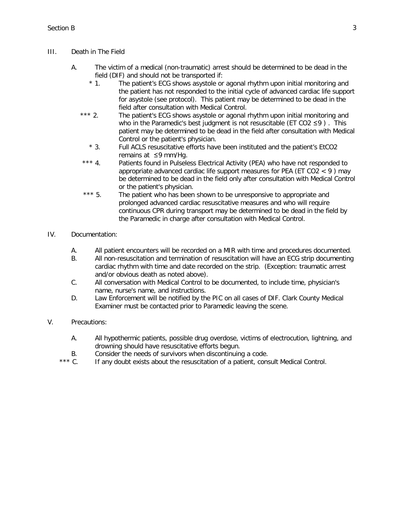#### III. Death in The Field

- A. The victim of a medical (non-traumatic) arrest should be determined to be dead in the field (DIF) and should not be transported if:
	- \* 1. The patient's ECG shows asystole or agonal rhythm upon initial monitoring and the patient has not responded to the initial cycle of advanced cardiac life support for asystole (see protocol). This patient may be determined to be dead in the field after consultation with Medical Control.
	- \*\*\* 2. The patient's ECG shows asystole or agonal rhythm upon initial monitoring and who in the Paramedic's best judgment is not resuscitable (ET CO2 ≤9 ) . This patient may be determined to be dead in the field after consultation with Medical Control or the patient's physician.
		- \* 3. Full ACLS resuscitative efforts have been instituted and the patient's EtCO2 remains at ≤9 mm/Hg.
	- \*\*\* 4. Patients found in Pulseless Electrical Activity (PEA) who have not responded to appropriate advanced cardiac life support measures for PEA (ET  $CO2 < 9$ ) may be determined to be dead in the field only after consultation with Medical Control or the patient's physician.
	- \*\*\* 5. The patient who has been shown to be unresponsive to appropriate and prolonged advanced cardiac resuscitative measures and who will require continuous CPR during transport may be determined to be dead in the field by the Paramedic in charge after consultation with Medical Control.

#### IV. Documentation:

- A. All patient encounters will be recorded on a MIR with time and procedures documented.
- B. All non-resuscitation and termination of resuscitation will have an ECG strip documenting cardiac rhythm with time and date recorded on the strip. (Exception: traumatic arrest and/or obvious death as noted above).
- C. All conversation with Medical Control to be documented, to include time, physician's name, nurse's name, and instructions.
- D. Law Enforcement will be notified by the PIC on all cases of DIF. Clark County Medical Examiner must be contacted prior to Paramedic leaving the scene.

#### V. Precautions:

- A. All hypothermic patients, possible drug overdose, victims of electrocution, lightning, and drowning should have resuscitative efforts begun.
- B. Consider the needs of survivors when discontinuing a code.<br>\*\*\* C. If any doubt exists about the resuscitation of a patient, cons
- If any doubt exists about the resuscitation of a patient, consult Medical Control.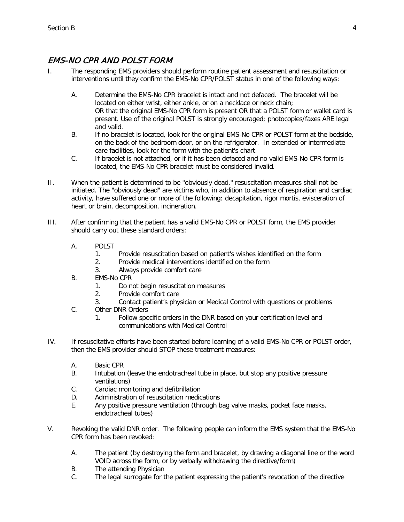## <span id="page-30-0"></span>EMS-NO CPR AND POLST FORM

- I. The responding EMS providers should perform routine patient assessment and resuscitation or interventions until they confirm the EMS-No CPR/POLST status in one of the following ways:
	- A. Determine the EMS-No CPR bracelet is intact and not defaced. The bracelet will be located on either wrist, either ankle, or on a necklace or neck chain; OR that the original EMS-No CPR form is present OR that a POLST form or wallet card is present. Use of the original POLST is strongly encouraged; photocopies/faxes ARE legal and valid.
	- B. If no bracelet is located, look for the original EMS-No CPR or POLST form at the bedside, on the back of the bedroom door, or on the refrigerator. In extended or intermediate care facilities, look for the form with the patient's chart.
	- C. If bracelet is not attached, or if it has been defaced and no valid EMS-No CPR form is located, the EMS-No CPR bracelet must be considered invalid.
- II. When the patient is determined to be "obviously dead," resuscitation measures shall not be initiated. The "obviously dead" are victims who, in addition to absence of respiration and cardiac activity, have suffered one or more of the following: decapitation, rigor mortis, evisceration of heart or brain, decomposition, incineration.
- III. After confirming that the patient has a valid EMS-No CPR or POLST form, the EMS provider should carry out these standard orders:
	- A. POLST
		- 1. Provide resuscitation based on patient's wishes identified on the form
		- 2. Provide medical interventions identified on the form
		- 3. Always provide comfort care
	- B. EMS-No CPR
		- 1. Do not begin resuscitation measures
		- 2. Provide comfort care
		- 3. Contact patient's physician or Medical Control with questions or problems
	- C. Other DNR Orders
		- 1. Follow specific orders in the DNR based on your certification level and communications with Medical Control
- IV. If resuscitative efforts have been started before learning of a valid EMS-No CPR or POLST order, then the EMS provider should STOP these treatment measures:
	- A. Basic CPR
	- B. Intubation (leave the endotracheal tube in place, but stop any positive pressure ventilations)
	- C. Cardiac monitoring and defibrillation
	- D. Administration of resuscitation medications
	- E. Any positive pressure ventilation (through bag valve masks, pocket face masks, endotracheal tubes)
- V. Revoking the valid DNR order. The following people can inform the EMS system that the EMS-No CPR form has been revoked:
	- A. The patient (by destroying the form and bracelet, by drawing a diagonal line or the word VOID across the form, or by verbally withdrawing the directive/form)
	- B. The attending Physician
	- C. The legal surrogate for the patient expressing the patient's revocation of the directive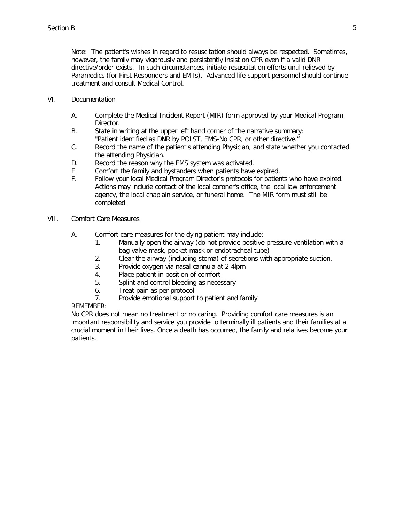Note: The patient's wishes in regard to resuscitation should always be respected. Sometimes, however, the family may vigorously and persistently insist on CPR even if a valid DNR directive/order exists. In such circumstances, initiate resuscitation efforts until relieved by Paramedics (for First Responders and EMTs). Advanced life support personnel should continue treatment and consult Medical Control.

- VI. Documentation
	- A. Complete the Medical Incident Report (MIR) form approved by your Medical Program Director.
	- B. State in writing at the upper left hand corner of the narrative summary: "Patient identified as DNR by POLST, EMS-No CPR, or other directive."
	- C. Record the name of the patient's attending Physician, and state whether you contacted the attending Physician.
	- D. Record the reason why the EMS system was activated.
	- E. Comfort the family and bystanders when patients have expired.
	- F. Follow your local Medical Program Director's protocols for patients who have expired. Actions may include contact of the local coroner's office, the local law enforcement agency, the local chaplain service, or funeral home. The MIR form must still be completed.
- VII. Comfort Care Measures
	- A. Comfort care measures for the dying patient may include:
		- 1. Manually open the airway (do not provide positive pressure ventilation with a bag valve mask, pocket mask or endotracheal tube)
		- 2. Clear the airway (including stoma) of secretions with appropriate suction.
		- 3. Provide oxygen via nasal cannula at 2-4lpm
		- 4. Place patient in position of comfort
		- 5. Splint and control bleeding as necessary
		- 6. Treat pain as per protocol
		- 7. Provide emotional support to patient and family

#### REMEMBER:

No CPR does not mean no treatment or no caring. Providing comfort care measures is an important responsibility and service you provide to terminally ill patients and their families at a crucial moment in their lives. Once a death has occurred, the family and relatives become your patients.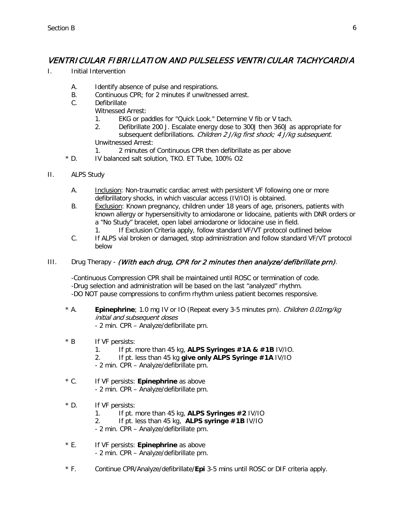## <span id="page-32-0"></span>VENTRICULAR FIBRILLATION AND PULSELESS VENTRICULAR TACHYCARDIA

- I. Initial Intervention
	- A. Identify absence of pulse and respirations.
	- B. Continuous CPR; for 2 minutes if unwitnessed arrest.
	- C. Defibrillate
		- Witnessed Arrest:
			- 1. EKG or paddles for "Quick Look." Determine V fib or V tach.
			- 2. Defibrillate 200 J. Escalate energy dose to 300J then 360J as appropriate for subsequent defibrillations. Children 2 J/kg first shock; 4 J/kg subsequent. Unwitnessed Arrest:
			- 1. 2 minutes of Continuous CPR then defibrillate as per above
	- \* D. IV balanced salt solution, TKO. ET Tube, 100% O2
- II. ALPS Study
	- A. Inclusion: Non-traumatic cardiac arrest with persistent VF following one or more defibrillatory shocks, in which vascular access (IV/IO) is obtained.
	- B. Exclusion: Known pregnancy, children under 18 years of age, prisoners, patients with known allergy or hypersensitivity to amiodarone or lidocaine, patients with DNR orders or a "No Study" bracelet, open label amiodarone or lidocaine use in field.
		- 1. If Exclusion Criteria apply, follow standard VF/VT protocol outlined below
	- C. If ALPS vial broken or damaged, stop administration and follow standard VF/VT protocol below

#### III. Drug Therapy - (With each drug, CPR for 2 minutes then analyze/ defibrillate prn).

-Continuous Compression CPR shall be maintained until ROSC or termination of code. -Drug selection and administration will be based on the last "analyzed" rhythm. -DO NOT pause compressions to confirm rhythm unless patient becomes responsive.

- \* A. **Epinephrine**; 1.0 mg IV or IO (Repeat every 3-5 minutes prn). Children 0.01mg/kg initial and subsequent doses - 2 min. CPR – Analyze/defibrillate prn.
- \* B If VF persists:
	- 1. If pt. more than 45 kg, **ALPS Syringes #1A & #1B** IV/IO.
	- 2. If pt. less than 45 kg **give only ALPS Syringe #1A** IV/IO
	- 2 min. CPR Analyze/defibrillate prn.
- \* C. If VF persists: **Epinephrine** as above - 2 min. CPR – Analyze/defibrillate prn.
- \* D. If VF persists:
	- 1. If pt. more than 45 kg, **ALPS Syringes #2** IV/IO
	- 2. If pt. less than 45 kg, **ALPS syringe #1B** IV/IO
	- 2 min. CPR Analyze/defibrillate prn.
- \* E. If VF persists: **Epinephrine** as above - 2 min. CPR – Analyze/defibrillate prn.
- \* F. Continue CPR/Analyze/defibrillate/**Epi** 3-5 mins until ROSC or DIF criteria apply.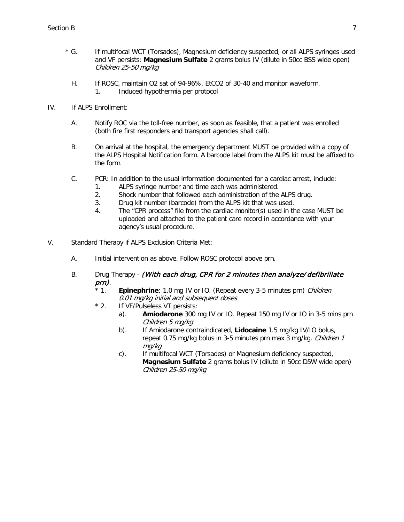- \* G. If multifocal WCT (Torsades), Magnesium deficiency suspected, or all ALPS syringes used and VF persists: **Magnesium Sulfate** 2 grams bolus IV (dilute in 50cc BSS wide open) Children 25-50 mg/kg
	- H. If ROSC, maintain O2 sat of 94-96%, EtCO2 of 30-40 and monitor waveform.
		- 1. Induced hypothermia per protocol
- IV. If ALPS Enrollment:
	- A. Notify ROC via the toll-free number, as soon as feasible, that a patient was enrolled (both fire first responders and transport agencies shall call).
	- B. On arrival at the hospital, the emergency department MUST be provided with a copy of the ALPS Hospital Notification form. A barcode label from the ALPS kit must be affixed to the form.
	- C. PCR: In addition to the usual information documented for a cardiac arrest, include:
		- 1. ALPS syringe number and time each was administered.
		- 2. Shock number that followed each administration of the ALPS drug.
		- 3. Drug kit number (barcode) from the ALPS kit that was used.
		- 4. The "CPR process" file from the cardiac monitor(s) used in the case MUST be uploaded and attached to the patient care record in accordance with your agency's usual procedure.
- V. Standard Therapy if ALPS Exclusion Criteria Met:
	- A. Initial intervention as above. Follow ROSC protocol above prn.
	- B. Drug Therapy (With each drug, CPR for 2 minutes then analyze/ defibrillate prn).
		- \* 1. **Epinephrine**; 1.0 mg IV or IO. (Repeat every 3-5 minutes prn) Children 0.01 mg/kg initial and subsequent doses
		- \* 2. If VF/Pulseless VT persists:
			- a). **Amiodarone** 300 mg IV or IO. Repeat 150 mg IV or IO in 3-5 mins prn Children 5 mg/kg
			- b). If Amiodarone contraindicated, **Lidocaine** 1.5 mg/kg IV/IO bolus, repeat 0.75 mg/kg bolus in 3-5 minutes prn max 3 mg/kg. Children 1 mg/kg
			- c). If multifocal WCT (Torsades) or Magnesium deficiency suspected, **Magnesium Sulfate** 2 grams bolus IV (dilute in 50cc D5W wide open) Children 25-50 mg/kg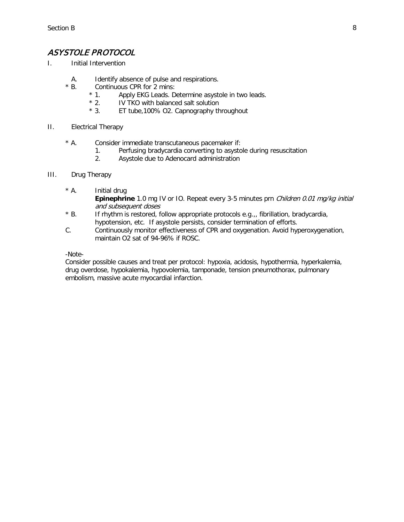## <span id="page-34-0"></span>ASYSTOLE PROTOCOL

- I. Initial Intervention
	- A. Identify absence of pulse and respirations.<br>
	\* R Continuous CPR for 2 mins:
	- Continuous CPR for 2 mins:<br>\* 1. Apply EKG Leads. De
		- \* 1. Apply EKG Leads. Determine asystole in two leads.<br>\* 2. IV TKO with balanced salt solution
		- \* 2. IV TKO with balanced salt solution<br>\* 3. ET tube.100% O2. Capnography th
		- ET tube,100% O2. Capnography throughout

#### II. Electrical Therapy

- \* A. Consider immediate transcutaneous pacemaker if:
	- 1. Perfusing bradycardia converting to asystole during resuscitation
	- 2. Asystole due to Adenocard administration
- III. Drug Therapy
	- \* A. Initial drug **Epinephrine** 1.0 mg IV or IO. Repeat every 3-5 minutes prn *Children 0.01 mg/kg initial* and subsequent doses
	- $*$  B. If rhythm is restored, follow appropriate protocols e.g.,, fibrillation, bradycardia, hypotension, etc. If asystole persists, consider termination of efforts.
	- C. Continuously monitor effectiveness of CPR and oxygenation. Avoid hyperoxygenation, maintain O2 sat of 94-96% if ROSC.

-Note-

Consider possible causes and treat per protocol: hypoxia, acidosis, hypothermia, hyperkalemia, drug overdose, hypokalemia, hypovolemia, tamponade, tension pneumothorax, pulmonary embolism, massive acute myocardial infarction.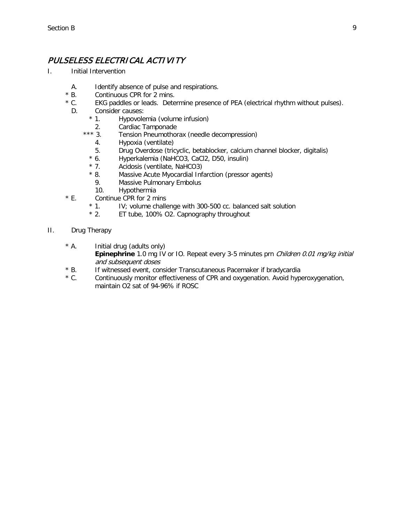## <span id="page-35-0"></span>PULSELESS ELECTRICAL ACTIVITY

- I. Initial Intervention
	- A. Identify absence of pulse and respirations.
	- \* B. Continuous CPR for 2 mins.<br>\* C. EKG paddles or leads. Dete
	- EKG paddles or leads. Determine presence of PEA (electrical rhythm without pulses).
	- D. Consider causes:
		- \* 1. Hypovolemia (volume infusion)
		- 2. Cardiac Tamponade<br>\*\*\* 3. Tension Pneumothor
			- Tension Pneumothorax (needle decompression)
				- 4. Hypoxia (ventilate)
			- 5. Drug Overdose (tricyclic, betablocker, calcium channel blocker, digitalis)
			- \* 6. Hyperkalemia (NaHCO3, CaCl2, D50, insulin)<br>\* 7. Acidosis (ventilate, NaHCO3)
			- Acidosis (ventilate, NaHCO3)
			- \* 8. Massive Acute Myocardial Infarction (pressor agents)
			- 9. Massive Pulmonary Embolus
			- 10. Hypothermia
	- $*$  E. Continue CPR for 2 mins<br> $*$  1. IV; volume challe
		- \* 1. IV; volume challenge with 300-500 cc. balanced salt solution  $*$  2. ET tube. 100% O2. Capnography throughout
		- ET tube, 100% O2. Capnography throughout
- II. Drug Therapy
	- \* A. Initial drug (adults only) **Epinephrine** 1.0 mg IV or IO. Repeat every 3-5 minutes prn *Children 0.01 mg/kg initial* and subsequent doses
	- \* B. If witnessed event, consider Transcutaneous Pacemaker if bradycardia<br>\* C. Continuously monitor effectiveness of CPR and oxygenation. Avoid hype
	- Continuously monitor effectiveness of CPR and oxygenation. Avoid hyperoxygenation, maintain O2 sat of 94-96% if ROSC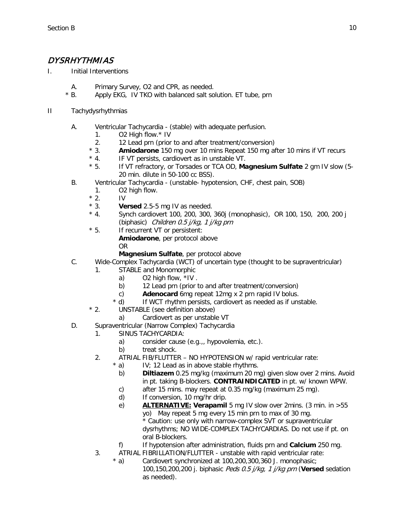### DYSRHYTHMIAS

- I. Initial Interventions
	- A. Primary Survey, O2 and CPR, as needed.
	- \* B. Apply EKG, IV TKO with balanced salt solution. ET tube, prn
- II Tachydysrhythmias
	- A. Ventricular Tachycardia (stable) with adequate perfusion.
		- 1. O2 High flow.\* IV
		- 2. 12 Lead prn (prior to and after treatment/conversion)
		- \* 3. **Amiodarone** 150 mg over 10 mins Repeat 150 mg after 10 mins if VT recurs
		- \* 4. IF VT persists, cardiovert as in unstable VT.
		- \* 5. If VT refractory, or Torsades or TCA OD, **Magnesium Sulfate** 2 gm IV slow (5- 20 min. dilute in 50-100 cc BSS).
	- B. Ventricular Tachycardia (unstable- hypotension, CHF, chest pain, SOB)
		- 1. O2 high flow.
		- $*$  2. IV<br> $*$  3. Ve
		- \* 3. **Versed** 2.5-5 mg IV as needed.
		- Synch cardiovert 100, 200, 300, 360j (monophasic), OR 100, 150, 200, 200 j (biphasic) Children 0.5 j/kg, 1 j/kg prn
		- \* 5. If recurrent VT or persistent:

**Amiodarone**, per protocol above OR

- **Magnesium Sulfate**, per protocol above
- C. Wide-Complex Tachycardia (WCT) of uncertain type (thought to be supraventricular)
	- 1. STABLE and Monomorphic
		- a) O2 high flow, \*IV .
		- b) 12 Lead prn (prior to and after treatment/conversion)
		- c) **Adenocard** 6mg repeat 12mg x 2 prn rapid IV bolus.
		- d) If WCT rhythm persists, cardiovert as needed as if unstable.
	- \* 2. UNSTABLE (see definition above)
		- a) Cardiovert as per unstable VT
- D. Supraventricular (Narrow Complex) Tachycardia
	- 1. SINUS TACHYCARDIA:
		- a) consider cause (e.g.,, hypovolemia, etc.).
		- b) treat shock.
	- 2. ATRIAL FIB/FLUTTER NO HYPOTENSION w/ rapid ventricular rate:<br>  $* a$ ) IV: 12 Lead as in above stable rhythms.
		- $IV;$  12 Lead as in above stable rhythms.
			- b) **Diltiazem** 0.25 mg/kg (maximum 20 mg) given slow over 2 mins. Avoid in pt. taking B-blockers. **CONTRAINDICATED** in pt. w/ known WPW.
			- c) after 15 mins. may repeat at 0.35 mg/kg (maximum 25 mg).
			- d) If conversion, 10 mg/hr drip.
			- e) **ALTERNATIVE: Verapamil** 5 mg IV slow over 2mins. (3 min. in >55 yo) May repeat 5 mg every 15 min prn to max of 30 mg. \* Caution: use only with narrow-complex SVT or supraventricular dysrhythms; NO WIDE-COMPLEX TACHYCARDIAS. Do not use if pt. on oral B-blockers.
		- f) If hypotension after administration, fluids prn and **Calcium** 250 mg.
	- 3. ATRIAL FIBRILLATION/FLUTTER unstable with rapid ventricular rate:
		- \* a) Cardiovert synchronized at 100,200,300,360 J. monophasic; 100,150,200,200 j. biphasic Peds 0.5 j/kg, 1 j/kg prn (**Versed** sedation as needed).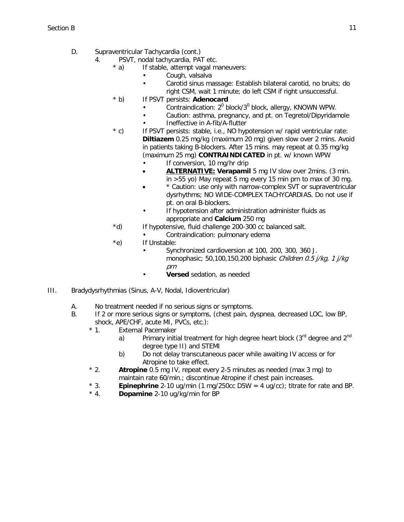- D. Supraventricular Tachycardia (cont.)
	- 4. PSVT, nodal tachycardia, PAT etc.
		- \* a) If stable, attempt vagal maneuvers:
			- Cough, valsalva
			- Carotid sinus massage: Establish bilateral carotid, no bruits; do right CSM, wait 1 minute; do left CSM if right unsuccessful.
		- \* b) If PSVT persists: **Adenocard**
			- Contraindication:  $2^0$  block/ $3^0$  block, allergy, KNOWN WPW.
			- Caution: asthma, pregnancy, and pt. on Tegretol/Dipyridamole
			- Ineffective in A-fib/A-flutter
		- \* c) If PSVT persists: stable, i.e., NO hypotension w/ rapid ventricular rate: **Diltiazem** 0.25 mg/kg (maximum 20 mg) given slow over 2 mins. Avoid in patients taking B-blockers. After 15 mins. may repeat at 0.35 mg/kg (maximum 25 mg) **CONTRAINDICATED** in pt. w/ known WPW
			- If conversion, 10 mg/hr drip
			- **ALTERNATIVE: Verapamil** 5 mg IV slow over 2mins. (3 min. in >55 yo) May repeat 5 mg every 15 min prn to max of 30 mg.
			- \* Caution: use only with narrow-complex SVT or supraventricular dysrhythms; NO WIDE-COMPLEX TACHYCARDIAS. Do not use if pt. on oral B-blockers.
			- If hypotension after administration administer fluids as appropriate and **Calcium** 250 mg
		- \*d) If hypotensive, fluid challenge 200-300 cc balanced salt.
			- Contraindication: pulmonary edema
		- \*e) If Unstable:
			- Synchronized cardioversion at 100, 200, 300, 360 J. monophasic; 50,100,150,200 biphasic Children 0.5 j/kg, 1 j/kg prn
				- **Versed** sedation, as needed
- III. Bradydysrhythmias (Sinus, A-V, Nodal, Idioventricular)
	- A. No treatment needed if no serious signs or symptoms.
	- B. If 2 or more serious signs or symptoms, (chest pain, dyspnea, decreased LOC, low BP, shock, APE/CHF, acute MI, PVCs, etc.):<br>\* 1. External Pacemaker
		- External Pacemaker
			- a) Primary initial treatment for high degree heart block  $(3^{rd}$  degree and  $2^{nd}$ degree type II) and STEMI
			- b) Do not delay transcutaneous pacer while awaiting IV access or for Atropine to take effect.
		- \* 2. **Atropine** 0.5 mg IV, repeat every 2-5 minutes as needed (max 3 mg) to maintain rate 60/min.; discontinue Atropine if chest pain increases.
		- \* 3. **Epinephrine** 2-10 ug/min (1 mg/250cc D5W = 4 ug/cc); titrate for rate and BP.
		- **Dopamine** 2-10 ug/kg/min for BP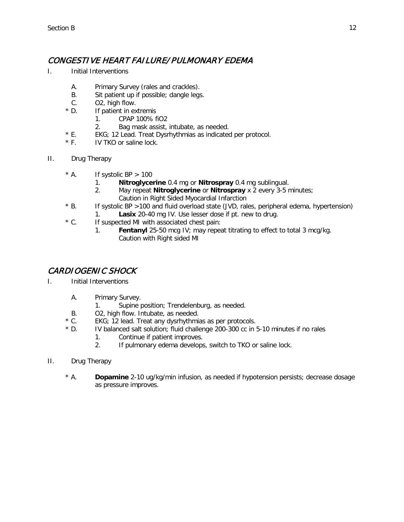#### CONGESTIVE HEART FAILURE/ PULMONARY EDEMA

- I. Initial Interventions
	- A. Primary Survey (rales and crackles).
	- B. Sit patient up if possible; dangle legs.
	- C. O2, high flow.
	- \* D. If patient in extremis
		- 1. CPAP 100% fiO2
		- 2. Bag mask assist, intubate, as needed.
	- \* E. EKG; 12 Lead. Treat Dysrhythmias as indicated per protocol.<br>\* F. IV TKO or saline lock.
	- IV TKO or saline lock.
- II. Drug Therapy
	- $*$  A. If systolic BP  $> 100$ 
		- 1. **Nitroglycerine** 0.4 mg or **Nitrospray** 0.4 mg sublingual.
		- 2. May repeat **Nitroglycerine** or **Nitrospray** x 2 every 3-5 minutes; Caution in Right Sided Myocardial Infarction
	- \* B. If systolic BP >100 and fluid overload state (JVD, rales, peripheral edema, hypertension) 1. **Lasix** 20-40 mg IV. Use lesser dose if pt. new to drug.
	- \* C. If suspected MI with associated chest pain:
		- 1. **Fentanyl** 25-50 mcg IV; may repeat titrating to effect to total 3 mcg/kg. Caution with Right sided MI

#### CARDIOGENIC SHOCK

- I. Initial Interventions
	- A. Primary Survey.
		- 1. Supine position; Trendelenburg, as needed.
	- B. O2, high flow. Intubate, as needed.
	- \* C. EKG; 12 lead. Treat any dysrhythmias as per protocols.
	- \* D. IV balanced salt solution; fluid challenge 200-300 cc in 5-10 minutes if no rales
		- 1. Continue if patient improves.
		- 2. If pulmonary edema develops, switch to TKO or saline lock.
- II. Drug Therapy
	- \* A. **Dopamine** 2-10 ug/kg/min infusion, as needed if hypotension persists; decrease dosage as pressure improves.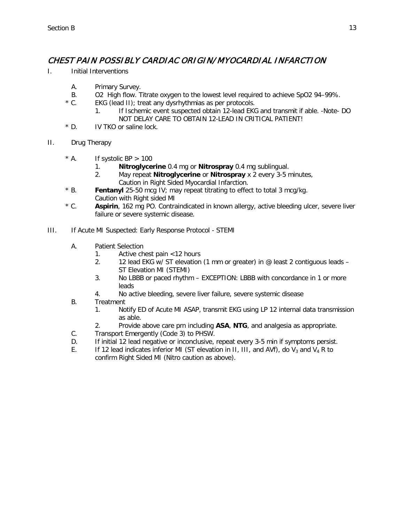### CHEST PAIN POSSIBLY CARDIAC ORIGIN/ MYOCARDIAL INFARCTION

- I. Initial Interventions
	- A. Primary Survey.
	- B. O2 High flow. Titrate oxygen to the lowest level required to achieve SpO2 94-99%.<br>
	\* C. EKG (lead II): treat any dysrhythmias as per protocols.
	- EKG (lead II); treat any dysrhythmias as per protocols.
		- 1. If Ischemic event suspected obtain 12-lead EKG and transmit if able. -Note- DO NOT DELAY CARE TO OBTAIN 12-LEAD IN CRITICAL PATIENT!
	- \* D. IV TKO or saline lock.
- II. Drug Therapy
	- $*$  A. If systolic BP  $> 100$ 
		- 1. **Nitroglycerine** 0.4 mg or **Nitrospray** 0.4 mg sublingual.
		- 2. May repeat **Nitroglycerine** or **Nitrospray** x 2 every 3-5 minutes, Caution in Right Sided Myocardial Infarction.
	- \* B. **Fentanyl** 25-50 mcg IV; may repeat titrating to effect to total 3 mcg/kg. Caution with Right sided MI
	- \* C. **Aspirin**, 162 mg PO. Contraindicated in known allergy, active bleeding ulcer, severe liver failure or severe systemic disease.
- III. If Acute MI Suspected: Early Response Protocol STEMI
	- A. Patient Selection
		- 1. Active chest pain <12 hours
		- 2. 12 lead EKG w/ ST elevation (1 mm or greater) in @ least 2 contiguous leads ST Elevation MI (STEMI)
		- 3. No LBBB or paced rhythm EXCEPTION: LBBB with concordance in 1 or more leads
		- 4. No active bleeding, severe liver failure, severe systemic disease
	- B. Treatment
		- 1. Notify ED of Acute MI ASAP, transmit EKG using LP 12 internal data transmission as able.
		- 2. Provide above care prn including **ASA**, **NTG**, and analgesia as appropriate.
	- C. Transport Emergently (Code 3) to PHSW.
	- D. If initial 12 lead negative or inconclusive, repeat every 3-5 min if symptoms persist.
	- E. If 12 lead indicates inferior MI (ST elevation in II, III, and AVf), do V<sub>3</sub> and V<sub>4</sub> R to confirm Right Sided MI (Nitro caution as above).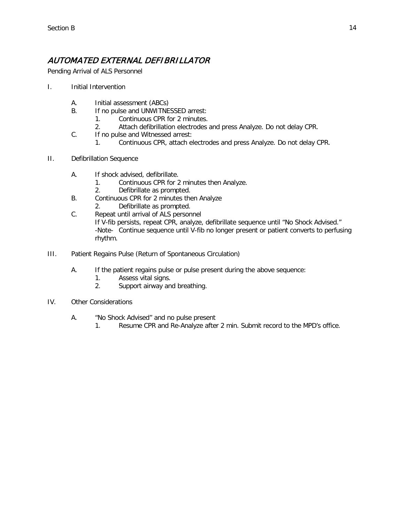## AUTOMATED EXTERNAL DEFIBRILLATOR

Pending Arrival of ALS Personnel

- I. Initial Intervention
	- A. Initial assessment (ABCs)
	- B. If no pulse and UNWITNESSED arrest:
		- 1. Continuous CPR for 2 minutes.
		- 2. Attach defibrillation electrodes and press Analyze. Do not delay CPR.
	- C. If no pulse and Witnessed arrest:
		- 1. Continuous CPR, attach electrodes and press Analyze. Do not delay CPR.
- II. Defibrillation Sequence
	- A. If shock advised, defibrillate.
		- 1. Continuous CPR for 2 minutes then Analyze.
		- 2. Defibrillate as prompted.
	- B. Continuous CPR for 2 minutes then Analyze
		- 2. Defibrillate as prompted.
	- C. Repeat until arrival of ALS personnel If V-fib persists, repeat CPR, analyze, defibrillate sequence until "No Shock Advised." -Note- Continue sequence until V-fib no longer present or patient converts to perfusing rhythm.
- III. Patient Regains Pulse (Return of Spontaneous Circulation)
	- A. If the patient regains pulse or pulse present during the above sequence:
		- 1. Assess vital signs.
			- 2. Support airway and breathing.
- IV. Other Considerations
	- A. "No Shock Advised" and no pulse present
		- 1. Resume CPR and Re-Analyze after 2 min. Submit record to the MPD's office.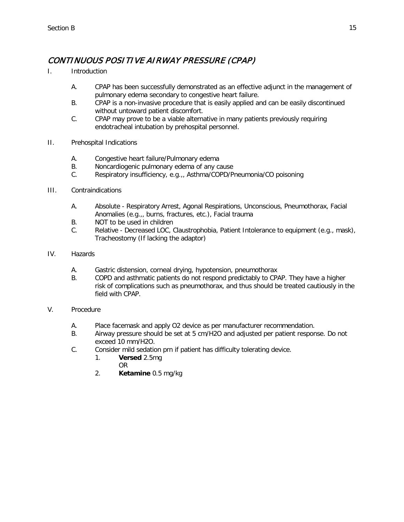## CONTINUOUS POSITIVE AIRWAY PRESSURE (CPAP)

- I. Introduction
	- A. CPAP has been successfully demonstrated as an effective adjunct in the management of pulmonary edema secondary to congestive heart failure.
	- B. CPAP is a non-invasive procedure that is easily applied and can be easily discontinued without untoward patient discomfort.
	- C. CPAP may prove to be a viable alternative in many patients previously requiring endotracheal intubation by prehospital personnel.
- II. Prehospital Indications
	- A. Congestive heart failure/Pulmonary edema
	- B. Noncardiogenic pulmonary edema of any cause
	- C. Respiratory insufficiency, e.g.,, Asthma/COPD/Pneumonia/CO poisoning
- III. Contraindications
	- A. Absolute Respiratory Arrest, Agonal Respirations, Unconscious, Pneumothorax, Facial Anomalies (e.g.,, burns, fractures, etc.), Facial trauma
	- B. NOT to be used in children
	- C. Relative Decreased LOC, Claustrophobia, Patient Intolerance to equipment (e.g., mask), Tracheostomy (If lacking the adaptor)
- IV. Hazards
	- A. Gastric distension, corneal drying, hypotension, pneumothorax
	- B. COPD and asthmatic patients do not respond predictably to CPAP. They have a higher risk of complications such as pneumothorax, and thus should be treated cautiously in the field with CPAP.

#### V. Procedure

- A. Place facemask and apply O2 device as per manufacturer recommendation.
- B. Airway pressure should be set at 5 cm/H2O and adjusted per patient response. Do not exceed 10 mm/H2O.
- C. Consider mild sedation prn if patient has difficulty tolerating device.
	- 1. **Versed** 2.5mg OR
	- 2. **Ketamine** 0.5 mg/kg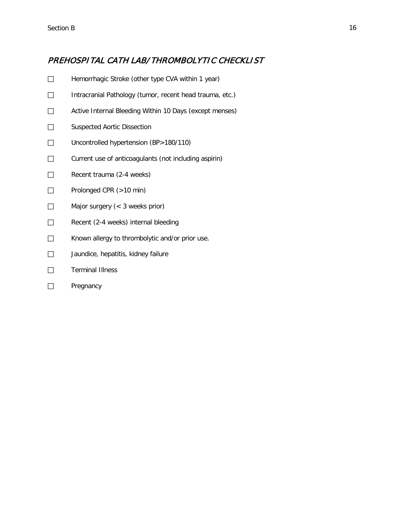#### PREHOSPITAL CATH LAB/ THROMBOLYTIC CHECKLIST

- Hemorrhagic Stroke (other type CVA within 1 year)
- □ Intracranial Pathology (tumor, recent head trauma, etc.)
- □ Active Internal Bleeding Within 10 Days (except menses)
- □ Suspected Aortic Dissection
- □ Uncontrolled hypertension (BP>180/110)
- □ Current use of anticoagulants (not including aspirin)
- $\Box$  Recent trauma (2-4 weeks)
- □ Prolonged CPR (>10 min)
- □ Major surgery (< 3 weeks prior)
- $\Box$  Recent (2-4 weeks) internal bleeding
- □ Known allergy to thrombolytic and/or prior use.
- $\Box$  Jaundice, hepatitis, kidney failure
- □ Terminal Illness
- □ Pregnancy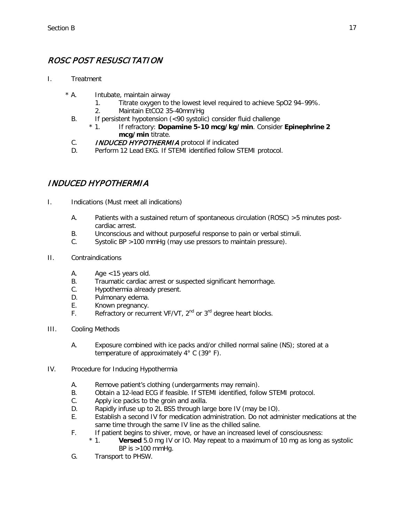## ROSC POST RESUSCITATION

- I. Treatment
	- \* A. Intubate, maintain airway
		- 1. Titrate oxygen to the lowest level required to achieve SpO2 94–99%.
		- 2. Maintain EtCO2 35-40mm/Hg
		- B. If persistent hypotension (<90 systolic) consider fluid challenge<br>\* 1. If refractory: **Dopamine 5-10 mcg/kg/min**. Consider
			- \* 1. If refractory: **Dopamine 5-10 mcg/kg/min**. Consider **Epinephrine 2 mcg/min** titrate.
		- C. **INDUCED HYPOTHERMIA** protocol if indicated
		- D. Perform 12 Lead EKG. If STEMI identified follow STEMI protocol.

### INDUCED HYPOTHERMIA

- I. Indications (Must meet all indications)
	- A. Patients with a sustained return of spontaneous circulation (ROSC) >5 minutes postcardiac arrest.
	- B. Unconscious and without purposeful response to pain or verbal stimuli.
	- C. Systolic BP >100 mmHg (may use pressors to maintain pressure).
- II. Contraindications
	- A. Age <15 years old.
	- B. Traumatic cardiac arrest or suspected significant hemorrhage.
	- C. Hypothermia already present.
	- D. Pulmonary edema.
	- E. Known pregnancy.
	- F. Refractory or recurrent VF/VT, 2<sup>nd</sup> or 3<sup>rd</sup> degree heart blocks.
- III. Cooling Methods
	- A. Exposure combined with ice packs and/or chilled normal saline (NS); stored at a temperature of approximately 4° C (39° F).
- IV. Procedure for Inducing Hypothermia
	- A. Remove patient's clothing (undergarments may remain).
	- B. Obtain a 12-lead ECG if feasible. If STEMI identified, follow STEMI protocol.
	- C. Apply ice packs to the groin and axilla.
	- D. Rapidly infuse up to 2L BSS through large bore IV (may be IO).
	- E. Establish a second IV for medication administration. Do not administer medications at the same time through the same IV line as the chilled saline.
	- F. If patient begins to shiver, move, or have an increased level of consciousness:
		- \* 1. **Versed** 5.0 mg IV or IO. May repeat to a maximum of 10 mg as long as systolic BP is  $>100$  mmHq.
	- G. Transport to PHSW.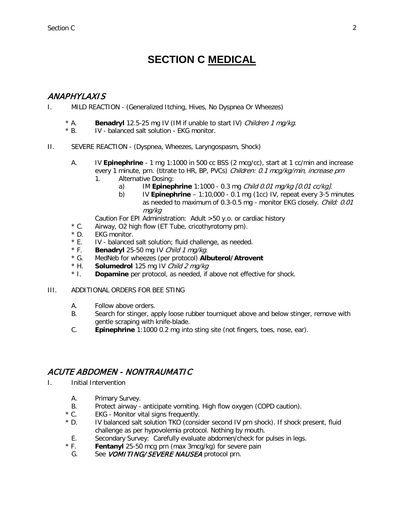# **SECTION C MEDICAL**

#### <span id="page-44-0"></span>ANAPHYLAXIS

- I. MILD REACTION (Generalized Itching, Hives, No Dyspnea Or Wheezes)
	- \* A. **Benadryl** 12.5-25 mg IV (IM if unable to start IV) *Children 1 mg/kg.*<br>\* B. IV balanced salt solution EKG monitor.
	- IV balanced salt solution EKG monitor.
- II. SEVERE REACTION (Dyspnea, Wheezes, Laryngospasm, Shock)
	- A. IV **Epinephrine** 1 mg 1:1000 in 500 cc BSS (2 mcg/cc), start at 1 cc/min and increase every 1 minute, prn. (titrate to HR, BP, PVCs) Children: 0.1 mcq/kg/min, increase prn
		- 1. Alternative Dosing:
			- a) IM **Epinephrine** 1:1000 0.3 mg Child 0.01 mg/kg [0.01 cc/kg].
			- b) IV **Epinephrine** 1:10,000 0.1 mg (1cc) IV, repeat every 3-5 minutes as needed to maximum of 0.3-0.5 mg - monitor EKG closely. Child: 0.01 mg/kg
		- Caution For EPI Administration: Adult >50 y.o. or cardiac history
	- \* C. Airway, O2 high flow (ET Tube, cricothyrotomy prn).
	- $*$  D. EKG monitor.<br> $*$  E. IV balanced
	- \* E. IV balanced salt solution; fluid challenge, as needed.<br>\* F. Benadryl 25-50 mg IV Child 1 ma/ka.
	- \* F. **Benadryl** 25-50 mg IV *Child 1 mg/kg.*<br>\* G. MedNeb for wheezes (per protocol) Alb
	- MedNeb for wheezes (per protocol) **Albuterol/Atrovent**
	- \* H. **Solumedrol** 125 mg IV Child 2 mg/kg
	- **Dopamine** per protocol, as needed, if above not effective for shock.
- III. ADDITIONAL ORDERS FOR BEE STING
	- A. Follow above orders.
	- B. Search for stinger, apply loose rubber tourniquet above and below stinger, remove with gentle scraping with knife-blade.
	- C. **Epinephrine** 1:1000 0.2 mg into sting site (not fingers, toes, nose, ear).

#### ACUTE ABDOMEN - NONTRAUMATIC

- I. Initial Intervention
	- A. Primary Survey.
	- B. Protect airway anticipate vomiting. High flow oxygen (COPD caution).<br>\* C. EKG Monitor vital signs frequently.
	- EKG Monitor vital signs frequently.
	- \* D. IV balanced salt solution TKO (consider second IV prn shock). If shock present, fluid challenge as per hypovolemia protocol. Nothing by mouth.
	- E. Secondary Survey: Carefully evaluate abdomen/check for pulses in legs.
	- \* F. **Fentanyl** 25-50 mcg prn (max 3mcg/kg) for severe pain
	- G. See *VOMITING/SEVERE NAUSEA* protocol prn.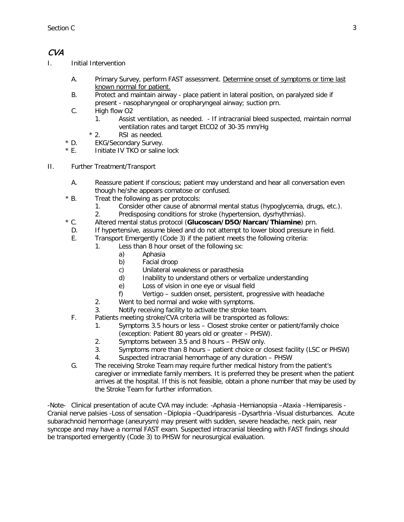#### CVA

- I. Initial Intervention
	- A. Primary Survey, perform FAST assessment. Determine onset of symptoms or time last known normal for patient.
	- B. Protect and maintain airway place patient in lateral position, on paralyzed side if present - nasopharyngeal or oropharyngeal airway; suction prn.
	- C. High flow O2
		- 1. Assist ventilation, as needed. If intracranial bleed suspected, maintain normal ventilation rates and target EtCO2 of 30-35 mm/Hg
		- \* 2. RSI as needed.
	- \* D. EKG/Secondary Survey.
	- \* E. Initiate IV TKO or saline lock
- II. Further Treatment/Transport
	- A. Reassure patient if conscious; patient may understand and hear all conversation even though he/she appears comatose or confused.
	- \* B. Treat the following as per protocols:
		- 1. Consider other cause of abnormal mental status (hypoglycemia, drugs, etc.).
		- 2. Predisposing conditions for stroke (hypertension, dysrhythmias).
	- \* C. Altered mental status protocol (**Glucoscan/D5O/Narcan/Thiamine**) prn.
	- D. If hypertensive, assume bleed and do not attempt to lower blood pressure in field.
	- E. Transport Emergently (Code 3) if the patient meets the following criteria:
		- 1. Less than 8 hour onset of the following sx:
			- a) Aphasia
			- b) Facial droop
			- c) Unilateral weakness or parasthesia
			- d) Inability to understand others or verbalize understanding
			- e) Loss of vision in one eye or visual field
			- f) Vertigo sudden onset, persistent, progressive with headache
			- 2. Went to bed normal and woke with symptoms.
			- 3. Notify receiving facility to activate the stroke team.
	- F. Patients meeting stroke/CVA criteria will be transported as follows:
		- 1. Symptoms 3.5 hours or less Closest stroke center or patient/family choice (exception: Patient 80 years old or greater – PHSW).
		- 2. Symptoms between 3.5 and 8 hours PHSW only.
		- 3. Symptoms more than 8 hours patient choice or closest facility (LSC or PHSW)
		- 4. Suspected intracranial hemorrhage of any duration PHSW
	- G. The receiving Stroke Team may require further medical history from the patient's caregiver or immediate family members. It is preferred they be present when the patient arrives at the hospital. If this is not feasible, obtain a phone number that may be used by the Stroke Team for further information.

-Note- Clinical presentation of acute CVA may include: -Aphasia -Hemianopsia –Ataxia –Hemiparesis - Cranial nerve palsies -Loss of sensation –Diplopia –Quadriparesis –Dysarthria -Visual disturbances. Acute subarachnoid hemorrhage (aneurysm) may present with sudden, severe headache, neck pain, near syncope and may have a normal FAST exam. Suspected intracranial bleeding with FAST findings should be transported emergently (Code 3) to PHSW for neurosurgical evaluation.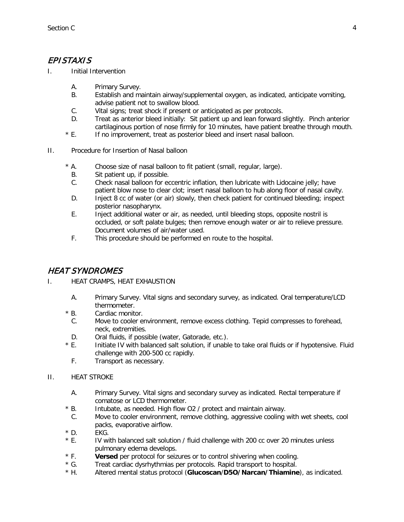### EPISTAXIS

I. Initial Intervention

- A. Primary Survey.
- B. Establish and maintain airway/supplemental oxygen, as indicated, anticipate vomiting, advise patient not to swallow blood.
- C. Vital signs; treat shock if present or anticipated as per protocols.
- D. Treat as anterior bleed initially: Sit patient up and lean forward slightly. Pinch anterior cartilaginous portion of nose firmly for 10 minutes, have patient breathe through mouth.
- \* E. If no improvement, treat as posterior bleed and insert nasal balloon.
- II. Procedure for Insertion of Nasal balloon
	- \* A. Choose size of nasal balloon to fit patient (small, regular, large).
		- B. Sit patient up, if possible.
		- C. Check nasal balloon for eccentric inflation, then lubricate with Lidocaine jelly; have patient blow nose to clear clot; insert nasal balloon to hub along floor of nasal cavity.
		- D. Inject 8 cc of water (or air) slowly, then check patient for continued bleeding; inspect posterior nasopharynx.
		- E. Inject additional water or air, as needed, until bleeding stops, opposite nostril is occluded, or soft palate bulges; then remove enough water or air to relieve pressure. Document volumes of air/water used.
		- F. This procedure should be performed en route to the hospital.

## HEAT SYNDROMES

- I. HEAT CRAMPS, HEAT EXHAUSTION
	- A. Primary Survey. Vital signs and secondary survey, as indicated. Oral temperature/LCD thermometer.
	- \* B. Cardiac monitor.
	- C. Move to cooler environment, remove excess clothing. Tepid compresses to forehead, neck, extremities.
	- D. Oral fluids, if possible (water, Gatorade, etc.).
	- \* E. Initiate IV with balanced salt solution, if unable to take oral fluids or if hypotensive. Fluid challenge with 200-500 cc rapidly.
	- F. Transport as necessary.
- II. HEAT STROKE
	- A. Primary Survey. Vital signs and secondary survey as indicated. Rectal temperature if comatose or LCD thermometer.
	- \* B. Intubate, as needed. High flow O2 / protect and maintain airway.
	- C. Move to cooler environment, remove clothing, aggressive cooling with wet sheets, cool packs, evaporative airflow.
	- $*$  D. EKG.
	- \* E. IV with balanced salt solution / fluid challenge with 200 cc over 20 minutes unless pulmonary edema develops.
	- \* F. **Versed** per protocol for seizures or to control shivering when cooling.
	- \* G. Treat cardiac dysrhythmias per protocols. Rapid transport to hospital.
	- \* H. Altered mental status protocol (**Glucoscan**/**D5O/Narcan/Thiamine**), as indicated.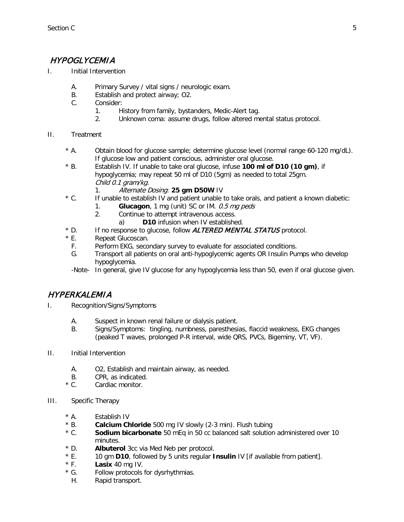## HYPOGLYCEMIA

- I. Initial Intervention
	- A. Primary Survey / vital signs / neurologic exam.
	- B. Establish and protect airway; O2.
	- C. Consider:
		- 1. History from family, bystanders, Medic-Alert tag.
		- 2. Unknown coma: assume drugs, follow altered mental status protocol.
- II. Treatment
	- \* A. Obtain blood for glucose sample; determine glucose level (normal range 60-120 mg/dL). If glucose low and patient conscious, administer oral glucose.
	- \* B. Establish IV. If unable to take oral glucose, infuse **100 ml of D10 (10 gm)**, if hypoglycemia; may repeat 50 ml of D10 (5gm) as needed to total 25gm. Child 0.1 gram/kg.
		- 1. Alternate Dosing: **25 gm D50W** IV
	- \* C. If unable to establish IV and patient unable to take orals, and patient a known diabetic:
		- 1. **Glucagon**, 1 mg (unit) SC or IM. 0.5 mg peds
		- 2. Continue to attempt intravenous access.
			- a) **D10** infusion when IV established.
	- \* D. If no response to glucose, follow **ALTERED MENTAL STATUS** protocol.
	- \* E. Repeat Glucoscan.
		- F. Perform EKG, secondary survey to evaluate for associated conditions.
		- G. Transport all patients on oral anti-hypoglycemic agents OR Insulin Pumps who develop hypoglycemia.
		- -Note- In general, give IV glucose for any hypoglycemia less than 50, even if oral glucose given.

#### HYPERKALEMIA

- I. Recognition/Signs/Symptoms
	- A. Suspect in known renal failure or dialysis patient.
	- B. Signs/Symptoms: tingling, numbness, paresthesias, flaccid weakness, EKG changes (peaked T waves, prolonged P-R interval, wide QRS, PVCs, Bigeminy, VT, VF).
- II. Initial Intervention
	- A. O2, Establish and maintain airway, as needed.
	- B. CPR, as indicated.<br>
	Solution Cardiac monitor.
	- Cardiac monitor.
- III. Specific Therapy
	- \* A. Establish IV
	- \* B. **Calcium Chloride** 500 mg IV slowly (2-3 min). Flush tubing
	- \* C. **Sodium bicarbonate** 50 mEq in 50 cc balanced salt solution administered over 10 minutes.
	- \* D. **Albuterol** 3cc via Med Neb per protocol.
	- \* E. 10 gm **D10**, followed by 5 units regular **Insulin** IV [if available from patient].
	- \* F. **Lasix** 40 mg IV.
	- \* G. Follow protocols for dysrhythmias.
		- H. Rapid transport.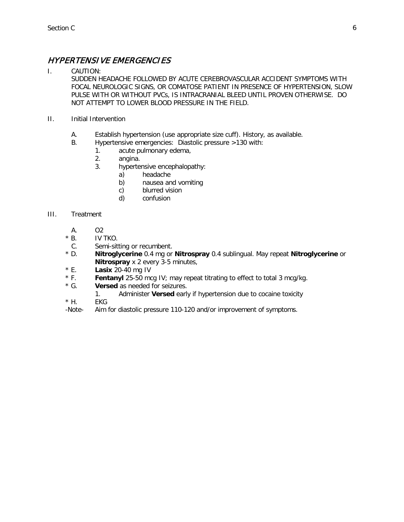### HYPERTENSIVE EMERGENCIES

I. CAUTION:

SUDDEN HEADACHE FOLLOWED BY ACUTE CEREBROVASCULAR ACCIDENT SYMPTOMS WITH FOCAL NEUROLOGIC SIGNS, OR COMATOSE PATIENT IN PRESENCE OF HYPERTENSION, SLOW PULSE WITH OR WITHOUT PVCs, IS INTRACRANIAL BLEED UNTIL PROVEN OTHERWISE. DO NOT ATTEMPT TO LOWER BLOOD PRESSURE IN THE FIELD.

- II. Initial Intervention
	- A. Establish hypertension (use appropriate size cuff). History, as available.
	- B. Hypertensive emergencies: Diastolic pressure >130 with:
		- 1. acute pulmonary edema,
		- 2. angina.
		- 3. hypertensive encephalopathy:
			- a) headache
			- b) nausea and vomiting
			- c) blurred vision
			- d) confusion

#### III. Treatment

- A. O2
- $*$  B. IV TKO.
- C. Semi-sitting or recumbent.<br>
\* D. **Nitroalvcerine** 0.4 mg or
- \* D. **Nitroglycerine** 0.4 mg or **Nitrospray** 0.4 sublingual. May repeat **Nitroglycerine** or **Nitrospray** x 2 every 3-5 minutes,
- \* E. **Lasix** 20-40 mg IV
- \* F. **Fentanyl** 25-50 mcg IV; may repeat titrating to effect to total 3 mcg/kg.
- \* G. **Versed** as needed for seizures.
	- 1. Administer **Versed** early if hypertension due to cocaine toxicity
- \* H. EKG
- -Note- Aim for diastolic pressure 110-120 and/or improvement of symptoms.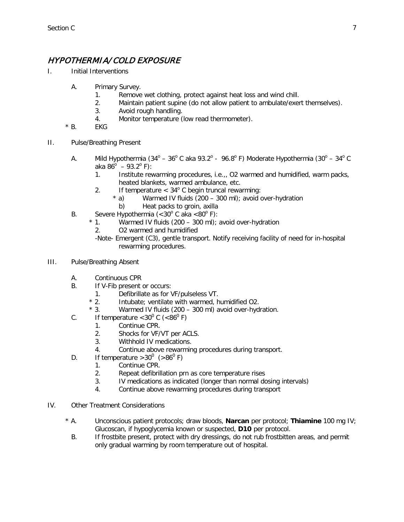### HYPOTHERMIA/ COLD EXPOSURE

- I. Initial Interventions
	- A. Primary Survey.
		- 1. Remove wet clothing, protect against heat loss and wind chill.
		- 2. Maintain patient supine (do not allow patient to ambulate/exert themselves).
		- 3. Avoid rough handling.
		- 4. Monitor temperature (low read thermometer).
	- $*$  B. EKG
- II. Pulse/Breathing Present
	- A. Mild Hypothermia  $(34^{\circ} 36^{\circ}$  C aka 93.2° 96.8° F) Moderate Hypothermia  $(30^{\circ} 34^{\circ}$  C aka 86 $^{\circ}$  – 93.2 $^{\circ}$  F):
		- 1. Institute rewarming procedures, i.e.,, O2 warmed and humidified, warm packs, heated blankets, warmed ambulance, etc.
		- 2. If temperature <  $34^{\circ}$  C begin truncal rewarming:<br>  $*$  a) Warmed IV fluids (200 300 ml); avoid c
			- Warmed IV fluids (200 300 ml); avoid over-hydration
			- b) Heat packs to groin, axilla
	- B. Severe Hypothermia  $( $30^{\circ}$  C aka  $$80^{\circ}$  F):$$ 
		- \* 1. Warmed IV fluids (200 300 ml); avoid over-hydration
			- 2. O2 warmed and humidified
			- -Note- Emergent (C3), gentle transport. Notify receiving facility of need for in-hospital rewarming procedures.
- III. Pulse/Breathing Absent
	- A. Continuous CPR
	- B. If V-Fib present or occurs:
		- 1. Defibrillate as for VF/pulseless VT.<br>\* 2. Intubate: ventilate with warmed. h
			- Intubate; ventilate with warmed, humidified O2.
		- 3. Warmed IV fluids (200 300 ml) avoid over-hydration.
	- C. If temperature  $< 30^{\circ}$  C ( $< 86^{\circ}$  F)
		- 1. Continue CPR.
		- 2. Shocks for VF/VT per ACLS.
		- 3. Withhold IV medications.
		- 4. Continue above rewarming procedures during transport.
	- D. If temperature  $>30^0$  ( $>86^0$  F)
		- 1. Continue CPR.
			- 2. Repeat defibrillation prn as core temperature rises
			- 3. IV medications as indicated (longer than normal dosing intervals)
			- 4. Continue above rewarming procedures during transport
- IV. Other Treatment Considerations
	- \* A. Unconscious patient protocols; draw bloods, **Narcan** per protocol; **Thiamine** 100 mg IV; Glucoscan, if hypoglycemia known or suspected, **D10** per protocol.
		- B. If frostbite present, protect with dry dressings, do not rub frostbitten areas, and permit only gradual warming by room temperature out of hospital.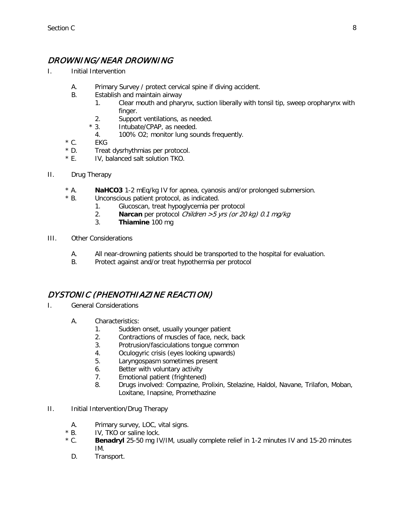### DROWNING/NEAR DROWNING

- I. Initial Intervention
	- A. Primary Survey / protect cervical spine if diving accident.
	- B. Establish and maintain airway
		- 1. Clear mouth and pharynx, suction liberally with tonsil tip, sweep oropharynx with finger.
		- 2. Support ventilations, as needed.
		- \* 3. Intubate/CPAP, as needed.
			- 4. 100% O2; monitor lung sounds frequently.
	- $*$  C. EKG
	- \* D. Treat dysrhythmias per protocol.
	- \* E. IV, balanced salt solution TKO.
- II. Drug Therapy
	- \* A. **NaHCO3** 1-2 mEq/kg IV for apnea, cyanosis and/or prolonged submersion.
	- \* B. Unconscious patient protocol, as indicated.
		- 1. Glucoscan, treat hypoglycemia per protocol
		- 2. **Narcan** per protocol *Children > 5 yrs (or 20 kg) 0.1 mg/kg*<br>3. **Thiamine** 100 mg
		- 3. **Thiamine** 100 mg
- III. Other Considerations
	- A. All near-drowning patients should be transported to the hospital for evaluation.
	- B. Protect against and/or treat hypothermia per protocol

#### DYSTONIC (PHENOTHIAZINE REACTION)

- I. General Considerations
	- A. Characteristics:
		- 1. Sudden onset, usually younger patient
		- 2. Contractions of muscles of face, neck, back
		- 3. Protrusion/fasciculations tongue common
		- 4. Oculogyric crisis (eyes looking upwards)
		- 5. Laryngospasm sometimes present
		- 6. Better with voluntary activity
		- 7. Emotional patient (frightened)
		- 8. Drugs involved: Compazine, Prolixin, Stelazine, Haldol, Navane, Trilafon, Moban, Loxitane, Inapsine, Promethazine
- II. Initial Intervention/Drug Therapy
	- A. Primary survey, LOC, vital signs.
	- \* B. IV, TKO or saline lock.
	- \* C. **Benadryl** 25-50 mg IV/IM, usually complete relief in 1-2 minutes IV and 15-20 minutes IM.
		- D. Transport.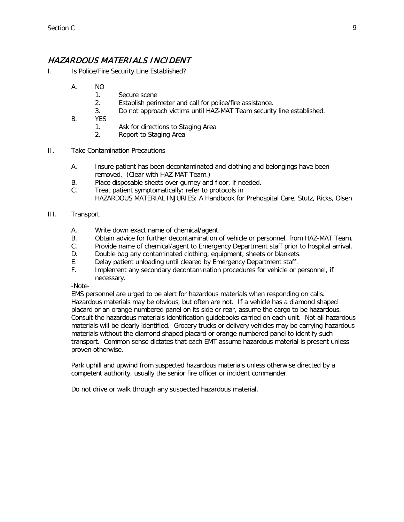#### HAZARDOUS MATERIALS INCIDENT

- I. Is Police/Fire Security Line Established?
	- A. NO
		- 1. Secure scene
		- 2. Establish perimeter and call for police/fire assistance.
		- 3. Do not approach victims until HAZ-MAT Team security line established.
	- B. YES
		- 1. Ask for directions to Staging Area
		- 2. Report to Staging Area
- II. Take Contamination Precautions
	- A. Insure patient has been decontaminated and clothing and belongings have been removed. (Clear with HAZ-MAT Team.)
	- B. Place disposable sheets over gurney and floor, if needed.
	- C. Treat patient symptomatically: refer to protocols in HAZARDOUS MATERIAL INJURIES: A Handbook for Prehospital Care, Stutz, Ricks, Olsen
- III. Transport
	- A. Write down exact name of chemical/agent.
	- B. Obtain advice for further decontamination of vehicle or personnel, from HAZ-MAT Team.
	- C. Provide name of chemical/agent to Emergency Department staff prior to hospital arrival.
	- D. Double bag any contaminated clothing, equipment, sheets or blankets.
	- E. Delay patient unloading until cleared by Emergency Department staff.
	- F. Implement any secondary decontamination procedures for vehicle or personnel, if necessary.

-Note-

EMS personnel are urged to be alert for hazardous materials when responding on calls. Hazardous materials may be obvious, but often are not. If a vehicle has a diamond shaped placard or an orange numbered panel on its side or rear, assume the cargo to be hazardous. Consult the hazardous materials identification guidebooks carried on each unit. Not all hazardous materials will be clearly identified. Grocery trucks or delivery vehicles may be carrying hazardous materials without the diamond shaped placard or orange numbered panel to identify such transport. Common sense dictates that each EMT assume hazardous material is present unless proven otherwise.

Park uphill and upwind from suspected hazardous materials unless otherwise directed by a competent authority, usually the senior fire officer or incident commander.

Do not drive or walk through any suspected hazardous material.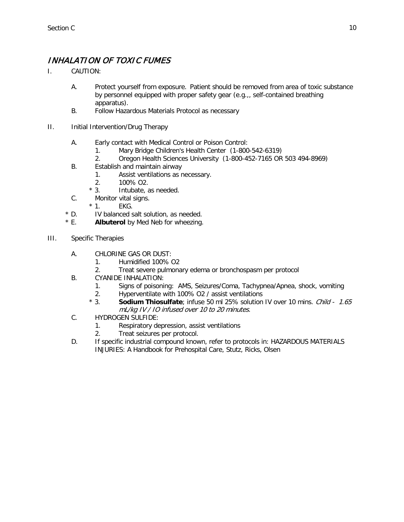### INHALATION OF TOXIC FUMES

- I. CAUTION:
	- A. Protect yourself from exposure. Patient should be removed from area of toxic substance by personnel equipped with proper safety gear (e.g.,, self-contained breathing apparatus).
	- B. Follow Hazardous Materials Protocol as necessary
- II. Initial Intervention/Drug Therapy
	- A. Early contact with Medical Control or Poison Control:
		- 1. Mary Bridge Children's Health Center (1-800-542-6319)
		- 2. Oregon Health Sciences University (1-800-452-7165 OR 503 494-8969)
	- B. Establish and maintain airway
		- 1. Assist ventilations as necessary.
		- 2. 100% O2.
		- \* 3. Intubate, as needed.
	- C. Monitor vital signs.
		- $*$  1. EKG.
	- \* D. IV balanced salt solution, as needed.
	- \* E. **Albuterol** by Med Neb for wheezing.
- III. Specific Therapies
	- A. CHLORINE GAS OR DUST:
		- 1. Humidified 100% O2
		- 2. Treat severe pulmonary edema or bronchospasm per protocol
	- B. CYANIDE INHALATION:
		- 1. Signs of poisoning: AMS, Seizures/Coma, Tachypnea/Apnea, shock, vomiting
		- 2. Hyperventilate with 100% O2 / assist ventilations
		- \* 3. **Sodium Thiosulfate**; infuse 50 ml 25% solution IV over 10 mins. Child 1.65 mL/kg IV / IO infused over 10 to 20 minutes.
	- C. HYDROGEN SULFIDE:
		- 1. Respiratory depression, assist ventilations
		- 2. Treat seizures per protocol.
	- D. If specific industrial compound known, refer to protocols in: HAZARDOUS MATERIALS INJURIES: A Handbook for Prehospital Care, Stutz, Ricks, Olsen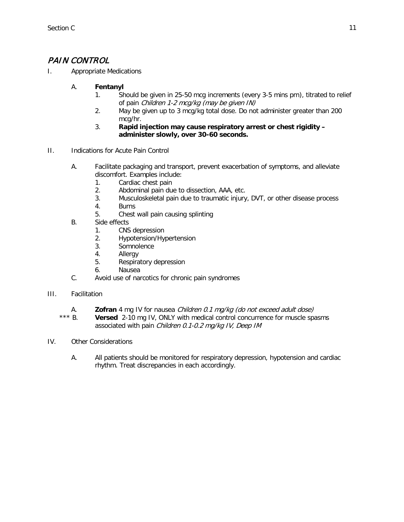### PAIN CONTROL

- I. Appropriate Medications
	- A. **Fentanyl**
		- 1. Should be given in 25-50 mcg increments (every 3-5 mins prn), titrated to relief of pain Children 1-2 mcg/kg (may be given IN)
		- 2. May be given up to 3 mcg/kg total dose. Do not administer greater than 200 mcg/hr.
		- 3. **Rapid injection may cause respiratory arrest or chest rigidity – administer slowly, over 30-60 seconds.**
- II. Indications for Acute Pain Control
	- A. Facilitate packaging and transport, prevent exacerbation of symptoms, and alleviate discomfort. Examples include:
		- 1. Cardiac chest pain
		- 2. Abdominal pain due to dissection, AAA, etc.
		- 3. Musculoskeletal pain due to traumatic injury, DVT, or other disease process
		- 4. Burns
		- 5. Chest wall pain causing splinting
	- B. Side effects
		- 1. CNS depression
		- 2. Hypotension/Hypertension
		- 3. Somnolence
		- 4. Allergy
		- 5. Respiratory depression
		- 6. Nausea
	- C. Avoid use of narcotics for chronic pain syndromes
- III. Facilitation
	- A. **Zofran** 4 mg IV for nausea *Children 0.1 mg/kg (do not exceed adult dose)*<br>\*\*\* R **Versed** 2-10 mg IV. ONLY with medical control concurrence for muscle spa
	- **Versed** 2-10 mg IV, ONLY with medical control concurrence for muscle spasms associated with pain Children 0.1-0.2 mg/kg IV, Deep IM
- IV. Other Considerations
	- A. All patients should be monitored for respiratory depression, hypotension and cardiac rhythm. Treat discrepancies in each accordingly.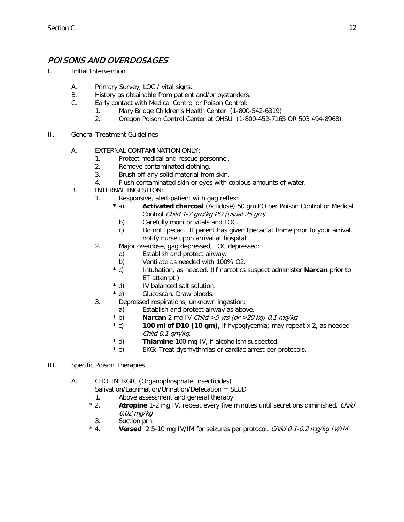### POISONS AND OVERDOSAGES

- I. Initial Intervention
	- A. Primary Survey, LOC / vital signs.
	- B. History as obtainable from patient and/or bystanders.
	- C. Early contact with Medical Control or Poison Control:
		- 1. Mary Bridge Children's Health Center (1-800-542-6319)
		- 2. Oregon Poison Control Center at OHSU (1-800-452-7165 OR 503 494-8968)
- II. General Treatment Guidelines
	- A. EXTERNAL CONTAMINATION ONLY:
		- 1. Protect medical and rescue personnel.
		- 2. Remove contaminated clothing.
		- 3. Brush off any solid material from skin.
		- 4. Flush contaminated skin or eyes with copious amounts of water.
	- B. INTERNAL INGESTION:
		- 1. Responsive, alert patient with gag reflex:
			- \* a) **Activated charcoal** (Actidose) 50 gm PO per Poison Control or Medical Control Child 1-2 gm/kg PO (usual 25 gm)
				- b) Carefully monitor vitals and LOC.
				- c) Do not Ipecac. If parent has given Ipecac at home prior to your arrival, notify nurse upon arrival at hospital.
		- 2. Major overdose, gag depressed, LOC depressed:
			- a) Establish and protect airway.
			- b) Ventilate as needed with 100% O2.
			- \* c) Intubation, as needed. (If narcotics suspect administer **Narcan** prior to ET attempt.)
			- \* d) IV balanced salt solution.
			- \* e) Glucoscan. Draw bloods.
		- 3. Depressed respirations, unknown ingestion:
			- a) Establish and protect airway as above.
			- $*$  b) **Narcan** 2 mg IV *Child > 5 yrs (or > 20 kg) 0.1 mg/kg*
			- \* c) **100 ml of D10 (10 gm)**, if hypoglycemia; may repeat x 2, as needed Child 0.1 gm/kg.
			- \* d) **Thiamine** 100 mg IV, if alcoholism suspected.
			- \* e) EKG: Treat dysrhythmias or cardiac arrest per protocols.
- III. Specific Poison Therapies

A. CHOLINERGIC (Organophosphate Insecticides)

- Salivation/Lacrimation/Urination/Defecation = SLUD
	- 1. Above assessment and general therapy.
- \* 2. **Atropine** 1-2 mg IV, repeat every five minutes until secretions diminished. Child 0.02 mg/kg
	- 3. Suction prn.
- \* 4. **Versed** 2.5-10 mg IV/IM for seizures per protocol. Child 0.1-0.2 mg/kg IV/IM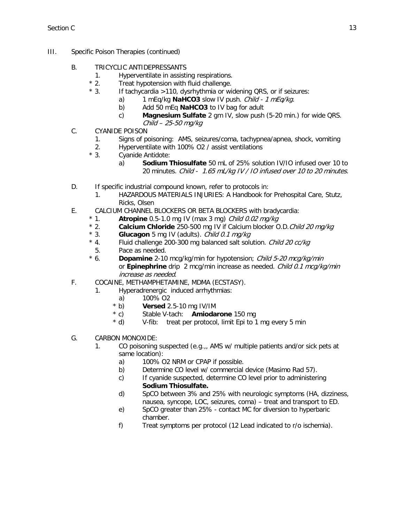- III. Specific Poison Therapies (continued)
	- B. TRICYCLIC ANTIDEPRESSANTS
		- 1. Hyperventilate in assisting respirations.<br>\* 2. Treat hypotension with fluid challenge.
			- Treat hypotension with fluid challenge.
		- \* 3. If tachycardia >110, dysrhythmia or widening QRS, or if seizures:
			- a) 1 mEq/kg **NaHCO3** slow IV push. Child 1 mEq/kg.
			- b) Add 50 mEq **NaHCO3** to IV bag for adult
			- c) **Magnesium Sulfate** 2 gm IV, slow push (5-20 min.) for wide QRS. Child – 25-50 mg/kg
	- C. CYANIDE POISON
		- 1. Signs of poisoning: AMS, seizures/coma, tachypnea/apnea, shock, vomiting
		- 2. Hyperventilate with 100% O2 / assist ventilations
		- \* 3. Cyanide Antidote:
			- a) **Sodium Thiosulfate** 50 mL of 25% solution IV/IO infused over 10 to 20 minutes. Child - 1.65 mL/kg IV / IO infused over 10 to 20 minutes.
	- D. If specific industrial compound known, refer to protocols in:
		- 1. HAZARDOUS MATERIALS INJURIES: A Handbook for Prehospital Care, Stutz, Ricks, Olsen
	- E. CALCIUM CHANNEL BLOCKERS OR BETA BLOCKERS with bradycardia:<br>\* 1 **Atropine** 0.5-1.0 mg IV (max 3 mg) *Child 0.02 mg/kg* 
		- \* 1. **Atropine** 0.5-1.0 mg IV (max 3 mg) Child 0.02 mg/kg
		- \* 2. **Calcium Chloride** 250-500 mg IV if Calcium blocker O.D.Child 20 mg/kg
		- \* 3. **Glucagon** 5 mg IV (adults). *Child 0.1 mg/kg*<br>\* 4. Fluid challenge 200-300 mg balanced salt solu
		- Fluid challenge 200-300 mg balanced salt solution. Child 20 cc/kg 5. Pace as needed.
		- \* 6. **Dopamine** 2-10 mcg/kg/min for hypotension; Child 5-20 mcg/kg/min or **Epinephrine** drip 2 mcg/min increase as needed. Child 0.1 mcg/kg/min increase as needed.
	- F. COCAINE, METHAMPHETAMINE, MDMA (ECSTASY).
		- 1. Hyperadrenergic induced arrhythmias:
			-
			- a) 100% O2<br>
			\* b) **Versed** 2 **Versed** 2.5-10 mg IV/IM
			- \* c) Stable V-tach: **Amiodarone** 150 mg
			- \* d) V-fib: treat per protocol, limit Epi to 1 mg every 5 min
	- G. CARBON MONOXIDE:
		- 1. CO poisoning suspected (e.g.,, AMS w/ multiple patients and/or sick pets at same location):
			- a) 100% O2 NRM or CPAP if possible.
			- b) Determine CO level w/ commercial device (Masimo Rad 57).
			- c) If cyanide suspected, determine CO level prior to administering **Sodium Thiosulfate.**
			- d) SpCO between 3% and 25% with neurologic symptoms (HA, dizziness, nausea, syncope, LOC, seizures, coma) – treat and transport to ED.
			- e) SpCO greater than 25% contact MC for diversion to hyperbaric chamber.
			- f) Treat symptoms per protocol (12 Lead indicated to r/o ischemia).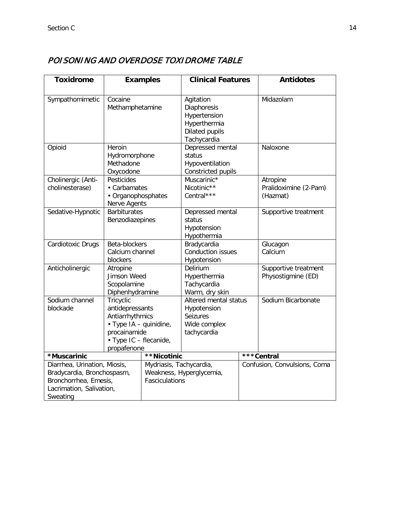## POISONING AND OVERDOSE TOXIDROME TABLE

| <b>Toxidrome</b>                                                                                                            | <b>Examples</b>                                                                                                                    |                                                                       | <b>Clinical Features</b>                                                                         |  | <b>Antidotes</b>                              |  |
|-----------------------------------------------------------------------------------------------------------------------------|------------------------------------------------------------------------------------------------------------------------------------|-----------------------------------------------------------------------|--------------------------------------------------------------------------------------------------|--|-----------------------------------------------|--|
|                                                                                                                             |                                                                                                                                    |                                                                       |                                                                                                  |  |                                               |  |
| Sympathomimetic                                                                                                             | Cocaine<br>Methamphetamine                                                                                                         |                                                                       | Agitation<br>Diaphoresis<br>Hypertension<br>Hyperthermia<br><b>Dilated pupils</b><br>Tachycardia |  | Midazolam                                     |  |
| Opioid                                                                                                                      | Heroin<br>Hydromorphone<br>Methadone<br>Oxycodone                                                                                  |                                                                       | Depressed mental<br>status<br>Hypoventilation<br>Constricted pupils                              |  | Naloxone                                      |  |
| Cholinergic (Anti-<br>cholinesterase)                                                                                       | Pesticides<br>• Carbamates<br>• Organophosphates<br>Nerve Agents                                                                   |                                                                       | Muscarinic*<br>Nicotinic**<br>Central***                                                         |  | Atropine<br>Pralidoximine (2-Pam)<br>(Hazmat) |  |
| Sedative-Hypnotic                                                                                                           | <b>Barbiturates</b><br>Benzodiazepines                                                                                             |                                                                       | Depressed mental<br>status<br>Hypotension<br>Hypothermia                                         |  | Supportive treatment                          |  |
| Cardiotoxic Drugs                                                                                                           | Beta-blockers<br>Calcium channel<br>blockers                                                                                       |                                                                       | Bradycardia<br><b>Conduction issues</b><br>Hypotension                                           |  | Glucagon<br>Calcium                           |  |
| Anticholinergic                                                                                                             | Atropine<br>Jimson Weed<br>Scopolamine<br>Diphenhydramine                                                                          |                                                                       | Delirium<br>Hyperthermia<br>Tachycardia<br>Warm, dry skin                                        |  | Supportive treatment<br>Physostigmine (ED)    |  |
| Sodium channel<br>blockade                                                                                                  | Tricyclic<br>antidepressants<br>Antiarrhythmics<br>• Type IA - quinidine,<br>procainamide<br>• Type IC - flecanide,<br>propafenone |                                                                       | Altered mental status<br>Hypotension<br>Seizures<br>Wide complex<br>tachycardia                  |  | Sodium Bicarbonate                            |  |
| *Muscarinic                                                                                                                 |                                                                                                                                    | **Nicotinic                                                           |                                                                                                  |  | ***Central                                    |  |
| Diarrhea, Urination, Miosis,<br>Bradycardia, Bronchospasm,<br>Bronchorrhea, Emesis,<br>Lacrimation, Salivation,<br>Sweating |                                                                                                                                    | Mydriasis, Tachycardia,<br>Weakness, Hyperglycemia,<br>Fasciculations |                                                                                                  |  | Confusion, Convulsions, Coma                  |  |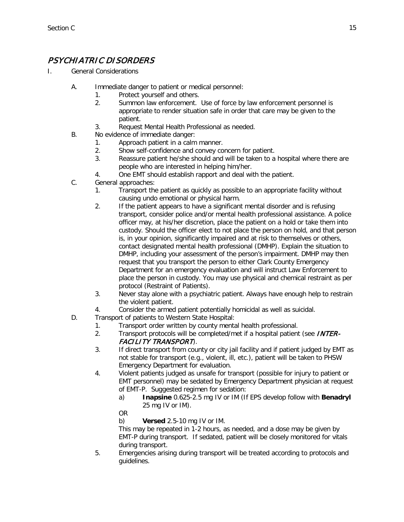## PSYCHIATRIC DISORDERS

- I. General Considerations
	- A. Immediate danger to patient or medical personnel:
		- 1. Protect yourself and others.
		- 2. Summon law enforcement. Use of force by law enforcement personnel is appropriate to render situation safe in order that care may be given to the patient.
		- 3. Request Mental Health Professional as needed.
	- B. No evidence of immediate danger:
		- 1. Approach patient in a calm manner.
		- 2. Show self-confidence and convey concern for patient.
		- 3. Reassure patient he/she should and will be taken to a hospital where there are people who are interested in helping him/her.
		- 4. One EMT should establish rapport and deal with the patient.
	- C. General approaches:
		- 1. Transport the patient as quickly as possible to an appropriate facility without causing undo emotional or physical harm.
		- 2. If the patient appears to have a significant mental disorder and is refusing transport, consider police and/or mental health professional assistance. A police officer may, at his/her discretion, place the patient on a hold or take them into custody. Should the officer elect to not place the person on hold, and that person is, in your opinion, significantly impaired and at risk to themselves or others, contact designated mental health professional (DMHP). Explain the situation to DMHP, including your assessment of the person's impairment. DMHP may then request that you transport the person to either Clark County Emergency Department for an emergency evaluation and will instruct Law Enforcement to place the person in custody. You may use physical and chemical restraint as per protocol (Restraint of Patients).
		- 3. Never stay alone with a psychiatric patient. Always have enough help to restrain the violent patient.
		- 4. Consider the armed patient potentially homicidal as well as suicidal.
	- D. Transport of patients to Western State Hospital:
		- 1. Transport order written by county mental health professional.
		- 2. Transport protocols will be completed/met if a hospital patient (see **INTER-**FACILITY TRANSPORT).
		- 3. If direct transport from county or city jail facility and if patient judged by EMT as not stable for transport (e.g., violent, ill, etc.), patient will be taken to PHSW Emergency Department for evaluation.
		- 4. Violent patients judged as unsafe for transport (possible for injury to patient or EMT personnel) may be sedated by Emergency Department physician at request of EMT-P. Suggested regimen for sedation:
			- a) **Inapsine** 0.625-2.5 mg IV or IM (If EPS develop follow with **Benadryl** 25 mg IV or IM).
			- OR

b) **Versed** 2.5-10 mg IV or IM.

This may be repeated in 1-2 hours, as needed, and a dose may be given by EMT-P during transport. If sedated, patient will be closely monitored for vitals during transport.

5. Emergencies arising during transport will be treated according to protocols and guidelines.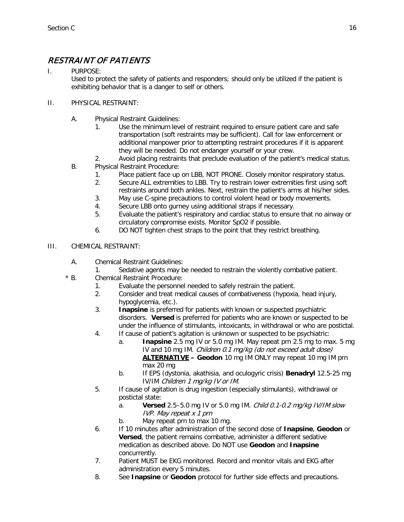## RESTRAINT OF PATIENTS

I. PURPOSE:

Used to protect the safety of patients and responders; should only be utilized if the patient is exhibiting behavior that is a danger to self or others.

#### II. PHYSICAL RESTRAINT:

- A. Physical Restraint Guidelines:
	- 1. Use the minimum level of restraint required to ensure patient care and safe transportation (soft restraints may be sufficient). Call for law enforcement or additional manpower prior to attempting restraint procedures if it is apparent they will be needed. Do not endanger yourself or your crew.
- 2. Avoid placing restraints that preclude evaluation of the patient's medical status. B. Physical Restraint Procedure:
	- 1. Place patient face up on LBB, NOT PRONE. Closely monitor respiratory status.
	- 2. Secure ALL extremities to LBB. Try to restrain lower extremities first using soft restraints around both ankles. Next, restrain the patient's arms at his/her sides.
	- 3. May use C-spine precautions to control violent head or body movements.
	- 4. Secure LBB onto gurney using additional straps if necessary.
	- 5. Evaluate the patient's respiratory and cardiac status to ensure that no airway or circulatory compromise exists. Monitor SpO2 if possible.
	- 6. DO NOT tighten chest straps to the point that they restrict breathing.
- III. CHEMICAL RESTRAINT:
	- A. Chemical Restraint Guidelines:
	- 1. Sedative agents may be needed to restrain the violently combative patient.
	- \* B. Chemical Restraint Procedure:
		- 1. Evaluate the personnel needed to safely restrain the patient.
		- 2. Consider and treat medical causes of combativeness (hypoxia, head injury, hypoglycemia, etc.).
		- 3. **Inapsine** is preferred for patients with known or suspected psychiatric disorders. **Versed** is preferred for patients who are known or suspected to be under the influence of stimulants, intoxicants, in withdrawal or who are postictal.
		- 4. If cause of patient's agitation is unknown or suspected to be psychiatric:
			- a. **Inapsine** 2.5 mg IV or 5.0 mg IM. May repeat prn 2.5 mg to max. 5 mg IV and 10 mg IM. Children 0.1 mg/kg (do not exceed adult dose) **ALTERNATIVE – Geodon** 10 mg IM ONLY may repeat 10 mg IM prn max 20 mg
			- b. If EPS (dystonia, akathisia, and oculogyric crisis) **Benadryl** 12.5-25 mg IV/IM Children 1 mg/kg IV or IM.
		- 5. If cause of agitation is drug ingestion (especially stimulants), withdrawal or postictal state:
			- a. **Versed** 2.5–5.0 mg IV or 5.0 mg IM. Child 0.1-0.2 mg/kg IV/IM slow IVP. May repeat x 1 prn
			- b. May repeat prn to max 10 mg.
		- 6. If 10 minutes after administration of the second dose of **Inapsine**, **Geodon** or **Versed**, the patient remains combative, administer a different sedative medication as described above. Do NOT use **Geodon** and **Inapsine** concurrently.
		- 7. Patient MUST be EKG monitored. Record and monitor vitals and EKG after administration every 5 minutes.
		- 8. See **Inapsine** or **Geodon** protocol for further side effects and precautions.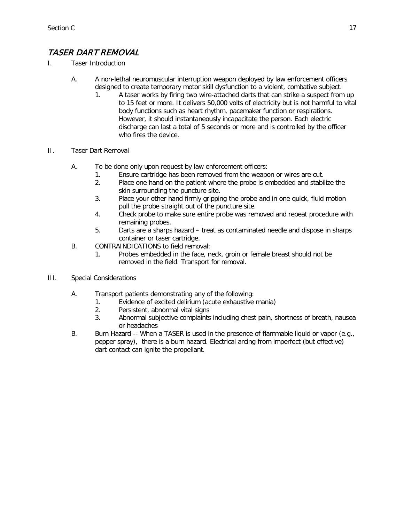## TASER DART REMOVAL

- I. Taser Introduction
	- A. A non-lethal neuromuscular interruption weapon deployed by law enforcement officers designed to create temporary motor skill dysfunction to a violent, combative subject.
		- 1. A taser works by firing two wire-attached darts that can strike a suspect from up to 15 feet or more. It delivers 50,000 volts of electricity but is not harmful to vital body functions such as heart rhythm, pacemaker function or respirations. However, it should instantaneously incapacitate the person. Each electric discharge can last a total of 5 seconds or more and is controlled by the officer who fires the device
- II. Taser Dart Removal
	- A. To be done only upon request by law enforcement officers:
		- 1. Ensure cartridge has been removed from the weapon or wires are cut.
		- 2. Place one hand on the patient where the probe is embedded and stabilize the skin surrounding the puncture site.
		- 3. Place your other hand firmly gripping the probe and in one quick, fluid motion pull the probe straight out of the puncture site.
		- 4. Check probe to make sure entire probe was removed and repeat procedure with remaining probes.
		- 5. Darts are a sharps hazard treat as contaminated needle and dispose in sharps container or taser cartridge.
	- B. CONTRAINDICATIONS to field removal:
		- 1. Probes embedded in the face, neck, groin or female breast should not be removed in the field. Transport for removal.
- III. Special Considerations
	- A. Transport patients demonstrating any of the following:
		- 1. Evidence of excited delirium (acute exhaustive mania)
			- 2. Persistent, abnormal vital signs
			- 3. Abnormal subjective complaints including chest pain, shortness of breath, nausea or headaches
	- B. Burn Hazard -- When a TASER is used in the presence of flammable liquid or vapor (e.g., pepper spray), there is a burn hazard. Electrical arcing from imperfect (but effective) dart contact can ignite the propellant.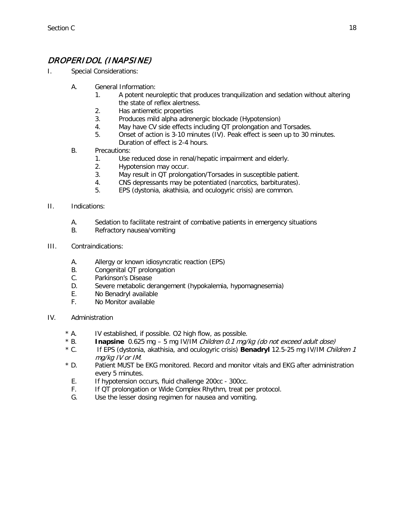## DROPERIDOL (INAPSINE)

- I. Special Considerations:
	- A. General Information:
		- 1. A potent neuroleptic that produces tranquilization and sedation without altering the state of reflex alertness.
		- 2. Has antiemetic properties
		- 3. Produces mild alpha adrenergic blockade (Hypotension)
		- 4. May have CV side effects including QT prolongation and Torsades.
		- 5. Onset of action is 3-10 minutes (IV). Peak effect is seen up to 30 minutes. Duration of effect is 2-4 hours.
	- B. Precautions:
		- 1. Use reduced dose in renal/hepatic impairment and elderly.
		- 2. Hypotension may occur.
		- 3. May result in QT prolongation/Torsades in susceptible patient.
		- 4. CNS depressants may be potentiated (narcotics, barbiturates).
		- 5. EPS (dystonia, akathisia, and oculogyric crisis) are common.
- II. Indications:
	- A. Sedation to facilitate restraint of combative patients in emergency situations
	- B. Refractory nausea/vomiting
- III. Contraindications:
	- A. Allergy or known idiosyncratic reaction (EPS)
	- B. Congenital QT prolongation
	- C. Parkinson's Disease
	- D. Severe metabolic derangement (hypokalemia, hypomagnesemia)
	- E. No Benadryl available
	- F. No Monitor available
- IV. Administration
	- \* A. IV established, if possible. O2 high flow, as possible.
	- \* B. **Inapsine** 0.625 mg 5 mg IV/IM Children 0.1 mg/kg (do not exceed adult dose)
	- If EPS (dystonia, akathisia, and oculogyric crisis) **Benadryl** 12.5-25 mg IV/IM Children 1 mg/kg IV or IM.
	- \* D. Patient MUST be EKG monitored. Record and monitor vitals and EKG after administration every 5 minutes.
		- E. If hypotension occurs, fluid challenge 200cc 300cc.
		- F. If QT prolongation or Wide Complex Rhythm, treat per protocol.
		- G. Use the lesser dosing regimen for nausea and vomiting.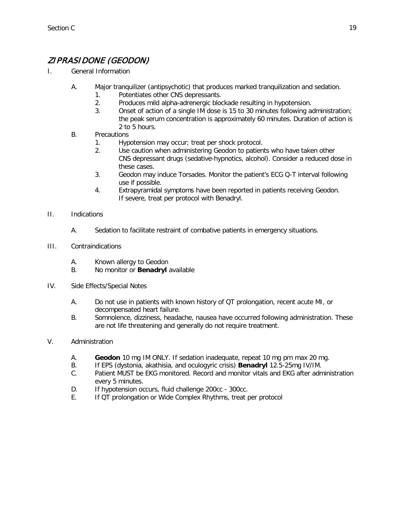## ZIPRASIDONE (GEODON)

- I. General Information
	- A. Major tranquilizer (antipsychotic) that produces marked tranquilization and sedation.
		- 1. Potentiates other CNS depressants.
			- 2. Produces mild alpha-adrenergic blockade resulting in hypotension.
			- 3. Onset of action of a single IM dose is 15 to 30 minutes following administration; the peak serum concentration is approximately 60 minutes. Duration of action is 2 to 5 hours.
	- B. Precautions
		- 1. Hypotension may occur; treat per shock protocol.
		- 2. Use caution when administering Geodon to patients who have taken other CNS depressant drugs (sedative-hypnotics, alcohol). Consider a reduced dose in these cases.
		- 3. Geodon may induce Torsades. Monitor the patient's ECG Q-T interval following use if possible.
		- 4. Extrapyramidal symptoms have been reported in patients receiving Geodon. If severe, treat per protocol with Benadryl.
- II. Indications
	- A. Sedation to facilitate restraint of combative patients in emergency situations.
- III. Contraindications
	- A. Known allergy to Geodon
	- B. No monitor or **Benadryl** available
- IV. Side Effects/Special Notes
	- A. Do not use in patients with known history of QT prolongation, recent acute MI, or decompensated heart failure.
	- B. Somnolence, dizziness, headache, nausea have occurred following administration. These are not life threatening and generally do not require treatment.

#### V. Administration

- A. **Geodon** 10 mg IM ONLY. If sedation inadequate, repeat 10 mg prn max 20 mg.
- B. If EPS (dystonia, akathisia, and oculogyric crisis) **Benadryl** 12.5-25mg IV/IM.
- C. Patient MUST be EKG monitored. Record and monitor vitals and EKG after administration every 5 minutes.
- D. If hypotension occurs, fluid challenge 200cc 300cc.
- E. If QT prolongation or Wide Complex Rhythms, treat per protocol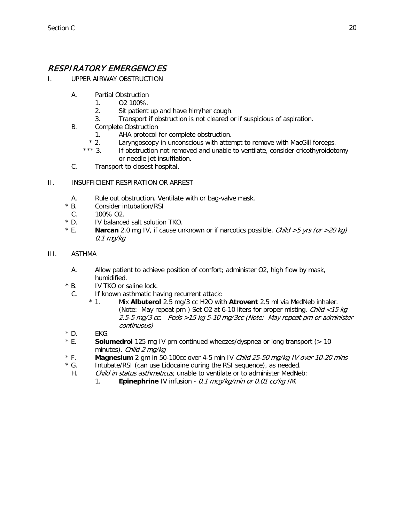### RESPIRATORY EMERGENCIES

- I. UPPER AIRWAY OBSTRUCTION
	- A. Partial Obstruction
		- 1. O2 100%.
		- 2. Sit patient up and have him/her cough.
		- 3. Transport if obstruction is not cleared or if suspicious of aspiration.
	- B. Complete Obstruction
		- 1. AHA protocol for complete obstruction.<br>
		\* 2. Larvnaoscopy in unconscious with atter
		- Laryngoscopy in unconscious with attempt to remove with MacGill forceps.
		- \*\*\* 3. If obstruction not removed and unable to ventilate, consider cricothyroidotomy or needle jet insufflation.
	- C. Transport to closest hospital.

#### II. INSUFFICIENT RESPIRATION OR ARREST

- A. Rule out obstruction. Ventilate with or bag-valve mask.<br>\* B. Consider intubation/RSI
- Consider intubation/RSI
- C. 100% O2.
- \* D. IV balanced salt solution TKO.
- \* E. **Narcan** 2.0 mg IV, if cause unknown or if narcotics possible. Child >5 yrs (or >20 kg) 0.1 mg/kg
- III. ASTHMA
	- A. Allow patient to achieve position of comfort; administer O2, high flow by mask, humidified.
	- \* B. IV TKO or saline lock.
		- C. If known asthmatic having recurrent attack:
			- \* 1. Mix **Albuterol** 2.5 mg/3 cc H2O with **Atrovent** 2.5 ml via MedNeb inhaler. (Note: May repeat prn) Set O2 at 6-10 liters for proper misting. Child  $\langle$  15 kg 2.5-5 mg/3 cc. Peds >15 kg 5-10 mg/3cc (Note: May repeat prn or administer continuous)
	- $*$  D. EKG.
	- \* E. **Solumedrol** 125 mg IV prn continued wheezes/dyspnea or long transport (> 10 minutes). Child 2 mg/kg
	- \* F. **Magnesium** 2 gm in 50-100cc over 4-5 min IV Child 25-50 mg/kg IV over 10-20 mins
	- \* G. Intubate/RSI (can use Lidocaine during the RSI sequence), as needed.
	- H. Child in status asthmaticus, unable to ventilate or to administer MedNeb:
		- 1. **Epinephrine** IV infusion 0.1 mcg/kg/min or 0.01 cc/kg IM.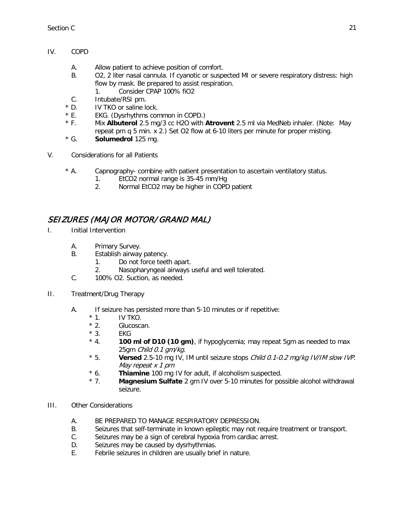- IV. COPD
	- A. Allow patient to achieve position of comfort.
	- B. O2, 2 liter nasal cannula. If cyanotic or suspected MI or severe respiratory distress: high flow by mask. Be prepared to assist respiration. 1. Consider CPAP 100% fiO2
		-
	- C. Intubate/RSI prn.
	- \* D. IV TKO or saline lock.
	- \* E. EKG. (Dysrhythms common in COPD.)
	- \* F. Mix **Albuterol** 2.5 mg/3 cc H2O with **Atrovent** 2.5 ml via MedNeb inhaler. (Note: May repeat prn q 5 min. x 2.) Set O2 flow at 6-10 liters per minute for proper misting.
	- \* G. **Solumedrol** 125 mg.
- V. Considerations for all Patients
	- \* A. Capnography- combine with patient presentation to ascertain ventilatory status.
		- 1. EtCO2 normal range is 35-45 mm/Hg
		- 2. Normal EtCO2 may be higher in COPD patient

#### SEIZURES (MAJOR MOTOR/ GRAND MAL)

- I. Initial Intervention
	- A. Primary Survey.
	- B. Establish airway patency.
		- 1. Do not force teeth apart.
		- 2. Nasopharyngeal airways useful and well tolerated.
	- C. 100% O2. Suction, as needed.
- II. Treatment/Drug Therapy
	- A. If seizure has persisted more than 5-10 minutes or if repetitive:
		- $*$  1. IV TKO.<br> $*$  2. Glucosca
		- Glucoscan.
		- $*$  3. EKG<br> $*$  4. 100
		- 100 **ml of D10 (10 qm)**, if hypoglycemia; may repeat 5gm as needed to max 25gm Child 0.1 am/kg.
		- \* 5. **Versed** 2.5-10 mg IV, IM until seizure stops Child 0.1-0.2 mg/kg IV/IM slow IVP. May repeat x 1 prn
		- \* 6. **Thiamine** 100 mg IV for adult, if alcoholism suspected.
		- \* 7. **Magnesium Sulfate** 2 gm IV over 5-10 minutes for possible alcohol withdrawal seizure.
- III. Other Considerations
	- A. BE PREPARED TO MANAGE RESPIRATORY DEPRESSION.
	- B. Seizures that self-terminate in known epileptic may not require treatment or transport.
	- C. Seizures may be a sign of cerebral hypoxia from cardiac arrest.
	- D. Seizures may be caused by dysrhythmias.
	- E. Febrile seizures in children are usually brief in nature.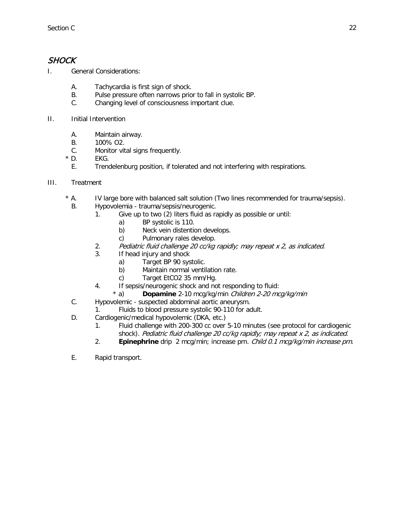#### **SHOCK**

I. General Considerations:

- A. Tachycardia is first sign of shock.<br>B. Pulse pressure often narrows prio
- Pulse pressure often narrows prior to fall in systolic BP.
- C. Changing level of consciousness important clue.
- II. Initial Intervention
	- A. Maintain airway.
	- B. 100% O2.
	- C. Monitor vital signs frequently.
	- $*$  D. EKG.
		- E. Trendelenburg position, if tolerated and not interfering with respirations.
- III. Treatment
	- \* A. IV large bore with balanced salt solution (Two lines recommended for trauma/sepsis).
	- B. Hypovolemia trauma/sepsis/neurogenic.
		- 1. Give up to two (2) liters fluid as rapidly as possible or until:
			- a) BP systolic is 110.
			- b) Neck vein distention develops.
			- c) Pulmonary rales develop.
		- 2. Pediatric fluid challenge 20 cc/kg rapidly; may repeat x 2, as indicated.
		- 3. If head injury and shock
			- a) Target BP 90 systolic.
			- b) Maintain normal ventilation rate.
			- c) Target EtCO2 35 mm/Hg.
		- 4. If sepsis/neurogenic shock and not responding to fluid:
			- \* a) **Dopamine** 2-10 mcg/kg/min Children 2-20 mcg/kg/min
	- C. Hypovolemic suspected abdominal aortic aneurysm.
		- 1. Fluids to blood pressure systolic 90-110 for adult.
	- D. Cardiogenic/medical hypovolemic (DKA, etc.)
		- 1. Fluid challenge with 200-300 cc over 5-10 minutes (see protocol for cardiogenic shock). Pediatric fluid challenge 20 cc/kg rapidly; may repeat x 2, as indicated.
		- 2. **Epinephrine** drip 2 mcg/min; increase prn. Child 0.1 mcg/kg/min increase prn.
	- E. Rapid transport.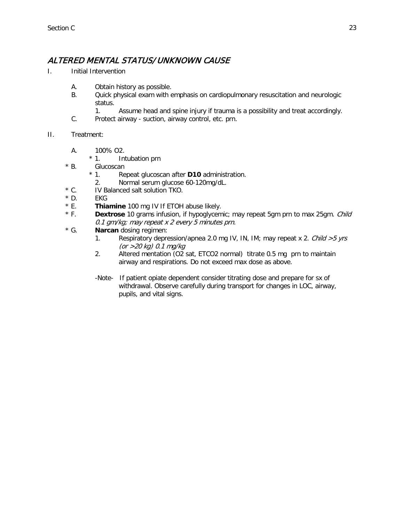### ALTERED MENTAL STATUS/ UNKNOWN CAUSE

- I. Initial Intervention
	- A. Obtain history as possible.
	- B. Quick physical exam with emphasis on cardiopulmonary resuscitation and neurologic status.
		- 1. Assume head and spine injury if trauma is a possibility and treat accordingly.
	- C. Protect airway suction, airway control, etc. prn.

#### II. Treatment:

- A. 100% O2.
	- \* 1. Intubation prn
- \* B. Glucoscan
	- \* 1. Repeat glucoscan after **D10** administration.
	- 2. Normal serum glucose 60-120mg/dL.
- \* C. IV Balanced salt solution TKO.
- \* D. EKG
- \* E. **Thiamine** 100 mg IV If ETOH abuse likely.
- \* F. **Dextrose** 10 grams infusion, if hypoglycemic; may repeat 5gm prn to max 25gm. Child 0.1 gm/kg; may repeat x 2 every 5 minutes prn.
- \* G. **Narcan** dosing regimen:
	- 1. Respiratory depression/apnea 2.0 mg IV, IN, IM; may repeat x 2. Child >5 yrs (or >20 kg) 0.1 mg/kg
	- 2. Altered mentation (O2 sat, ETCO2 normal) titrate 0.5 mg prn to maintain airway and respirations. Do not exceed max dose as above.
	- -Note- If patient opiate dependent consider titrating dose and prepare for sx of withdrawal. Observe carefully during transport for changes in LOC, airway, pupils, and vital signs.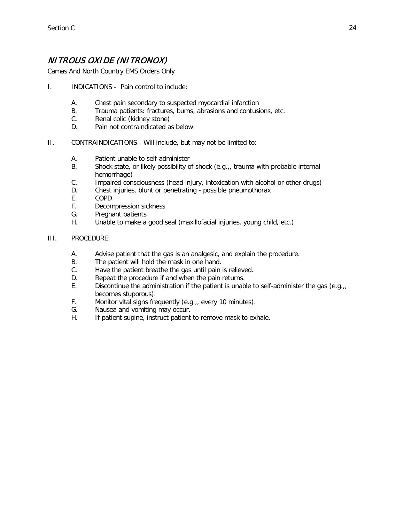## NITROUS OXIDE (NITRONOX)

Camas And North Country EMS Orders Only

- I. INDICATIONS Pain control to include:
	- A. Chest pain secondary to suspected myocardial infarction
	- B. Trauma patients: fractures, burns, abrasions and contusions, etc.
	- C. Renal colic (kidney stone)
	- D. Pain not contraindicated as below
- II. CONTRAINDICATIONS Will include, but may not be limited to:
	- A. Patient unable to self-administer
	- B. Shock state, or likely possibility of shock (e.g.,, trauma with probable internal hemorrhage)
	- C. Impaired consciousness (head injury, intoxication with alcohol or other drugs)
	- D. Chest injuries, blunt or penetrating possible pneumothorax
	- E. COPD
	- F. Decompression sickness
	- G. Pregnant patients
	- H. Unable to make a good seal (maxillofacial injuries, young child, etc.)

#### III. PROCEDURE:

- A. Advise patient that the gas is an analgesic, and explain the procedure.
- B. The patient will hold the mask in one hand.
- C. Have the patient breathe the gas until pain is relieved.
- D. Repeat the procedure if and when the pain returns.
- E. Discontinue the administration if the patient is unable to self-administer the gas (e.g.,, becomes stuporous).
- F. Monitor vital signs frequently (e.g.,, every 10 minutes).
- G. Nausea and vomiting may occur.
- H. If patient supine, instruct patient to remove mask to exhale.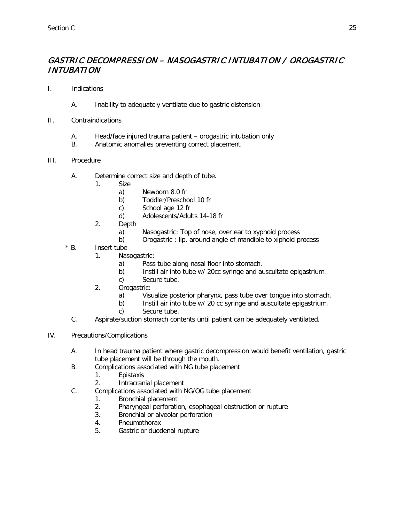#### GASTRIC DECOMPRESSION – NASOGASTRIC INTUBATION / OROGASTRIC INTUBATION

- I. Indications
	- A. Inability to adequately ventilate due to gastric distension
- II. Contraindications
	- A. Head/face injured trauma patient orogastric intubation only
	- B. Anatomic anomalies preventing correct placement
- III. Procedure
	- A. Determine correct size and depth of tube.
		- 1. Size
			- a) Newborn 8.0 fr
			- b) Toddler/Preschool 10 fr
			- c) School age 12 fr
			- d) Adolescents/Adults 14-18 fr
		- 2. Depth
			- a) Nasogastric: Top of nose, over ear to xyphoid process<br>b) Orogastric: lip, around angle of mandible to xiphoid p
			- b) Orogastric : lip, around angle of mandible to xiphoid process
	- \* B. Insert tube
		- 1. Nasogastric:
			- a) Pass tube along nasal floor into stomach.
			- b) Instill air into tube w/ 20cc syringe and auscultate epigastrium.
			- c) Secure tube.
		- 2. Orogastric:
			- a) Visualize posterior pharynx, pass tube over tongue into stomach.
			- b) Instill air into tube w/ 20 cc syringe and auscultate epigastrium.
			- c) Secure tube.
		- C. Aspirate/suction stomach contents until patient can be adequately ventilated.
- IV. Precautions/Complications
	- A. In head trauma patient where gastric decompression would benefit ventilation, gastric tube placement will be through the mouth.
	- B. Complications associated with NG tube placement
		- 1. Epistaxis
		- 2. Intracranial placement
	- C. Complications associated with NG/OG tube placement
		- 1. Bronchial placement
		- 2. Pharyngeal perforation, esophageal obstruction or rupture
		- 3. Bronchial or alveolar perforation
		- 4. Pneumothorax
		- 5. Gastric or duodenal rupture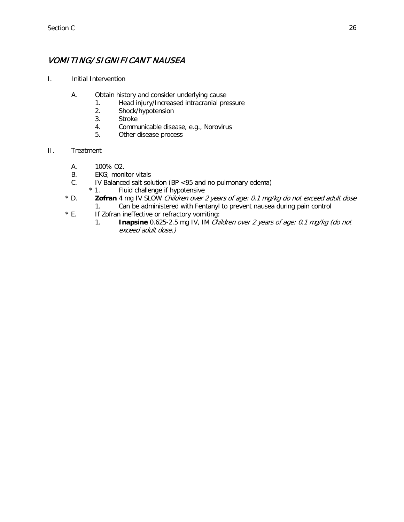## VOMITING/ SIGNIFICANT NAUSEA

- I. Initial Intervention
	- A. Obtain history and consider underlying cause
		- 1. Head injury/Increased intracranial pressure
		- 2. Shock/hypotension
		- 3. Stroke
		- 4. Communicable disease, e.g., Norovirus
		- 5. Other disease process
- II. Treatment
	- A. 100% O2.
	- B. EKG; monitor vitals
	- C. IV Balanced salt solution (BP <95 and no pulmonary edema)  $*$  1. Fluid challenge if hypotensive
		- Fluid challenge if hypotensive
	- \* D. **Zofran** 4 mg IV SLOW Children over 2 years of age: 0.1 mg/kg do not exceed adult dose 1. Can be administered with Fentanyl to prevent nausea during pain control
	- \* E. If Zofran ineffective or refractory vomiting:
		- 1. **Inapsine** 0.625-2.5 mg IV, IM Children over 2 years of age: 0.1 mg/kg (do not exceed adult dose.)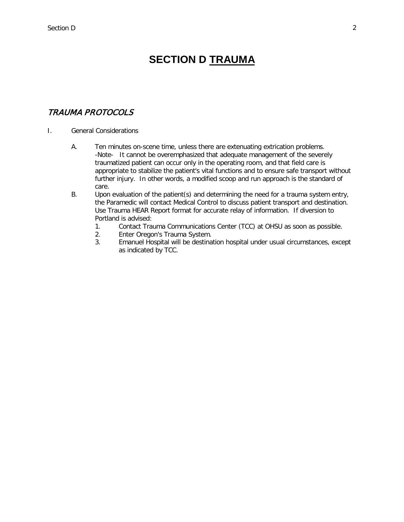# **SECTION D TRAUMA**

#### <span id="page-69-0"></span>TRAUMA PROTOCOLS

#### I. General Considerations

- A. Ten minutes on-scene time, unless there are extenuating extrication problems. -Note- It cannot be overemphasized that adequate management of the severely traumatized patient can occur only in the operating room, and that field care is appropriate to stabilize the patient's vital functions and to ensure safe transport without further injury. In other words, a modified scoop and run approach is the standard of care.
- B. Upon evaluation of the patient(s) and determining the need for a trauma system entry, the Paramedic will contact Medical Control to discuss patient transport and destination. Use Trauma HEAR Report format for accurate relay of information. If diversion to Portland is advised:
	- 1. Contact Trauma Communications Center (TCC) at OHSU as soon as possible.
	- 2. Enter Oregon's Trauma System.
	- 3. Emanuel Hospital will be destination hospital under usual circumstances, except as indicated by TCC.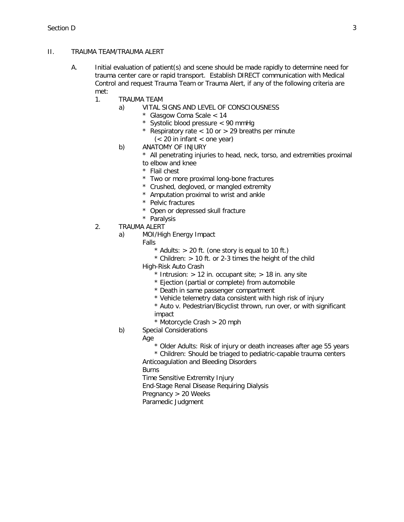#### II. TRAUMA TEAM/TRAUMA ALERT

- A. Initial evaluation of patient(s) and scene should be made rapidly to determine need for trauma center care or rapid transport. Establish DIRECT communication with Medical Control and request Trauma Team or Trauma Alert, if any of the following criteria are met:
	- 1. TRAUMA TEAM
		- a) VITAL SIGNS AND LEVEL OF CONSCIOUSNESS
			- \* Glasgow Coma Scale < 14
			- \* Systolic blood pressure < 90 mmHg
			- Respiratory rate  $<$  10 or  $>$  29 breaths per minute
			- $(< 20$  in infant  $<$  one year)
		- b) ANATOMY OF INJURY
			- \* All penetrating injuries to head, neck, torso, and extremities proximal to elbow and knee
			- \* Flail chest
			- \* Two or more proximal long-bone fractures
			- \* Crushed, degloved, or mangled extremity
			- \* Amputation proximal to wrist and ankle
			- \* Pelvic fractures
			- \* Open or depressed skull fracture
			- \* Paralysis
	- 2. TRAUMA ALERT
		- a) MOI/High Energy Impact
			- Falls
				- $*$  Adults:  $> 20$  ft. (one story is equal to 10 ft.)
				- $*$  Children:  $> 10$  ft. or 2-3 times the height of the child
			- High-Risk Auto Crash
				- $*$  Intrusion:  $> 12$  in. occupant site;  $> 18$  in. any site
				- \* Ejection (partial or complete) from automobile
				- \* Death in same passenger compartment
				- \* Vehicle telemetry data consistent with high risk of injury
				- \* Auto v. Pedestrian/Bicyclist thrown, run over, or with significant impact
				- \* Motorcycle Crash > 20 mph
		- b) Special Considerations

Age

\* Older Adults: Risk of injury or death increases after age 55 years

\* Children: Should be triaged to pediatric-capable trauma centers Anticoagulation and Bleeding Disorders

Burns

Time Sensitive Extremity Injury

End-Stage Renal Disease Requiring Dialysis

- Pregnancy > 20 Weeks
- Paramedic Judgment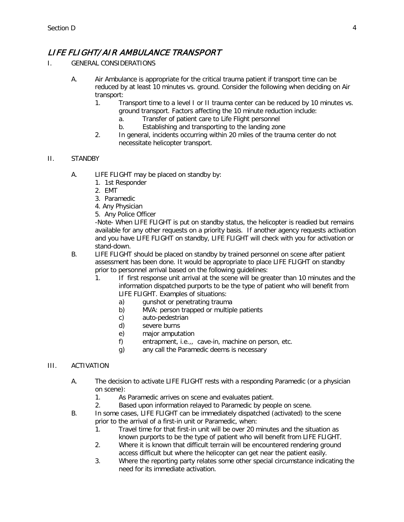### LIFE FLIGHT/ AIR AMBULANCE TRANSPORT

- I. GENERAL CONSIDERATIONS
	- A. Air Ambulance is appropriate for the critical trauma patient if transport time can be reduced by at least 10 minutes vs. ground. Consider the following when deciding on Air transport:
		- 1. Transport time to a level I or II trauma center can be reduced by 10 minutes vs. ground transport. Factors affecting the 10 minute reduction include:
			- a. Transfer of patient care to Life Flight personnel
			- b. Establishing and transporting to the landing zone
		- 2. In general, incidents occurring within 20 miles of the trauma center do not necessitate helicopter transport.

#### II. STANDBY

- A. LIFE FLIGHT may be placed on standby by:
	- 1. 1st Responder
	- 2. EMT
	- 3. Paramedic
	- 4. Any Physician
	- 5. Any Police Officer

-Note- When LIFE FLIGHT is put on standby status, the helicopter is readied but remains available for any other requests on a priority basis. If another agency requests activation and you have LIFE FLIGHT on standby, LIFE FLIGHT will check with you for activation or stand-down.

- B. LIFE FLIGHT should be placed on standby by trained personnel on scene after patient assessment has been done. It would be appropriate to place LIFE FLIGHT on standby prior to personnel arrival based on the following guidelines:
	- 1. If first response unit arrival at the scene will be greater than 10 minutes and the information dispatched purports to be the type of patient who will benefit from LIFE FLIGHT. Examples of situations:
		- a) gunshot or penetrating trauma
		- b) MVA: person trapped or multiple patients
		- c) auto-pedestrian
		- d) severe burns
		- e) major amputation
		- f) entrapment, i.e.,, cave-in, machine on person, etc.
		- g) any call the Paramedic deems is necessary

#### III. ACTIVATION

- A. The decision to activate LIFE FLIGHT rests with a responding Paramedic (or a physician on scene):
	- 1. As Paramedic arrives on scene and evaluates patient.
	- 2. Based upon information relayed to Paramedic by people on scene.
- B. In some cases, LIFE FLIGHT can be immediately dispatched (activated) to the scene prior to the arrival of a first-in unit or Paramedic, when:
	- 1. Travel time for that first-in unit will be over 20 minutes and the situation as known purports to be the type of patient who will benefit from LIFE FLIGHT.
	- 2. Where it is known that difficult terrain will be encountered rendering ground access difficult but where the helicopter can get near the patient easily.
	- 3. Where the reporting party relates some other special circumstance indicating the need for its immediate activation.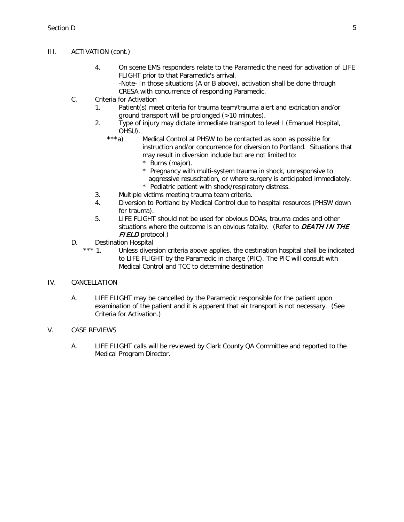## III. ACTIVATION (cont.)

- 4. On scene EMS responders relate to the Paramedic the need for activation of LIFE FLIGHT prior to that Paramedic's arrival.
	- -Note- In those situations (A or B above), activation shall be done through CRESA with concurrence of responding Paramedic.
- C. Criteria for Activation
	- 1. Patient(s) meet criteria for trauma team/trauma alert and extrication and/or ground transport will be prolonged (>10 minutes).
	- 2. Type of injury may dictate immediate transport to level I (Emanuel Hospital, OHSU).<br>\*\*\*a)
		- Medical Control at PHSW to be contacted as soon as possible for instruction and/or concurrence for diversion to Portland. Situations that may result in diversion include but are not limited to:
			- \* Burns (major).
			- \* Pregnancy with multi-system trauma in shock, unresponsive to aggressive resuscitation, or where surgery is anticipated immediately.
			- \* Pediatric patient with shock/respiratory distress.
	- 3. Multiple victims meeting trauma team criteria.
	- 4. Diversion to Portland by Medical Control due to hospital resources (PHSW down for trauma).
	- 5. LIFE FLIGHT should not be used for obvious DOAs, trauma codes and other situations where the outcome is an obvious fatality. (Refer to  $DEATH IN THE$ FIELD protocol.)
- D. Destination Hospital
	- \*\*\* 1. Unless diversion criteria above applies, the destination hospital shall be indicated to LIFE FLIGHT by the Paramedic in charge (PIC). The PIC will consult with Medical Control and TCC to determine destination

## IV. CANCELLATION

A. LIFE FLIGHT may be cancelled by the Paramedic responsible for the patient upon examination of the patient and it is apparent that air transport is not necessary. (See Criteria for Activation.)

## V. CASE REVIEWS

A. LIFE FLIGHT calls will be reviewed by Clark County QA Committee and reported to the Medical Program Director.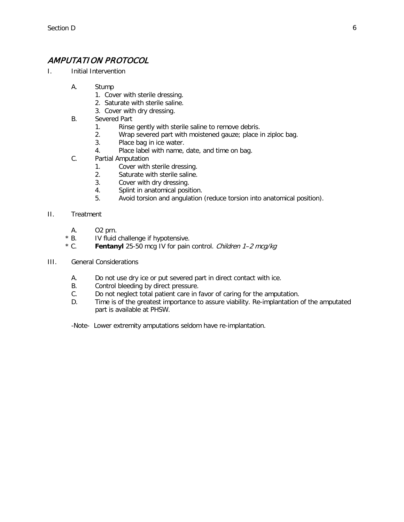# AMPUTATION PROTOCOL

- I. Initial Intervention
	- A. Stump
		- 1. Cover with sterile dressing.
		- 2. Saturate with sterile saline.
		- 3. Cover with dry dressing.
	- B. Severed Part
		- 1. Rinse gently with sterile saline to remove debris.
		- 2. Wrap severed part with moistened gauze; place in ziploc bag.
		- 3. Place bag in ice water.
		- 4. Place label with name, date, and time on bag.
	- C. Partial Amputation
		- 1. Cover with sterile dressing.
		- 2. Saturate with sterile saline.
		- 3. Cover with dry dressing.
		- 4. Splint in anatomical position.
		- 5. Avoid torsion and angulation (reduce torsion into anatomical position).
- II. Treatment
	- A. O2 prn.
	- \* B. IV fluid challenge if hypotensive.
	- \* C. **Fentanyl** 25-50 mcg IV for pain control. Children 1–2 mcg/kg
- III. General Considerations
	- A. Do not use dry ice or put severed part in direct contact with ice.
	- B. Control bleeding by direct pressure.
	- C. Do not neglect total patient care in favor of caring for the amputation.
	- D. Time is of the greatest importance to assure viability. Re-implantation of the amputated part is available at PHSW.

-Note- Lower extremity amputations seldom have re-implantation.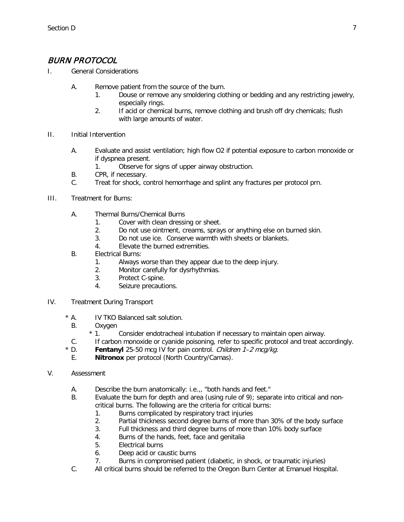# BURN PROTOCOL

- I. General Considerations
	- A. Remove patient from the source of the burn.
		- 1. Douse or remove any smoldering clothing or bedding and any restricting jewelry, especially rings.
		- 2. If acid or chemical burns, remove clothing and brush off dry chemicals; flush with large amounts of water.
- II. Initial Intervention
	- A. Evaluate and assist ventilation; high flow O2 if potential exposure to carbon monoxide or if dyspnea present.
		- 1. Observe for signs of upper airway obstruction.
	- B. CPR, if necessary.
	- C. Treat for shock, control hemorrhage and splint any fractures per protocol prn.
- III. Treatment for Burns:
	- A. Thermal Burns/Chemical Burns
		- 1. Cover with clean dressing or sheet.
		- 2. Do not use ointment, creams, sprays or anything else on burned skin.
		- 3. Do not use ice. Conserve warmth with sheets or blankets.
		- 4. Elevate the burned extremities.
	- B. Electrical Burns:
		- 1. Always worse than they appear due to the deep injury.
		- 2. Monitor carefully for dysrhythmias.
		- 3. Protect C-spine.
		- 4. Seizure precautions.
- IV. Treatment During Transport
	- \* A. IV TKO Balanced salt solution.
		- B. Oxygen  $* 1$ .
			- Consider endotracheal intubation if necessary to maintain open airway.
		- C. If carbon monoxide or cyanide poisoning, refer to specific protocol and treat accordingly.
	- \* D. **Fentanyl** 25-50 mcg IV for pain control. Children 1–2 mcg/kg.
	- E. **Nitronox** per protocol (North Country/Camas).
- V. Assessment
	- A. Describe the burn anatomically: i.e.,, "both hands and feet."
	- B. Evaluate the burn for depth and area (using rule of 9); separate into critical and noncritical burns. The following are the criteria for critical burns:
		- 1. Burns complicated by respiratory tract injuries
		- 2. Partial thickness second degree burns of more than 30% of the body surface
		- 3. Full thickness and third degree burns of more than 10% body surface
		- 4. Burns of the hands, feet, face and genitalia
		- 5. Electrical burns
		- 6. Deep acid or caustic burns
		- 7. Burns in compromised patient (diabetic, in shock, or traumatic injuries)
	- C. All critical burns should be referred to the Oregon Burn Center at Emanuel Hospital.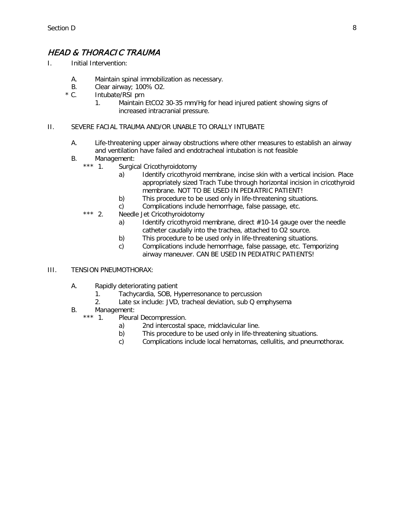# HEAD & THORACIC TRAUMA

- I. Initial Intervention:
	- A. Maintain spinal immobilization as necessary.
	- B. Clear airway; 100% O2.<br>\* C. lntubate/RSI prn
	- Intubate/RSI prn
		- 1. Maintain EtCO2 30-35 mm/Hg for head injured patient showing signs of increased intracranial pressure.

### II. SEVERE FACIAL TRAUMA AND/OR UNABLE TO ORALLY INTUBATE

- A. Life-threatening upper airway obstructions where other measures to establish an airway and ventilation have failed and endotracheal intubation is not feasible
- B. Management:<br>\*\*\* 1 Surgic
	- Surgical Cricothyroidotomy
		- a) Identify cricothyroid membrane, incise skin with a vertical incision. Place appropriately sized Trach Tube through horizontal incision in cricothyroid membrane. NOT TO BE USED IN PEDIATRIC PATIENT!
		- b) This procedure to be used only in life-threatening situations.
		- c) Complications include hemorrhage, false passage, etc.
	- \*\*\* 2. Needle Jet Cricothyroidotomy
		- a) Identify cricothyroid membrane, direct  $#10-14$  gauge over the needle catheter caudally into the trachea, attached to O2 source.
		- b) This procedure to be used only in life-threatening situations.
		- c) Complications include hemorrhage, false passage, etc. Temporizing airway maneuver. CAN BE USED IN PEDIATRIC PATIENTS!

### III. TENSION PNEUMOTHORAX:

- A. Rapidly deteriorating patient
	- 1. Tachycardia, SOB, Hyperresonance to percussion
	- 2. Late sx include: JVD, tracheal deviation, sub Q emphysema
- B. Management:<br>\*\*\* 1. Pleura
	- Pleural Decompression.
		- a) 2nd intercostal space, midclavicular line.
		- b) This procedure to be used only in life-threatening situations.
		- c) Complications include local hematomas, cellulitis, and pneumothorax.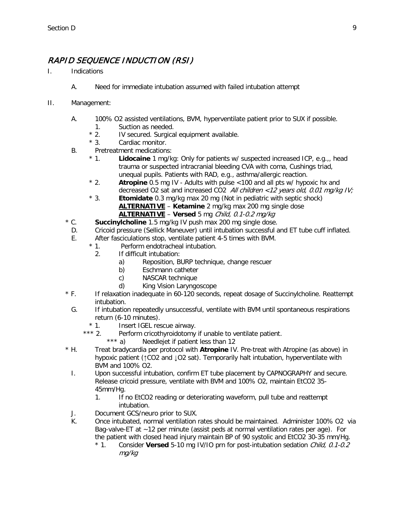# RAPID SEQUENCE INDUCTION (RSI)

- I. Indications
	- A. Need for immediate intubation assumed with failed intubation attempt
- II. Management:
	- A. 100% O2 assisted ventilations, BVM, hyperventilate patient prior to SUX if possible.
		- 1. Suction as needed.<br> **\*** 2. IV secured. Surgica
		- \* 2. IV secured. Surgical equipment available.<br>\* 3. Cardiac monitor.
		- Cardiac monitor.
	- B. Pretreatment medications:
		- \* 1. **Lidocaine** 1 mg/kg: Only for patients w/ suspected increased ICP, e.g.,, head trauma or suspected intracranial bleeding CVA with coma, Cushings triad, unequal pupils. Patients with RAD, e.g., asthma/allergic reaction.
		- \* 2. **Atropine** 0.5 mg IV Adults with pulse <100 and all pts w/ hypoxic hx and decreased O2 sat and increased CO2 All children <12 years old, 0.01 mg/kg IV;
		- \* 3. **Etomidate** 0.3 mg/kg max 20 mg (Not in pediatric with septic shock) **ALTERNATIVE** – **Ketamine** 2 mg/kg max 200 mg single dose **ALTERNATIVE** – **Versed** 5 mg Child, 0.1-0.2 mg/kg
	- \* C. **Succinylcholine** 1.5 mg/kg IV push max 200 mg single dose.
	- D. Cricoid pressure (Sellick Maneuver) until intubation successful and ET tube cuff inflated.
	- E. After fasciculations stop, ventilate patient 4-5 times with BVM.
		- \* 1. Perform endotracheal intubation.
			- 2. If difficult intubation:
				- a) Reposition, BURP technique, change rescuer
				- b) Eschmann catheter
				- c) NASCAR technique
				- d) King Vision Laryngoscope
	- \* F. If relaxation inadequate in 60-120 seconds, repeat dosage of Succinylcholine. Reattempt intubation.
		- G. If intubation repeatedly unsuccessful, ventilate with BVM until spontaneous respirations return (6-10 minutes).
			- \* 1. Insert IGEL rescue airway.<br>\*\*\* 2. Perform cricothyroidotomy
				- Perform cricothyroidotomy if unable to ventilate patient.<br>\*\*\* a) Needleiet if patient less than 12
					- Needlejet if patient less than 12
	- \* H. Treat bradycardia per protocol with **Atropine** IV. Pre-treat with Atropine (as above) in hypoxic patient (↑CO2 and ↓O2 sat). Temporarily halt intubation, hyperventilate with BVM and 100% O2.
	- I. Upon successful intubation, confirm ET tube placement by CAPNOGRAPHY and secure. Release cricoid pressure, ventilate with BVM and 100% O2, maintain EtCO2 35- 45mm/Hg.
		- 1. If no EtCO2 reading or deteriorating waveform, pull tube and reattempt intubation.
	- J. Document GCS/neuro prior to SUX.
	- K. Once intubated, normal ventilation rates should be maintained. Administer 100% O2 via Bag-valve-ET at ~12 per minute (assist peds at normal ventilation rates per age). For the patient with closed head injury maintain BP of 90 systolic and EtCO2 30-35 mm/Hg.
		- \* 1. Consider **Versed** 5-10 mg IV/IO prn for post-intubation sedation Child, 0.1-0.2 mg/kg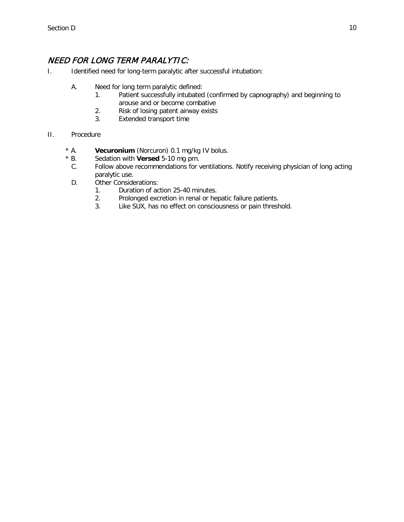# NEED FOR LONG TERM PARALYTIC:

- I. Identified need for long-term paralytic after successful intubation:
	- A. Need for long term paralytic defined:
		- 1. Patient successfully intubated (confirmed by capnography) and beginning to arouse and or become combative
		- 2. Risk of losing patent airway exists
		- 3. Extended transport time
- II. Procedure
	- \* A. **Vecuronium** (Norcuron) 0.1 mg/kg IV bolus.
	- \* B. Sedation with **Versed** 5-10 mg prn.
	- C. Follow above recommendations for ventilations. Notify receiving physician of long acting paralytic use.
	- D. Other Considerations:
		- 1. Duration of action 25-40 minutes.
		- 2. Prolonged excretion in renal or hepatic failure patients.
		- 3. Like SUX, has no effect on consciousness or pain threshold.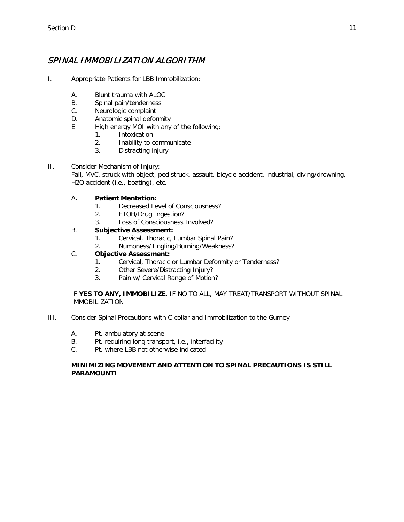# SPINAL IMMOBILIZATION ALGORITHM

- I. Appropriate Patients for LBB Immobilization:
	- A. Blunt trauma with ALOC
	- B. Spinal pain/tenderness
	- C. Neurologic complaint
	- D. Anatomic spinal deformity
	- E. High energy MOI with any of the following:
		- 1. Intoxication
		- 2. Inability to communicate
		- 3. Distracting injury
- II. Consider Mechanism of Injury: Fall, MVC, struck with object, ped struck, assault, bicycle accident, industrial, diving/drowning, H2O accident (i.e., boating), etc.

## A**. Patient Mentation:**

- 1. Decreased Level of Consciousness?
- 2. ETOH/Drug Ingestion?
- 3. Loss of Consciousness Involved?

## B. **Subjective Assessment:**

- 1. Cervical, Thoracic, Lumbar Spinal Pain?
- 2. Numbness/Tingling/Burning/Weakness?

## C. **Objective Assessment:**

- 1. Cervical, Thoracic or Lumbar Deformity or Tenderness?
- 2. Other Severe/Distracting Injury?
- 3. Pain w/ Cervical Range of Motion?

### IF **YES TO ANY, IMMOBILIZE**. IF NO TO ALL, MAY TREAT/TRANSPORT WITHOUT SPINAL IMMOBILIZATION

- III. Consider Spinal Precautions with C-collar and Immobilization to the Gurney
	- A. Pt. ambulatory at scene
	- B. Pt. requiring long transport, i.e., interfacility
	- C. Pt. where LBB not otherwise indicated

#### **MINIMIZING MOVEMENT AND ATTENTION TO SPINAL PRECAUTIONS IS STILL PARAMOUNT!**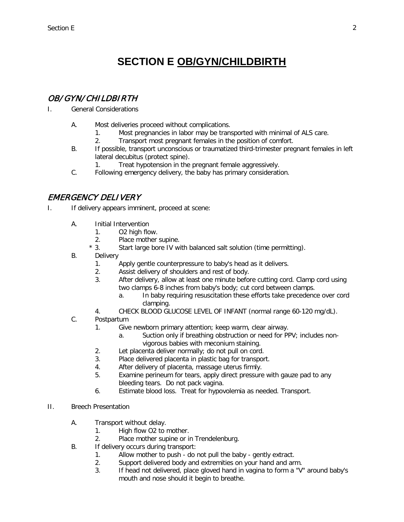# **SECTION E OB/GYN/CHILDBIRTH**

# <span id="page-79-0"></span>OB/ GYN/ CHILDBIRTH

- I. General Considerations
	- A. Most deliveries proceed without complications.
		- 1. Most pregnancies in labor may be transported with minimal of ALS care.
		- 2. Transport most pregnant females in the position of comfort.
	- B. If possible, transport unconscious or traumatized third-trimester pregnant females in left lateral decubitus (protect spine).
		- 1. Treat hypotension in the pregnant female aggressively.
	- C. Following emergency delivery, the baby has primary consideration.

## EMERGENCY DELIVERY

- I. If delivery appears imminent, proceed at scene:
	- A. Initial Intervention
		- 1. O2 high flow.
		- 2. Place mother supine.
		- \* 3. Start large bore IV with balanced salt solution (time permitting).
	- B. Delivery
		- 1. Apply gentle counterpressure to baby's head as it delivers.
		- 2. Assist delivery of shoulders and rest of body.
		- 3. After delivery, allow at least one minute before cutting cord. Clamp cord using two clamps 6-8 inches from baby's body; cut cord between clamps.
			- a. In baby requiring resuscitation these efforts take precedence over cord clamping.
		- 4. CHECK BLOOD GLUCOSE LEVEL OF INFANT (normal range 60-120 mg/dL).
	- C. Postpartum
		- 1. Give newborn primary attention; keep warm, clear airway.
			- a. Suction only if breathing obstruction or need for PPV; includes nonvigorous babies with meconium staining.
		- 2. Let placenta deliver normally; do not pull on cord.
		- 3. Place delivered placenta in plastic bag for transport.
		- 4. After delivery of placenta, massage uterus firmly.
		- 5. Examine perineum for tears, apply direct pressure with gauze pad to any bleeding tears. Do not pack vagina.
		- 6. Estimate blood loss. Treat for hypovolemia as needed. Transport.
- II. Breech Presentation
	- A. Transport without delay.
		- 1. High flow O2 to mother.
		- 2. Place mother supine or in Trendelenburg.
	- B. If delivery occurs during transport:
		- 1. Allow mother to push do not pull the baby gently extract.
		- 2. Support delivered body and extremities on your hand and arm.
		- 3. If head not delivered, place gloved hand in vagina to form a "V" around baby's mouth and nose should it begin to breathe.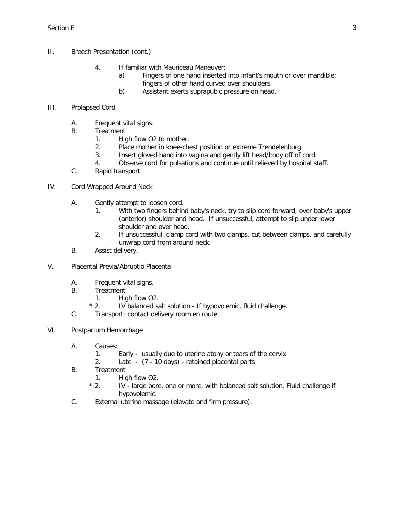- II. Breech Presentation (cont.)
	- 4. If familiar with Mauriceau Maneuver:
		- a) Fingers of one hand inserted into infant's mouth or over mandible; fingers of other hand curved over shoulders.
		- b) Assistant exerts suprapubic pressure on head.

## III. Prolapsed Cord

- A. Frequent vital signs.
- B. Treatment
	- 1. High flow O2 to mother.
	- 2. Place mother in knee-chest position or extreme Trendelenburg.
	- 3. Insert gloved hand into vagina and gently lift head/body off of cord.
	- 4. Observe cord for pulsations and continue until relieved by hospital staff.
- C. Rapid transport.
- IV. Cord Wrapped Around Neck
	- A. Gently attempt to loosen cord.
		- 1. With two fingers behind baby's neck, try to slip cord forward, over baby's upper (anterior) shoulder and head. If unsuccessful, attempt to slip under lower shoulder and over head.
		- 2. If unsuccessful, clamp cord with two clamps, cut between clamps, and carefully unwrap cord from around neck.
	- B. Assist delivery.
- V. Placental Previa/Abruptio Placenta
	- A. Frequent vital signs.
	- B. Treatment
		- 1. High flow O2.
		- \* 2. IV balanced salt solution If hypovolemic, fluid challenge.
	- C. Transport; contact delivery room en route.
- VI. Postpartum Hemorrhage
	- A. Causes:
		- 1. Early usually due to uterine atony or tears of the cervix
		- 2. Late (7 10 days) retained placental parts
	- B. Treatment
		- 1. High flow O2.
		- \* 2. IV large bore, one or more, with balanced salt solution. Fluid challenge if hypovolemic.
	- C. External uterine massage (elevate and firm pressure).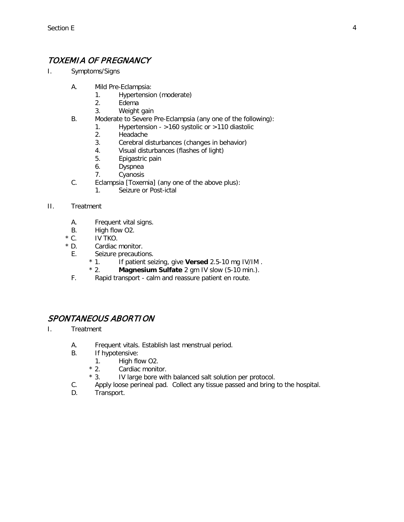# TOXEMIA OF PREGNANCY

- I. Symptoms/Signs
	- A. Mild Pre-Eclampsia:
		- 1. Hypertension (moderate)
		- 2. Edema
		- 3. Weight gain
	- B. Moderate to Severe Pre-Eclampsia (any one of the following):
		- 1. Hypertension >160 systolic or >110 diastolic
			- 2. Headache
			- 3. Cerebral disturbances (changes in behavior)
			- 4. Visual disturbances (flashes of light)
		- 5. Epigastric pain
		- 6. Dyspnea
		- 7. Cyanosis
	- C. Eclampsia [Toxemia] (any one of the above plus):
		- 1. Seizure or Post-ictal

### II. Treatment

- A. Frequent vital signs.
- B. High flow O2.
- \* C. IV TKO.
- \* D. Cardiac monitor.
	- E. Seizure precautions.<br>  $* 1.$  If patient sei
		- If patient seizing, give **Versed** 2.5-10 mg IV/IM .
		- \* 2. **Magnesium Sulfate** 2 gm IV slow (5-10 min.).
	- F. Rapid transport calm and reassure patient en route.

## SPONTANEOUS ABORTION

- I. Treatment
	- A. Frequent vitals. Establish last menstrual period.
	- B. If hypotensive:
		- 1. High flow O2.<br>
		\* 2. Cardiac monite
		- Cardiac monitor.
		- \* 3. IV large bore with balanced salt solution per protocol.
	- C. Apply loose perineal pad. Collect any tissue passed and bring to the hospital.
	- D. Transport.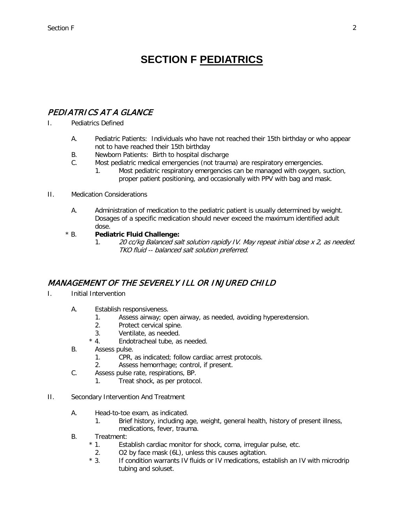# **SECTION F PEDIATRICS**

# PEDIATRICS AT A GLANCE

- I. Pediatrics Defined
	- A. Pediatric Patients: Individuals who have not reached their 15th birthday or who appear not to have reached their 15th birthday
	- B. Newborn Patients: Birth to hospital discharge
	- C. Most pediatric medical emergencies (not trauma) are respiratory emergencies.
		- 1. Most pediatric respiratory emergencies can be managed with oxygen, suction, proper patient positioning, and occasionally with PPV with bag and mask.

### II. Medication Considerations

A. Administration of medication to the pediatric patient is usually determined by weight. Dosages of a specific medication should never exceed the maximum identified adult dose.

## \* B. **Pediatric Fluid Challenge:**

1. 20 cc/kg Balanced salt solution rapidly IV. May repeat initial dose x 2, as needed. TKO fluid -- balanced salt solution preferred.

# MANAGEMENT OF THE SEVERELY ILL OR INJURED CHILD

- I. Initial Intervention
	- A. Establish responsiveness.
		- 1. Assess airway; open airway, as needed, avoiding hyperextension.
		- 2. Protect cervical spine.
		- 3. Ventilate, as needed.<br>  $* 4.$  Endotracheal tube, as
		- Endotracheal tube, as needed.
	- B. Assess pulse.
		- 1. CPR, as indicated; follow cardiac arrest protocols.
		- 2. Assess hemorrhage; control, if present.
	- C. Assess pulse rate, respirations, BP.
		- 1. Treat shock, as per protocol.
- II. Secondary Intervention And Treatment
	- A. Head-to-toe exam, as indicated.
		- 1. Brief history, including age, weight, general health, history of present illness, medications, fever, trauma.
	- B. Treatment:
		- \* 1. Establish cardiac monitor for shock, coma, irregular pulse, etc.
		- 2. O2 by face mask (6L), unless this causes agitation.
		- \* 3. If condition warrants IV fluids or IV medications, establish an IV with microdrip tubing and soluset.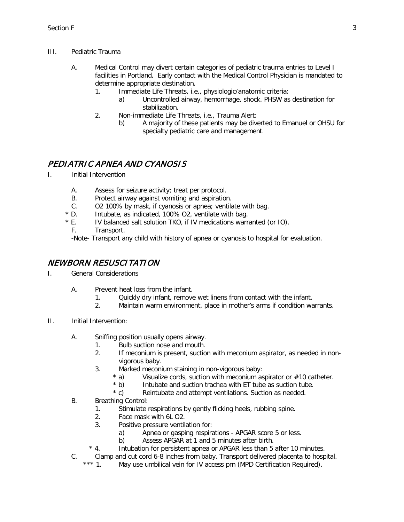- III. Pediatric Trauma
	- A. Medical Control may divert certain categories of pediatric trauma entries to Level I facilities in Portland. Early contact with the Medical Control Physician is mandated to determine appropriate destination.
		- 1. Immediate Life Threats, i.e., physiologic/anatomic criteria:
			- a) Uncontrolled airway, hemorrhage, shock. PHSW as destination for stabilization.
		- 2. Non-immediate Life Threats, i.e., Trauma Alert:
			- b) A majority of these patients may be diverted to Emanuel or OHSU for specialty pediatric care and management.

# PEDIATRIC APNEA AND CYANOSIS

- I. Initial Intervention
	- A. Assess for seizure activity; treat per protocol.
	- B. Protect airway against vomiting and aspiration.
	- C. O2 100% by mask, if cyanosis or apnea; ventilate with bag.<br>\* D. Intubate. as indicated. 100% O2. ventilate with bag.
	- \* D. Intubate, as indicated, 100% O2, ventilate with bag.<br>\* E. IV balanced salt solution TKO, if IV medications warr
	- IV balanced salt solution TKO, if IV medications warranted (or IO).
	- F. Transport.

-Note- Transport any child with history of apnea or cyanosis to hospital for evaluation.

## NEWBORN RESUSCITATION

- I. General Considerations
	- A. Prevent heat loss from the infant.
		- 1. Quickly dry infant, remove wet linens from contact with the infant.
		- 2. Maintain warm environment, place in mother's arms if condition warrants.
- II. Initial Intervention:
	- A. Sniffing position usually opens airway.
		- 1. Bulb suction nose and mouth.
			- 2. If meconium is present, suction with meconium aspirator, as needed in nonvigorous baby.
			- 3. Marked meconium staining in non-vigorous baby:
				- \* a) Visualize cords, suction with meconium aspirator or  $\#10$  catheter.<br>\* b) Intubate and suction trachea with ET tube as suction tube.
					- Intubate and suction trachea with ET tube as suction tube.
				- \* c) Reintubate and attempt ventilations. Suction as needed.
	- B. Breathing Control:
		- 1. Stimulate respirations by gently flicking heels, rubbing spine.
		- 2. Face mask with 6L O2.
		- 3. Positive pressure ventilation for:
			- a) Apnea or gasping respirations APGAR score 5 or less.
			- b) Assess APGAR at 1 and 5 minutes after birth.
		- \* 4. Intubation for persistent apnea or APGAR less than 5 after 10 minutes.
	- C. Clamp and cut cord 6-8 inches from baby. Transport delivered placenta to hospital.<br>\*\*\* 1 May use umbilical vein for IV access prn (MPD Certification Required).
		- May use umbilical vein for IV access prn (MPD Certification Required).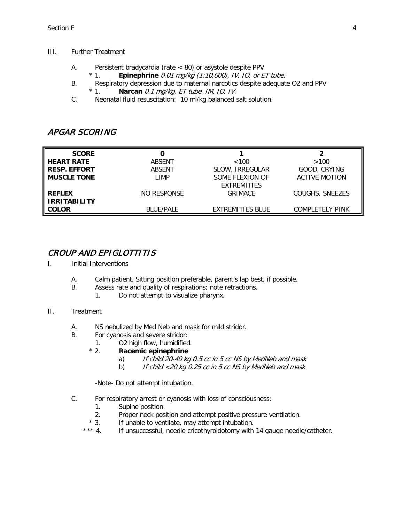#### III. Further Treatment

- A. Persistent bradycardia (rate < 80) or asystole despite PPV
	- \* 1. **Epinephrine** 0.01 mg/kg (1:10,000), IV, IO, or ET tube.
- B. Respiratory depression due to maternal narcotics despite adequate O2 and PPV
	- \* 1. **Narcan** 0.1 mg/kg, ET tube, IM, IO, IV.
- C. Neonatal fluid resuscitation: 10 ml/kg balanced salt solution.

## APGAR SCORING

| <b>SCORE</b>                         |                  |                                       |                        |
|--------------------------------------|------------------|---------------------------------------|------------------------|
| <b>HEART RATE</b>                    | ABSENT           | < 100                                 | >100                   |
| <b>RESP. EFFORT</b>                  | ABSENT           | SLOW, IRREGULAR                       | GOOD, CRYING           |
| <b>MUSCLE TONE</b>                   | LIMP             | SOME FLEXION OF<br><b>EXTREMITIES</b> | <b>ACTIVE MOTION</b>   |
| <b>REFLEX</b><br><b>IRRITABILITY</b> | NO RESPONSE      | <b>GRIMACE</b>                        | COUGHS, SNEEZES        |
| <b>COLOR</b>                         | <b>BLUE/PALE</b> | <b>EXTREMITIES BLUE</b>               | <b>COMPLETELY PINK</b> |

## CROUP AND EPIGLOTTITIS

- I. Initial Interventions
	- A. Calm patient. Sitting position preferable, parent's lap best, if possible.
	- B. Assess rate and quality of respirations; note retractions.<br>1. Do not attempt to visualize pharynx.
		- Do not attempt to visualize pharynx.

#### II. Treatment

- A. NS nebulized by Med Neb and mask for mild stridor.
- B. For cyanosis and severe stridor:
	- 1. O2 high flow, humidified.
	- \* 2. **Racemic epinephrine**
		- a) If child 20-40 kg 0.5 cc in 5 cc NS by MedNeb and mask
		- b) If child  $\langle 20 \text{ kg } 0.25 \text{ cc }$  in 5 cc NS by MedNeb and mask

-Note- Do not attempt intubation.

- C. For respiratory arrest or cyanosis with loss of consciousness:
	- 1. Supine position.
	- 2. Proper neck position and attempt positive pressure ventilation.
	- \* 3. If unable to ventilate, may attempt intubation.
	- \*\*\* 4. If unsuccessful, needle cricothyroidotomy with 14 gauge needle/catheter.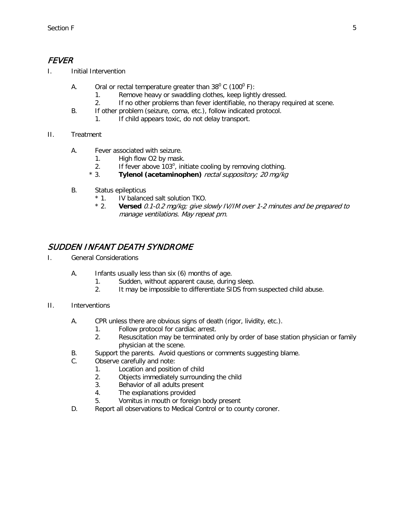# FEVER

- I. Initial Intervention
	- A. Oral or rectal temperature greater than  $38^{\circ}$  C (100 $^{\circ}$  F):
		- 1. Remove heavy or swaddling clothes, keep lightly dressed.
		- 2. If no other problems than fever identifiable, no therapy required at scene.
	- B. If other problem (seizure, coma, etc.), follow indicated protocol.
		- 1. If child appears toxic, do not delay transport.
- II. Treatment
	- A. Fever associated with seizure.
		- 1. High flow O2 by mask.
		- 2. If fever above  $103^\circ$ , initiate cooling by removing clothing.
		- \* 3. **Tylenol (acetaminophen)** rectal suppository; 20 mg/kg
	- B. Status epilepticus
		- \* 1. IV balanced salt solution TKO.<br>\* 2. **Versed** 0.1-0.2 ma/ka: aive si
		- Versed 0.1-0.2 mg/kg; give slowly IV/IM over 1-2 minutes and be prepared to manage ventilations. May repeat prn.

# SUDDEN INFANT DEATH SYNDROME

- I. General Considerations
	- A. Infants usually less than six (6) months of age.
		- 1. Sudden, without apparent cause, during sleep.
		- 2. It may be impossible to differentiate SIDS from suspected child abuse.
- II. Interventions
	- A. CPR unless there are obvious signs of death (rigor, lividity, etc.).
		- 1. Follow protocol for cardiac arrest.<br>2. Resuscitation may be terminated of
		- Resuscitation may be terminated only by order of base station physician or family physician at the scene.
	- B. Support the parents. Avoid questions or comments suggesting blame.
	- C. Observe carefully and note:
		- 1. Location and position of child
		- 2. Objects immediately surrounding the child
		- 3. Behavior of all adults present
		- 4. The explanations provided
		- 5. Vomitus in mouth or foreign body present
	- D. Report all observations to Medical Control or to county coroner.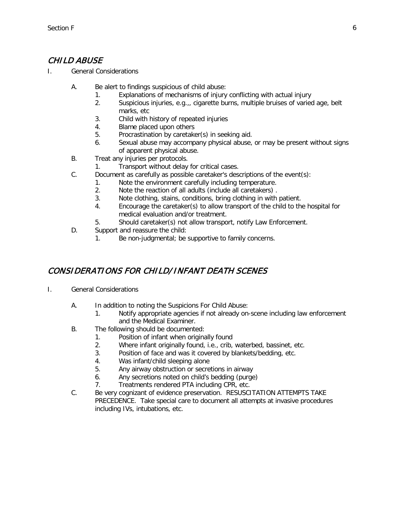# CHILD ABUSE

- I. General Considerations
	- A. Be alert to findings suspicious of child abuse:
		- 1. Explanations of mechanisms of injury conflicting with actual injury
		- 2. Suspicious injuries, e.g.,, cigarette burns, multiple bruises of varied age, belt marks, etc
		- 3. Child with history of repeated injuries
		- 4. Blame placed upon others
		- 5. Procrastination by caretaker(s) in seeking aid.
		- 6. Sexual abuse may accompany physical abuse, or may be present without signs of apparent physical abuse.
	- B. Treat any injuries per protocols.
		- 1. Transport without delay for critical cases.
	- C. Document as carefully as possible caretaker's descriptions of the event(s):
		- 1. Note the environment carefully including temperature.
		- 2. Note the reaction of all adults (include all caretakers) .
		- 3. Note clothing, stains, conditions, bring clothing in with patient.
		- 4. Encourage the caretaker(s) to allow transport of the child to the hospital for medical evaluation and/or treatment.
		- 5. Should caretaker(s) not allow transport, notify Law Enforcement.
	- D. Support and reassure the child:
		- 1. Be non-judgmental; be supportive to family concerns.

# CONSIDERATIONS FOR CHILD/ INFANT DEATH SCENES

- I. General Considerations
	- A. In addition to noting the Suspicions For Child Abuse:
		- 1. Notify appropriate agencies if not already on-scene including law enforcement and the Medical Examiner.
	- B. The following should be documented:
		- 1. Position of infant when originally found
		- 2. Where infant originally found, i.e., crib, waterbed, bassinet, etc.
		- 3. Position of face and was it covered by blankets/bedding, etc.
		- 4. Was infant/child sleeping alone
		- 5. Any airway obstruction or secretions in airway
		- 6. Any secretions noted on child's bedding (purge)
		- 7. Treatments rendered PTA including CPR, etc.
	- C. Be very cognizant of evidence preservation. RESUSCITATION ATTEMPTS TAKE PRECEDENCE. Take special care to document all attempts at invasive procedures including IVs, intubations, etc.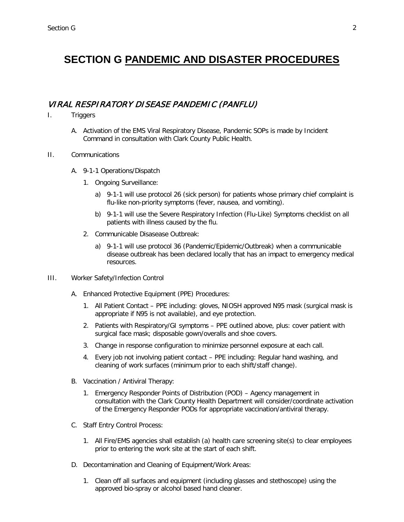# **SECTION G PANDEMIC AND DISASTER PROCEDURES**

## VIRAL RESPIRATORY DISEASE PANDEMIC (PANFLU)

- I. Triggers
	- A. Activation of the EMS Viral Respiratory Disease, Pandemic SOPs is made by Incident Command in consultation with Clark County Public Health.
- II. Communications
	- A. 9-1-1 Operations/Dispatch
		- 1. Ongoing Surveillance:
			- a) 9-1-1 will use protocol 26 (sick person) for patients whose primary chief complaint is flu-like non-priority symptoms (fever, nausea, and vomiting).
			- b) 9-1-1 will use the Severe Respiratory Infection (Flu-Like) Symptoms checklist on all patients with illness caused by the flu.
		- 2. Communicable Disasease Outbreak:
			- a) 9-1-1 will use protocol 36 (Pandemic/Epidemic/Outbreak) when a communicable disease outbreak has been declared locally that has an impact to emergency medical resources.
- III. Worker Safety/Infection Control
	- A. Enhanced Protective Equipment (PPE) Procedures:
		- 1. All Patient Contact PPE including: gloves, NIOSH approved N95 mask (surgical mask is appropriate if N95 is not available), and eye protection.
		- 2. Patients with Respiratory/GI symptoms PPE outlined above, plus: cover patient with surgical face mask; disposable gown/overalls and shoe covers.
		- 3. Change in response configuration to minimize personnel exposure at each call.
		- 4. Every job not involving patient contact PPE including: Regular hand washing, and cleaning of work surfaces (minimum prior to each shift/staff change).
	- B. Vaccination / Antiviral Therapy:
		- 1. Emergency Responder Points of Distribution (POD) Agency management in consultation with the Clark County Health Department will consider/coordinate activation of the Emergency Responder PODs for appropriate vaccination/antiviral therapy.
	- C. Staff Entry Control Process:
		- 1. All Fire/EMS agencies shall establish (a) health care screening site(s) to clear employees prior to entering the work site at the start of each shift.
	- D. Decontamination and Cleaning of Equipment/Work Areas:
		- 1. Clean off all surfaces and equipment (including glasses and stethoscope) using the approved bio-spray or alcohol based hand cleaner.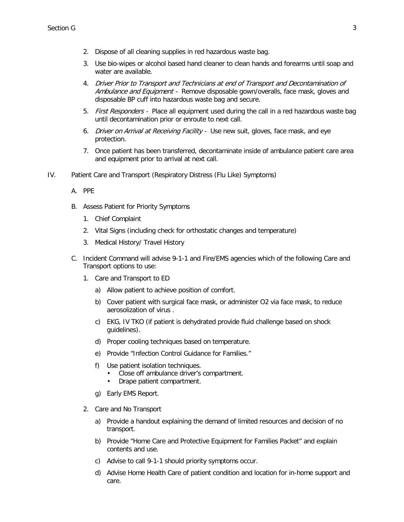- 2. Dispose of all cleaning supplies in red hazardous waste bag.
- 3. Use bio-wipes or alcohol based hand cleaner to clean hands and forearms until soap and water are available.
- 4. Driver Prior to Transport and Technicians at end of Transport and Decontamination of Ambulance and Equipment - Remove disposable gown/overalls, face mask, gloves and disposable BP cuff into hazardous waste bag and secure.
- 5. First Responders Place all equipment used during the call in a red hazardous waste bag until decontamination prior or enroute to next call.
- 6. Driver on Arrival at Receiving Facility Use new suit, gloves, face mask, and eye protection.
- 7. Once patient has been transferred, decontaminate inside of ambulance patient care area and equipment prior to arrival at next call.
- IV. Patient Care and Transport (Respiratory Distress (Flu Like) Symptoms)
	- A. PPE
	- B. Assess Patient for Priority Symptoms
		- 1. Chief Complaint
		- 2. Vital Signs (including check for orthostatic changes and temperature)
		- 3. Medical History/ Travel History
	- C. Incident Command will advise 9-1-1 and Fire/EMS agencies which of the following Care and Transport options to use:
		- 1. Care and Transport to ED
			- a) Allow patient to achieve position of comfort.
			- b) Cover patient with surgical face mask, or administer O2 via face mask, to reduce aerosolization of virus .
			- c) EKG, IV TKO (if patient is dehydrated provide fluid challenge based on shock guidelines).
			- d) Proper cooling techniques based on temperature.
			- e) Provide "Infection Control Guidance for Families."
			- f) Use patient isolation techniques.
				- Close off ambulance driver's compartment.
				- Drape patient compartment.
			- g) Early EMS Report.
		- 2. Care and No Transport
			- a) Provide a handout explaining the demand of limited resources and decision of no transport.
			- b) Provide "Home Care and Protective Equipment for Families Packet" and explain contents and use.
			- c) Advise to call 9-1-1 should priority symptoms occur.
			- d) Advise Home Health Care of patient condition and location for in-home support and care.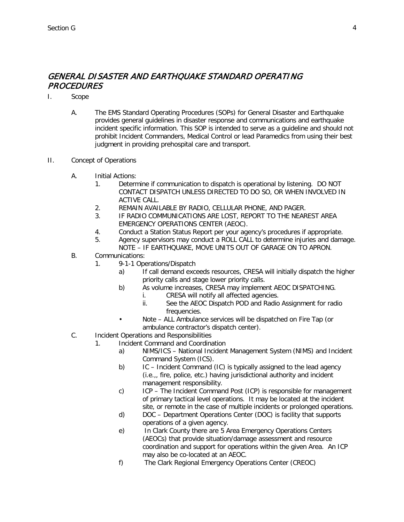## GENERAL DISASTER AND EARTHQUAKE STANDARD OPERATING PROCEDURES

- I. Scope
	- A. The EMS Standard Operating Procedures (SOPs) for General Disaster and Earthquake provides general guidelines in disaster response and communications and earthquake incident specific information. This SOP is intended to serve as a guideline and should not prohibit Incident Commanders, Medical Control or lead Paramedics from using their best judgment in providing prehospital care and transport.
- II. Concept of Operations
	- A. Initial Actions:
		- 1. Determine if communication to dispatch is operational by listening. DO NOT CONTACT DISPATCH UNLESS DIRECTED TO DO SO, OR WHEN INVOLVED IN ACTIVE CALL.
		- 2. REMAIN AVAILABLE BY RADIO, CELLULAR PHONE, AND PAGER.
		- 3. IF RADIO COMMUNICATIONS ARE LOST, REPORT TO THE NEAREST AREA EMERGENCY OPERATIONS CENTER (AEOC).
		- 4. Conduct a Station Status Report per your agency's procedures if appropriate.
		- 5. Agency supervisors may conduct a ROLL CALL to determine injuries and damage. NOTE – IF EARTHQUAKE, MOVE UNITS OUT OF GARAGE ON TO APRON.
	- B. Communications:
		- 1. 9-1-1 Operations/Dispatch
			- a) If call demand exceeds resources, CRESA will initially dispatch the higher priority calls and stage lower priority calls.
			- b) As volume increases. CRESA may implement AEOC DISPATCHING.
				- i. CRESA will notify all affected agencies.
				- ii. See the AEOC Dispatch POD and Radio Assignment for radio frequencies.
				- Note ALL Ambulance services will be dispatched on Fire Tap (or ambulance contractor's dispatch center).
	- C. Incident Operations and Responsibilities
		- 1. Incident Command and Coordination
			- a) NIMS/ICS National Incident Management System (NIMS) and Incident Command System (ICS).
			- b) IC Incident Command (IC) is typically assigned to the lead agency (i.e.,, fire, police, etc.) having jurisdictional authority and incident management responsibility.
			- c) ICP The Incident Command Post (ICP) is responsible for management of primary tactical level operations. It may be located at the incident site, or remote in the case of multiple incidents or prolonged operations.
			- d) DOC Department Operations Center (DOC) is facility that supports operations of a given agency.
			- e) In Clark County there are 5 Area Emergency Operations Centers (AEOCs) that provide situation/damage assessment and resource coordination and support for operations within the given Area. An ICP may also be co-located at an AEOC.
			- f) The Clark Regional Emergency Operations Center (CREOC)